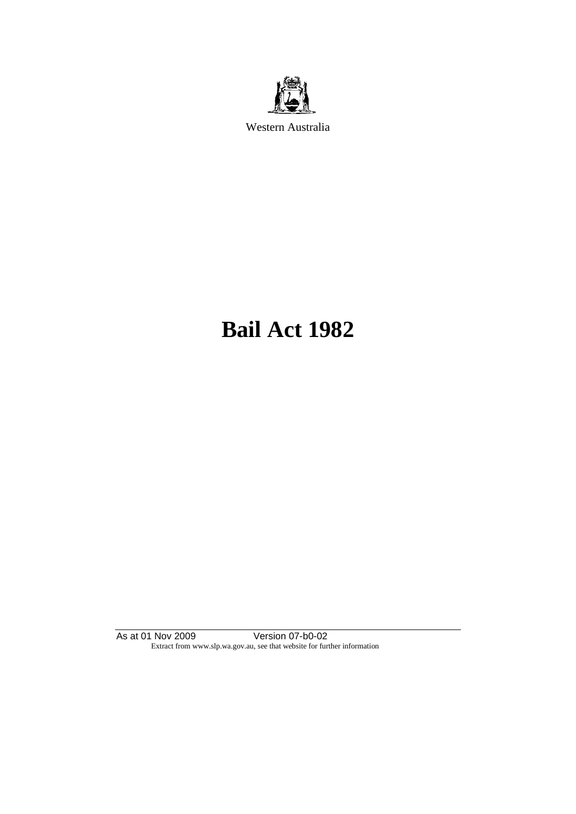

Western Australia

# **Bail Act 1982**

As at 01 Nov 2009 Version 07-b0-02 Extract from www.slp.wa.gov.au, see that website for further information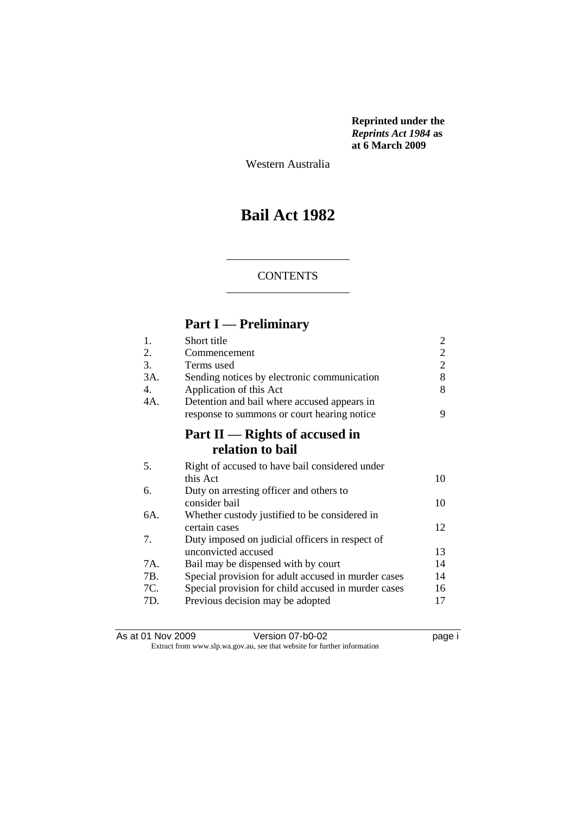**Reprinted under the**  *Reprints Act 1984* **as at 6 March 2009**

Western Australia

# **Bail Act 1982**

#### **CONTENTS**

# **Part I — Preliminary**

| Short title                                         | 2              |
|-----------------------------------------------------|----------------|
| Commencement                                        | $\overline{2}$ |
| Terms used                                          | $\overline{2}$ |
| Sending notices by electronic communication         | 8              |
| Application of this Act                             | 8              |
| Detention and bail where accused appears in         |                |
| response to summons or court hearing notice         | 9              |
| Part $II$ — Rights of accused in                    |                |
| relation to bail                                    |                |
| Right of accused to have bail considered under      |                |
| this Act                                            | 10             |
| Duty on arresting officer and others to             |                |
| consider bail                                       | 10             |
| Whether custody justified to be considered in       |                |
| certain cases                                       | 12             |
| Duty imposed on judicial officers in respect of     |                |
| unconvicted accused                                 | 13             |
| Bail may be dispensed with by court                 | 14             |
| Special provision for adult accused in murder cases | 14             |
| Special provision for child accused in murder cases | 16             |
| Previous decision may be adopted                    | 17             |
|                                                     |                |

As at 01 Nov 2009 Version 07-b0-02 Page i Extract from www.slp.wa.gov.au, see that website for further information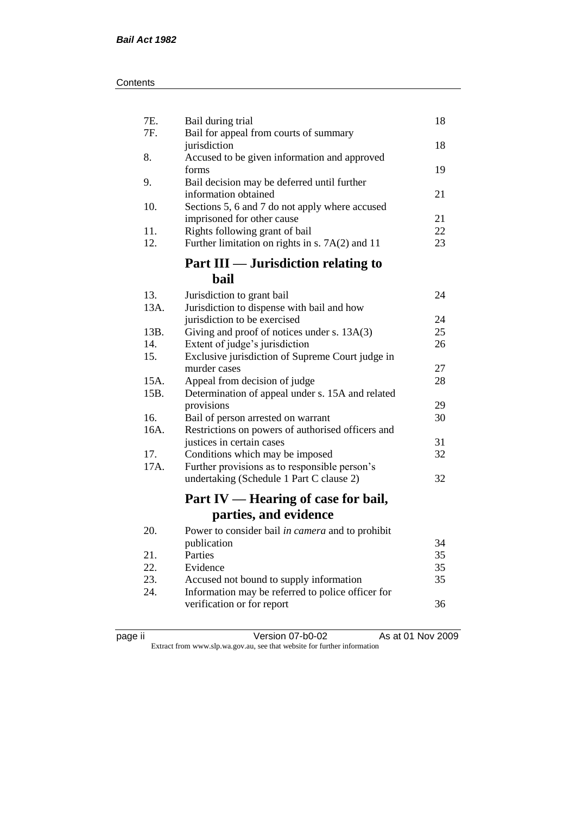| 7E.<br>7F.   | Bail during trial<br>Bail for appeal from courts of summary                       | 18 |
|--------------|-----------------------------------------------------------------------------------|----|
|              | jurisdiction                                                                      | 18 |
| 8.           | Accused to be given information and approved<br>forms                             | 19 |
| 9.           | Bail decision may be deferred until further<br>information obtained               | 21 |
| 10.          | Sections 5, 6 and 7 do not apply where accused                                    | 21 |
| 11.          | imprisoned for other cause<br>Rights following grant of bail                      | 22 |
| 12.          | Further limitation on rights in s. $7A(2)$ and 11                                 | 23 |
|              | Part III — Jurisdiction relating to                                               |    |
|              | bail                                                                              |    |
| 13.          | Jurisdiction to grant bail                                                        | 24 |
| 13A.         | Jurisdiction to dispense with bail and how                                        |    |
|              | jurisdiction to be exercised                                                      | 24 |
| 13B.         | Giving and proof of notices under s. 13A(3)                                       | 25 |
| 14.          | Extent of judge's jurisdiction                                                    | 26 |
| 15.          | Exclusive jurisdiction of Supreme Court judge in                                  |    |
|              | murder cases                                                                      | 27 |
| 15A.<br>15B. | Appeal from decision of judge<br>Determination of appeal under s. 15A and related | 28 |
|              | provisions                                                                        | 29 |
| 16.          | Bail of person arrested on warrant                                                | 30 |
| 16A.         | Restrictions on powers of authorised officers and                                 |    |
|              | justices in certain cases                                                         | 31 |
| 17.          | Conditions which may be imposed                                                   | 32 |
| 17A.         | Further provisions as to responsible person's                                     |    |
|              | undertaking (Schedule 1 Part C clause 2)                                          | 32 |
|              | Part IV — Hearing of case for bail,                                               |    |
|              | parties, and evidence                                                             |    |
| 20.          | Power to consider bail in camera and to prohibit                                  |    |
|              | publication                                                                       | 34 |
| 21.          | Parties                                                                           | 35 |
| 22.          | Evidence                                                                          | 35 |
| 23.          | Accused not bound to supply information                                           | 35 |
| 24.          | Information may be referred to police officer for                                 |    |
|              | verification or for report                                                        | 36 |

|  | ∽<br>- 1 |  |
|--|----------|--|
|--|----------|--|

page ii Version 07-b0-02 As at 01 Nov 2009 Extract from www.slp.wa.gov.au, see that website for further information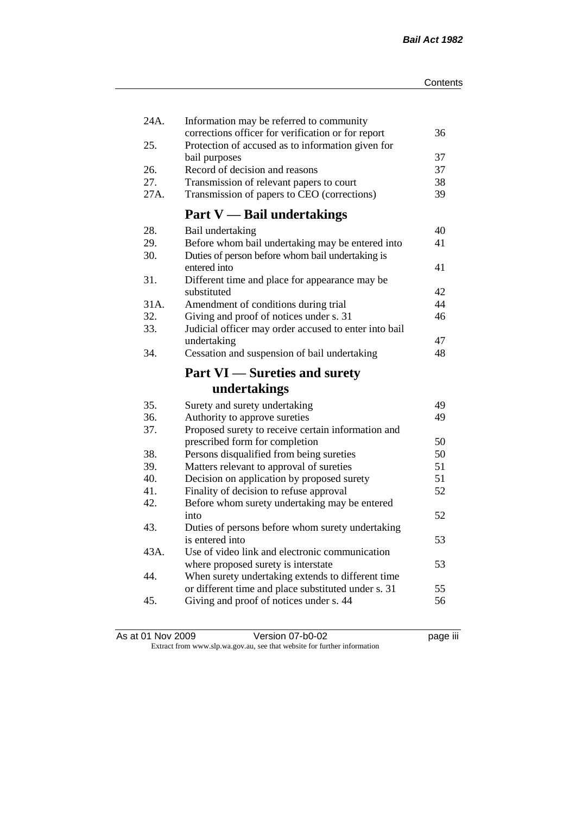| 24A. | Information may be referred to community<br>corrections officer for verification or for report | 36 |
|------|------------------------------------------------------------------------------------------------|----|
| 25.  | Protection of accused as to information given for                                              |    |
|      | bail purposes                                                                                  | 37 |
| 26.  | Record of decision and reasons                                                                 | 37 |
| 27.  | Transmission of relevant papers to court                                                       | 38 |
| 27A. | Transmission of papers to CEO (corrections)                                                    | 39 |
|      | <b>Part V</b> — Bail undertakings                                                              |    |
| 28.  | Bail undertaking                                                                               | 40 |
| 29.  | Before whom bail undertaking may be entered into                                               | 41 |
| 30.  | Duties of person before whom bail undertaking is                                               |    |
|      | entered into                                                                                   | 41 |
| 31.  | Different time and place for appearance may be                                                 |    |
|      | substituted                                                                                    | 42 |
| 31A. | Amendment of conditions during trial                                                           | 44 |
| 32.  | Giving and proof of notices under s. 31                                                        | 46 |
| 33.  | Judicial officer may order accused to enter into bail                                          |    |
|      | undertaking                                                                                    | 47 |
| 34.  | Cessation and suspension of bail undertaking                                                   | 48 |
|      |                                                                                                |    |
|      | <b>Part VI</b> — Sureties and surety                                                           |    |
|      | undertakings                                                                                   |    |
| 35.  | Surety and surety undertaking                                                                  | 49 |
| 36.  | Authority to approve sureties                                                                  | 49 |
| 37.  | Proposed surety to receive certain information and                                             |    |
|      | prescribed form for completion                                                                 | 50 |
| 38.  | Persons disqualified from being sureties                                                       | 50 |
| 39.  | Matters relevant to approval of sureties                                                       | 51 |
| 40.  | Decision on application by proposed surety                                                     | 51 |
| 41.  | Finality of decision to refuse approval                                                        | 52 |
| 42.  | Before whom surety undertaking may be entered                                                  |    |
|      | into                                                                                           | 52 |
| 43.  | Duties of persons before whom surety undertaking                                               |    |
|      | is entered into                                                                                | 53 |
| 43A. | Use of video link and electronic communication                                                 |    |
|      | where proposed surety is interstate                                                            | 53 |
| 44.  | When surety undertaking extends to different time                                              |    |
|      | or different time and place substituted under s. 31                                            | 55 |
| 45.  | Giving and proof of notices under s. 44                                                        | 56 |

As at 01 Nov 2009 **Version 07-b0-02 Page iii page iii** Extract from www.slp.wa.gov.au, see that website for further information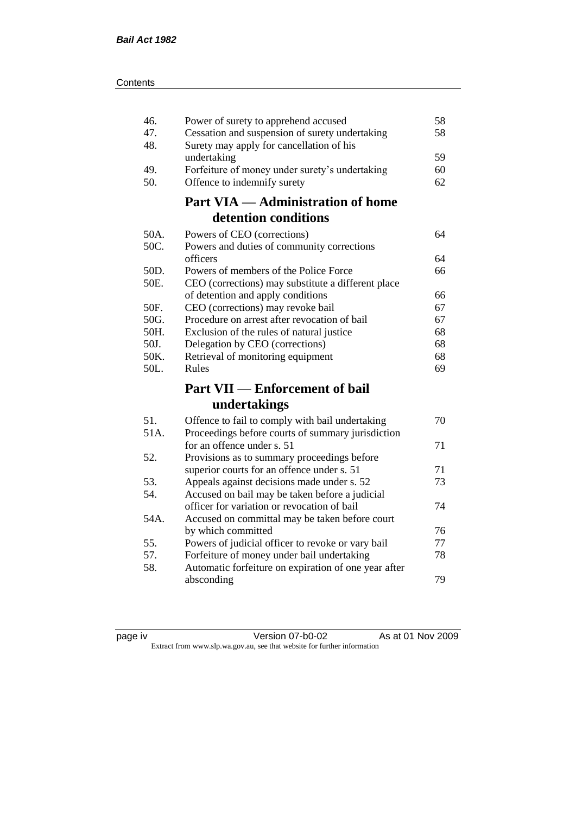|--|

| 46.<br>47.<br>48. | Power of surety to apprehend accused<br>Cessation and suspension of surety undertaking<br>Surety may apply for cancellation of his | 58<br>58 |
|-------------------|------------------------------------------------------------------------------------------------------------------------------------|----------|
|                   | undertaking                                                                                                                        | 59       |
| 49.               | Forfeiture of money under surety's undertaking                                                                                     | 60       |
| 50.               | Offence to indemnify surety                                                                                                        | 62       |
|                   | <b>Part VIA — Administration of home</b>                                                                                           |          |
|                   | detention conditions                                                                                                               |          |
| 50A.              | Powers of CEO (corrections)                                                                                                        | 64       |
| 50C.              | Powers and duties of community corrections                                                                                         |          |
|                   | officers                                                                                                                           | 64       |
| 50D.              | Powers of members of the Police Force                                                                                              | 66       |
| 50E.              | CEO (corrections) may substitute a different place                                                                                 |          |
|                   | of detention and apply conditions                                                                                                  | 66       |
| 50F.              | CEO (corrections) may revoke bail                                                                                                  | 67       |
| 50G.              | Procedure on arrest after revocation of bail                                                                                       | 67       |
| 50H.              | Exclusion of the rules of natural justice                                                                                          | 68       |
| 50J.              | Delegation by CEO (corrections)                                                                                                    | 68       |
| 50K.              | Retrieval of monitoring equipment                                                                                                  | 68       |
| 50L.              | Rules                                                                                                                              | 69       |
|                   | <b>Part VII — Enforcement of bail</b>                                                                                              |          |
|                   | undertakings                                                                                                                       |          |
| 51.               | Offence to fail to comply with bail undertaking                                                                                    | 70       |
| 51A.              | Proceedings before courts of summary jurisdiction                                                                                  |          |
|                   | for an offence under s. 51                                                                                                         | 71       |
| 52.               | Provisions as to summary proceedings before                                                                                        |          |
|                   | superior courts for an offence under s. 51                                                                                         | 71       |
| 53.               | Appeals against decisions made under s. 52                                                                                         | 73       |
| 54.               | Accused on bail may be taken before a judicial                                                                                     |          |
|                   | officer for variation or revocation of bail                                                                                        | 74       |
| 54A.              | Accused on committal may be taken before court                                                                                     |          |
|                   | by which committed                                                                                                                 | 76       |
| 55.               | Powers of judicial officer to revoke or vary bail                                                                                  | 77       |
| 57.               | Forfeiture of money under bail undertaking                                                                                         | 78       |
| 58.               | Automatic forfeiture on expiration of one year after                                                                               |          |
|                   | absconding                                                                                                                         | 79       |
|                   |                                                                                                                                    |          |

| page iv |  |
|---------|--|
|         |  |

page iv Version 07-b0-02 As at 01 Nov 2009 Extract from www.slp.wa.gov.au, see that website for further information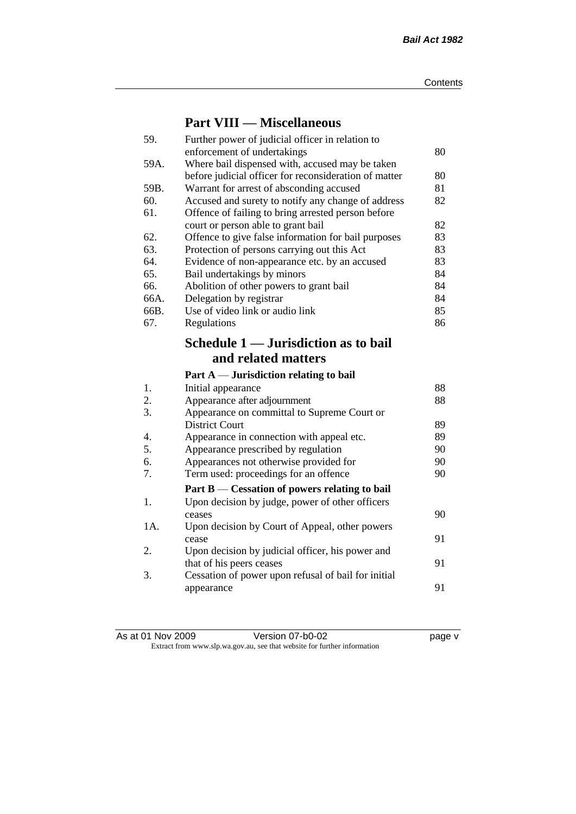### **Part VIII — Miscellaneous**

| 59.  | Further power of judicial officer in relation to          |    |
|------|-----------------------------------------------------------|----|
|      | enforcement of undertakings                               | 80 |
| 59A. | Where bail dispensed with, accused may be taken           |    |
|      | before judicial officer for reconsideration of matter     | 80 |
| 59B. | Warrant for arrest of absconding accused                  | 81 |
| 60.  | Accused and surety to notify any change of address        | 82 |
| 61.  | Offence of failing to bring arrested person before        |    |
|      | court or person able to grant bail                        | 82 |
| 62.  | Offence to give false information for bail purposes       | 83 |
| 63.  | Protection of persons carrying out this Act               | 83 |
| 64.  | Evidence of non-appearance etc. by an accused             | 83 |
| 65.  | Bail undertakings by minors                               | 84 |
| 66.  | Abolition of other powers to grant bail                   | 84 |
| 66A. | Delegation by registrar                                   | 84 |
| 66B. | Use of video link or audio link                           | 85 |
| 67.  | Regulations                                               | 86 |
|      | Schedule 1 — Jurisdiction as to bail                      |    |
|      |                                                           |    |
|      | and related matters                                       |    |
|      |                                                           |    |
|      | Part $A$ — Jurisdiction relating to bail                  |    |
| 1.   | Initial appearance                                        | 88 |
| 2.   | Appearance after adjournment                              | 88 |
| 3.   | Appearance on committal to Supreme Court or               |    |
|      | <b>District Court</b>                                     | 89 |
| 4.   | Appearance in connection with appeal etc.                 | 89 |
| 5.   | Appearance prescribed by regulation                       | 90 |
| 6.   | Appearances not otherwise provided for                    | 90 |
| 7.   | Term used: proceedings for an offence                     | 90 |
|      |                                                           |    |
| 1.   | Part B — Cessation of powers relating to bail             |    |
|      | Upon decision by judge, power of other officers<br>ceases | 90 |
| 1A.  |                                                           |    |
|      | Upon decision by Court of Appeal, other powers<br>cease   | 91 |
| 2.   | Upon decision by judicial officer, his power and          |    |
|      | that of his peers ceases                                  | 91 |
| 3.   | Cessation of power upon refusal of bail for initial       |    |
|      | appearance                                                | 91 |

| As at 01 Nov 2009 | Version 07-b0-02                                                         | page v |
|-------------------|--------------------------------------------------------------------------|--------|
|                   | Extract from www.slp.wa.gov.au, see that website for further information |        |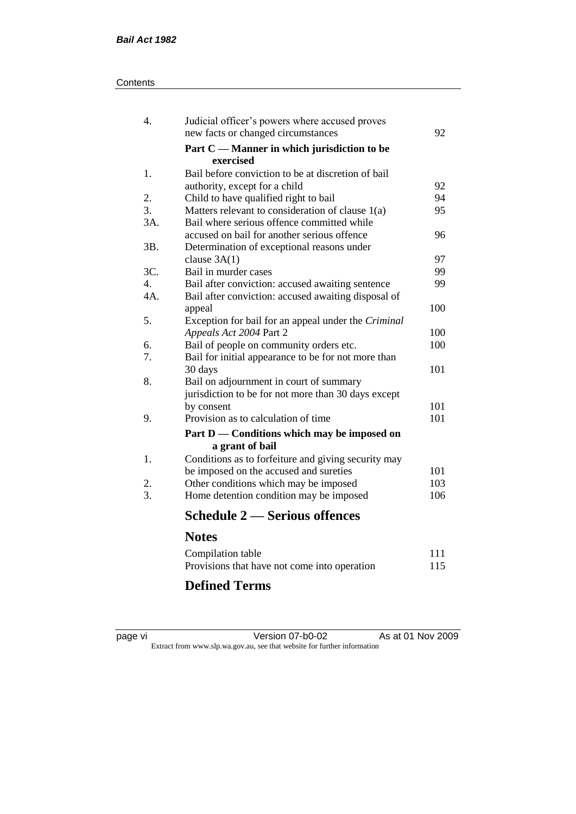#### **Contents**

| 4.               | Judicial officer's powers where accused proves           |     |
|------------------|----------------------------------------------------------|-----|
|                  | new facts or changed circumstances                       | 92  |
|                  | Part C — Manner in which jurisdiction to be<br>exercised |     |
| 1.               | Bail before conviction to be at discretion of bail       |     |
|                  | authority, except for a child                            | 92  |
| 2.               | Child to have qualified right to bail                    | 94  |
| 3.               | Matters relevant to consideration of clause 1(a)         | 95  |
| 3A.              | Bail where serious offence committed while               |     |
|                  | accused on bail for another serious offence              | 96  |
| 3B.              | Determination of exceptional reasons under               |     |
|                  | clause $3A(1)$                                           | 97  |
| 3C.              | Bail in murder cases                                     | 99  |
| $\overline{4}$ . | Bail after conviction: accused awaiting sentence         | 99  |
| $4A$ .           | Bail after conviction: accused awaiting disposal of      |     |
|                  | appeal                                                   | 100 |
| 5.               | Exception for bail for an appeal under the Criminal      |     |
|                  | Appeals Act 2004 Part 2                                  | 100 |
| 6.               | Bail of people on community orders etc.                  | 100 |
| 7.               | Bail for initial appearance to be for not more than      |     |
|                  | 30 days                                                  | 101 |
| 8.               | Bail on adjournment in court of summary                  |     |
|                  | jurisdiction to be for not more than 30 days except      |     |
|                  | by consent                                               | 101 |
| 9.               | Provision as to calculation of time                      | 101 |
|                  | Part D — Conditions which may be imposed on              |     |
|                  | a grant of bail                                          |     |
| 1.               | Conditions as to forfeiture and giving security may      |     |
|                  | be imposed on the accused and sureties                   | 101 |
| 2.               | Other conditions which may be imposed                    | 103 |
| 3.               | Home detention condition may be imposed                  | 106 |
|                  | <b>Schedule 2 — Serious offences</b>                     |     |
|                  | <b>Notes</b>                                             |     |
|                  | Compilation table                                        | 111 |
|                  | Provisions that have not come into operation             | 115 |
|                  |                                                          |     |

# **Defined Terms**

| page | vı |  |
|------|----|--|
|      |    |  |

page vi Version 07-b0-02 As at 01 Nov 2009 Extract from www.slp.wa.gov.au, see that website for further information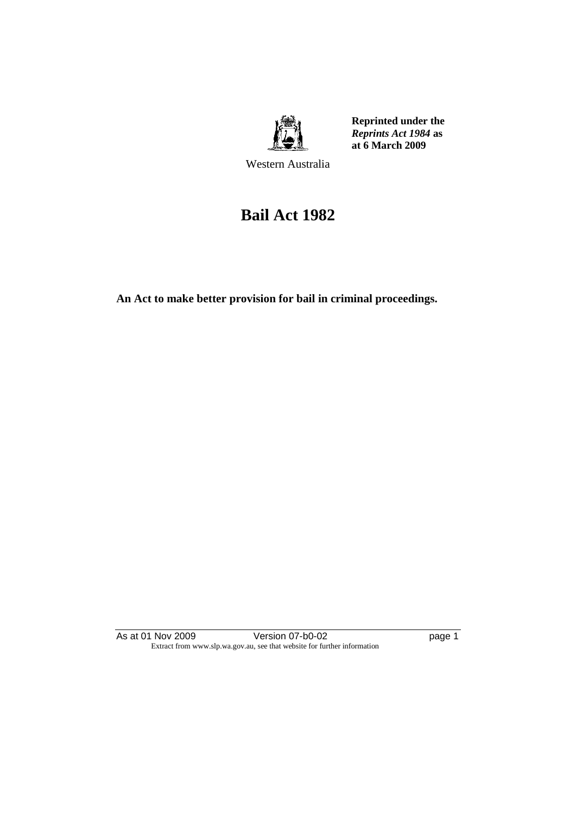

**Reprinted under the**  *Reprints Act 1984* **as at 6 March 2009**

Western Australia

# **Bail Act 1982**

**An Act to make better provision for bail in criminal proceedings.** 

As at 01 Nov 2009 Version 07-b0-02 page 1 Extract from www.slp.wa.gov.au, see that website for further information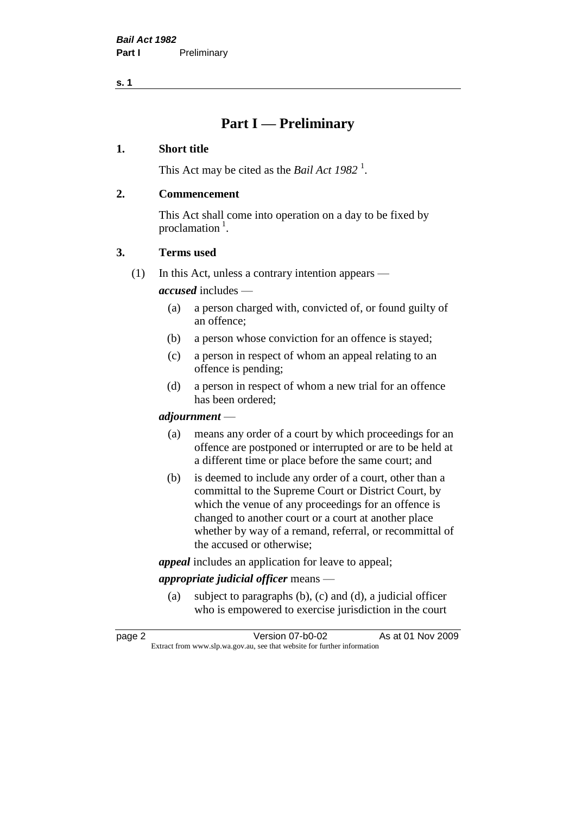### **Part I — Preliminary**

#### **1. Short title**

This Act may be cited as the *Bail Act* 1982<sup>1</sup>.

#### **2. Commencement**

This Act shall come into operation on a day to be fixed by proclamation  $<sup>1</sup>$ .</sup>

#### **3. Terms used**

(1) In this Act, unless a contrary intention appears —

*accused* includes —

- (a) a person charged with, convicted of, or found guilty of an offence;
- (b) a person whose conviction for an offence is stayed;
- (c) a person in respect of whom an appeal relating to an offence is pending;
- (d) a person in respect of whom a new trial for an offence has been ordered;

#### *adjournment* —

- (a) means any order of a court by which proceedings for an offence are postponed or interrupted or are to be held at a different time or place before the same court; and
- (b) is deemed to include any order of a court, other than a committal to the Supreme Court or District Court, by which the venue of any proceedings for an offence is changed to another court or a court at another place whether by way of a remand, referral, or recommittal of the accused or otherwise;

*appeal* includes an application for leave to appeal;

#### *appropriate judicial officer* means —

(a) subject to paragraphs (b), (c) and (d), a judicial officer who is empowered to exercise jurisdiction in the court

| page 2 | Version 07-b0-02                                                         | As at 01 Nov 2009 |
|--------|--------------------------------------------------------------------------|-------------------|
|        | Extract from www.slp.wa.gov.au, see that website for further information |                   |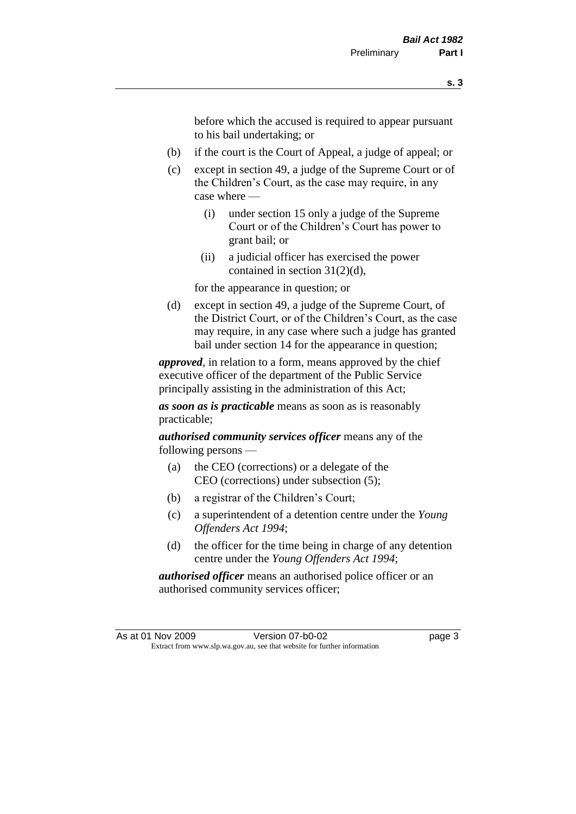before which the accused is required to appear pursuant to his bail undertaking; or

- (b) if the court is the Court of Appeal, a judge of appeal; or
- (c) except in section 49, a judge of the Supreme Court or of the Children's Court, as the case may require, in any case where —
	- (i) under section 15 only a judge of the Supreme Court or of the Children's Court has power to grant bail; or
	- (ii) a judicial officer has exercised the power contained in section 31(2)(d),

for the appearance in question; or

(d) except in section 49, a judge of the Supreme Court, of the District Court, or of the Children's Court, as the case may require, in any case where such a judge has granted bail under section 14 for the appearance in question;

*approved*, in relation to a form, means approved by the chief executive officer of the department of the Public Service principally assisting in the administration of this Act;

*as soon as is practicable* means as soon as is reasonably practicable;

*authorised community services officer* means any of the following persons —

- (a) the CEO (corrections) or a delegate of the CEO (corrections) under subsection (5);
- (b) a registrar of the Children's Court;
- (c) a superintendent of a detention centre under the *Young Offenders Act 1994*;
- (d) the officer for the time being in charge of any detention centre under the *Young Offenders Act 1994*;

*authorised officer* means an authorised police officer or an authorised community services officer;

As at 01 Nov 2009 Version 07-b0-02 page 3 Extract from www.slp.wa.gov.au, see that website for further information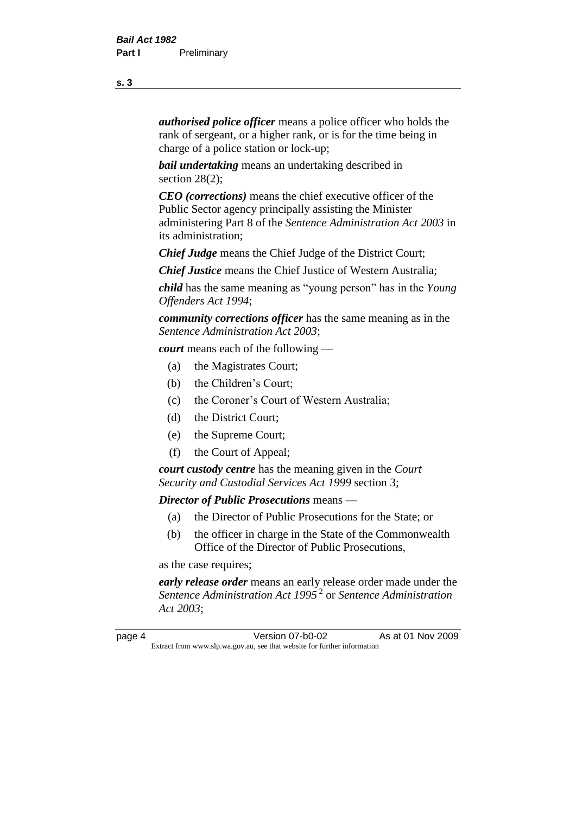*authorised police officer* means a police officer who holds the rank of sergeant, or a higher rank, or is for the time being in charge of a police station or lock-up;

*bail undertaking* means an undertaking described in section 28(2):

*CEO (corrections)* means the chief executive officer of the Public Sector agency principally assisting the Minister administering Part 8 of the *Sentence Administration Act 2003* in its administration;

*Chief Judge* means the Chief Judge of the District Court;

*Chief Justice* means the Chief Justice of Western Australia;

*child* has the same meaning as "young person" has in the *Young Offenders Act 1994*;

*community corrections officer* has the same meaning as in the *Sentence Administration Act 2003*;

*court* means each of the following —

- (a) the Magistrates Court;
- (b) the Children's Court;
- (c) the Coroner's Court of Western Australia;
- (d) the District Court;
- (e) the Supreme Court;
- (f) the Court of Appeal;

*court custody centre* has the meaning given in the *Court Security and Custodial Services Act 1999* section 3;

*Director of Public Prosecutions* means —

- (a) the Director of Public Prosecutions for the State; or
- (b) the officer in charge in the State of the Commonwealth Office of the Director of Public Prosecutions,

as the case requires;

*early release order* means an early release order made under the *Sentence Administration Act 1995* <sup>2</sup> or *Sentence Administration Act 2003*;

page 4 Version 07-b0-02 As at 01 Nov 2009 Extract from www.slp.wa.gov.au, see that website for further information

**s. 3**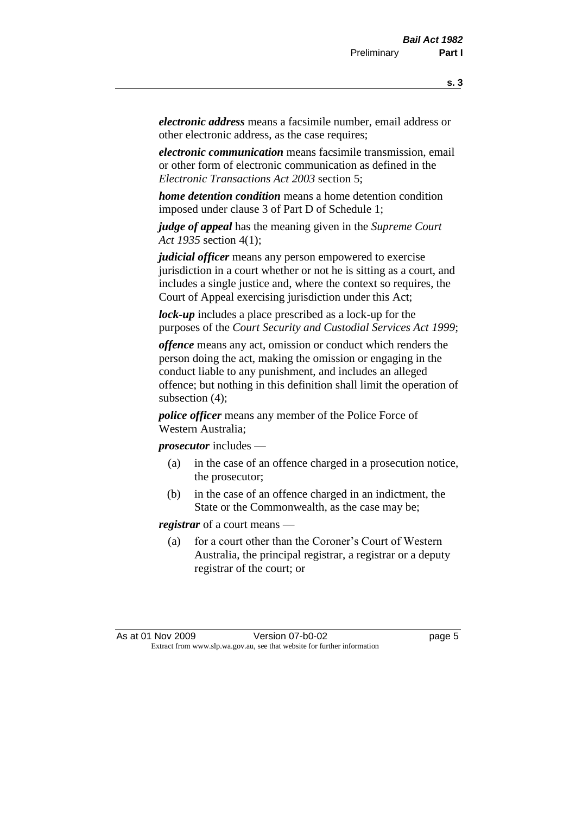*electronic address* means a facsimile number, email address or other electronic address, as the case requires;

*electronic communication* means facsimile transmission, email or other form of electronic communication as defined in the *Electronic Transactions Act 2003* section 5;

*home detention condition* means a home detention condition imposed under clause 3 of Part D of Schedule 1;

*judge of appeal* has the meaning given in the *Supreme Court Act 1935* section 4(1);

*judicial officer* means any person empowered to exercise jurisdiction in a court whether or not he is sitting as a court, and includes a single justice and, where the context so requires, the Court of Appeal exercising jurisdiction under this Act;

*lock-up* includes a place prescribed as a lock-up for the purposes of the *Court Security and Custodial Services Act 1999*;

*offence* means any act, omission or conduct which renders the person doing the act, making the omission or engaging in the conduct liable to any punishment, and includes an alleged offence; but nothing in this definition shall limit the operation of subsection (4);

*police officer* means any member of the Police Force of Western Australia;

*prosecutor* includes —

- (a) in the case of an offence charged in a prosecution notice, the prosecutor;
- (b) in the case of an offence charged in an indictment, the State or the Commonwealth, as the case may be;

*registrar* of a court means —

(a) for a court other than the Coroner's Court of Western Australia, the principal registrar, a registrar or a deputy registrar of the court; or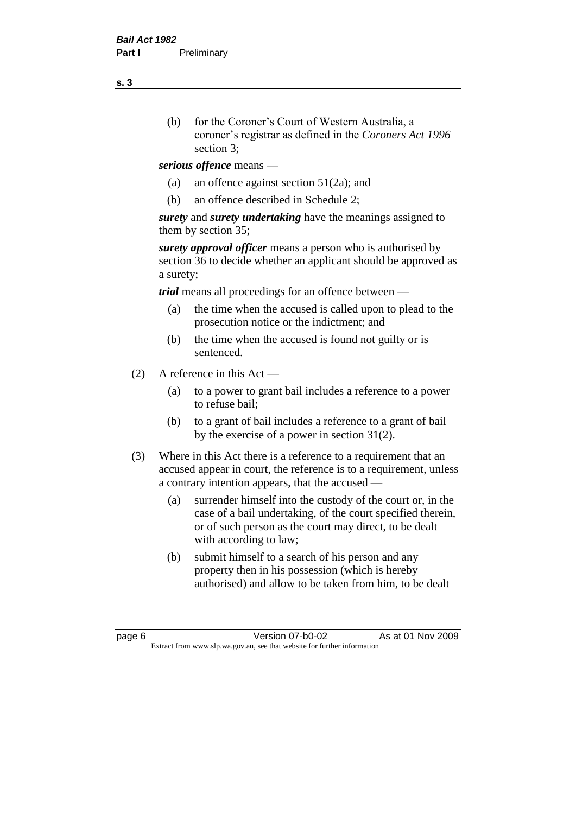- (b) for the Coroner's Court of Western Australia, a coroner's registrar as defined in the *Coroners Act 1996* section 3;
- *serious offence* means
	- (a) an offence against section 51(2a); and
	- (b) an offence described in Schedule 2;

*surety* and *surety undertaking* have the meanings assigned to them by section 35;

*surety approval officer* means a person who is authorised by section 36 to decide whether an applicant should be approved as a surety;

*trial* means all proceedings for an offence between —

- (a) the time when the accused is called upon to plead to the prosecution notice or the indictment; and
- (b) the time when the accused is found not guilty or is sentenced.
- (2) A reference in this Act
	- (a) to a power to grant bail includes a reference to a power to refuse bail;
	- (b) to a grant of bail includes a reference to a grant of bail by the exercise of a power in section 31(2).
- (3) Where in this Act there is a reference to a requirement that an accused appear in court, the reference is to a requirement, unless a contrary intention appears, that the accused —
	- (a) surrender himself into the custody of the court or, in the case of a bail undertaking, of the court specified therein, or of such person as the court may direct, to be dealt with according to law;
	- (b) submit himself to a search of his person and any property then in his possession (which is hereby authorised) and allow to be taken from him, to be dealt

page 6 Version 07-b0-02 As at 01 Nov 2009 Extract from www.slp.wa.gov.au, see that website for further information

**s. 3**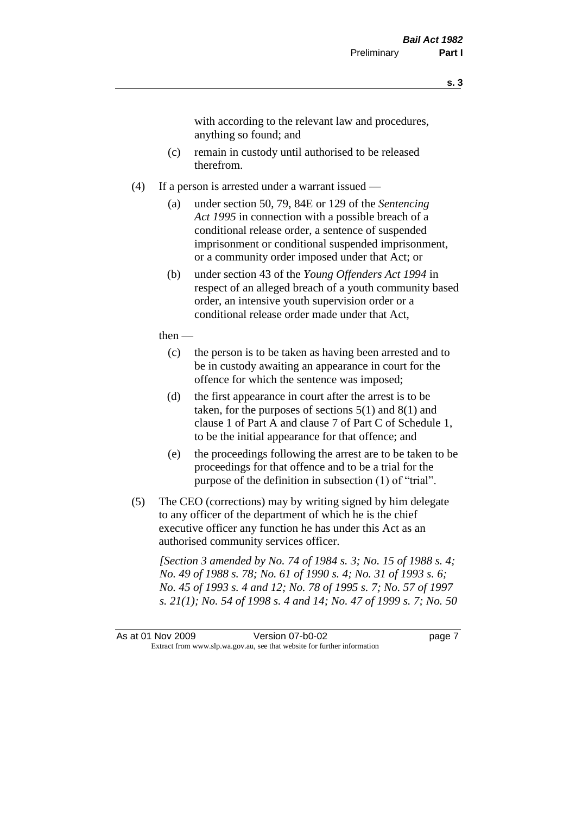with according to the relevant law and procedures, anything so found; and

- (c) remain in custody until authorised to be released therefrom.
- (4) If a person is arrested under a warrant issued
	- (a) under section 50, 79, 84E or 129 of the *Sentencing Act 1995* in connection with a possible breach of a conditional release order, a sentence of suspended imprisonment or conditional suspended imprisonment, or a community order imposed under that Act; or
	- (b) under section 43 of the *Young Offenders Act 1994* in respect of an alleged breach of a youth community based order, an intensive youth supervision order or a conditional release order made under that Act,
	- then
		- (c) the person is to be taken as having been arrested and to be in custody awaiting an appearance in court for the offence for which the sentence was imposed;
		- (d) the first appearance in court after the arrest is to be taken, for the purposes of sections  $5(1)$  and  $8(1)$  and clause 1 of Part A and clause 7 of Part C of Schedule 1, to be the initial appearance for that offence; and
		- (e) the proceedings following the arrest are to be taken to be proceedings for that offence and to be a trial for the purpose of the definition in subsection (1) of "trial".
- (5) The CEO (corrections) may by writing signed by him delegate to any officer of the department of which he is the chief executive officer any function he has under this Act as an authorised community services officer.

*[Section 3 amended by No. 74 of 1984 s. 3; No. 15 of 1988 s. 4; No. 49 of 1988 s. 78; No. 61 of 1990 s. 4; No. 31 of 1993 s. 6; No. 45 of 1993 s. 4 and 12; No. 78 of 1995 s. 7; No. 57 of 1997 s. 21(1); No. 54 of 1998 s. 4 and 14; No. 47 of 1999 s. 7; No. 50* 

As at 01 Nov 2009 Version 07-b0-02 page 7 Extract from www.slp.wa.gov.au, see that website for further information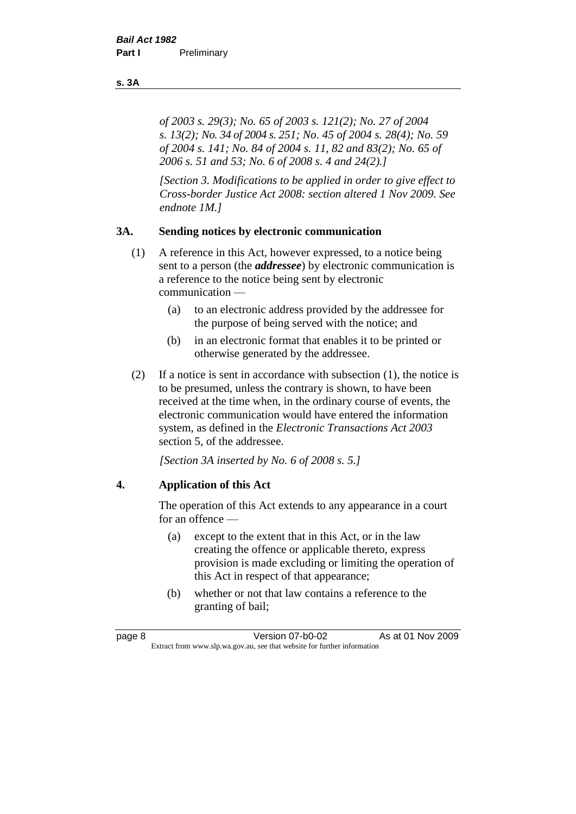*of 2003 s. 29(3); No. 65 of 2003 s. 121(2); No. 27 of 2004 s. 13(2); No. 34 of 2004 s. 251; No. 45 of 2004 s. 28(4); No. 59 of 2004 s. 141; No. 84 of 2004 s. 11, 82 and 83(2); No. 65 of 2006 s. 51 and 53; No. 6 of 2008 s. 4 and 24(2).]* 

*[Section 3. Modifications to be applied in order to give effect to Cross-border Justice Act 2008: section altered 1 Nov 2009. See endnote 1M.]*

#### **3A. Sending notices by electronic communication**

- (1) A reference in this Act, however expressed, to a notice being sent to a person (the *addressee*) by electronic communication is a reference to the notice being sent by electronic communication —
	- (a) to an electronic address provided by the addressee for the purpose of being served with the notice; and
	- (b) in an electronic format that enables it to be printed or otherwise generated by the addressee.
- (2) If a notice is sent in accordance with subsection (1), the notice is to be presumed, unless the contrary is shown, to have been received at the time when, in the ordinary course of events, the electronic communication would have entered the information system, as defined in the *Electronic Transactions Act 2003* section 5, of the addressee.

*[Section 3A inserted by No. 6 of 2008 s. 5.]*

#### **4. Application of this Act**

The operation of this Act extends to any appearance in a court for an offence —

- (a) except to the extent that in this Act, or in the law creating the offence or applicable thereto, express provision is made excluding or limiting the operation of this Act in respect of that appearance;
- (b) whether or not that law contains a reference to the granting of bail;

#### **s. 3A**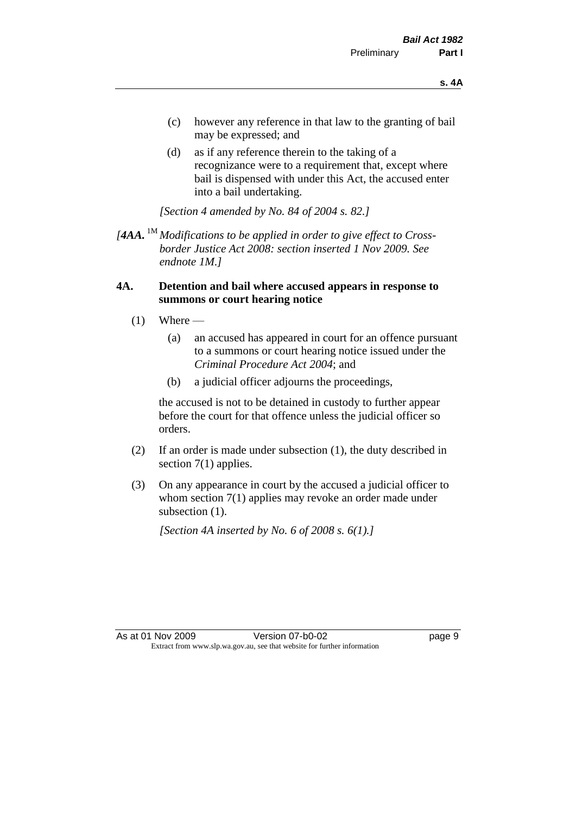- (c) however any reference in that law to the granting of bail may be expressed; and
- (d) as if any reference therein to the taking of a recognizance were to a requirement that, except where bail is dispensed with under this Act, the accused enter into a bail undertaking.

*[Section 4 amended by No. 84 of 2004 s. 82.]*

*[4AA.* 1M *Modifications to be applied in order to give effect to Crossborder Justice Act 2008: section inserted 1 Nov 2009. See endnote 1M.]*

#### **4A. Detention and bail where accused appears in response to summons or court hearing notice**

- $(1)$  Where
	- (a) an accused has appeared in court for an offence pursuant to a summons or court hearing notice issued under the *Criminal Procedure Act 2004*; and
	- (b) a judicial officer adjourns the proceedings,

the accused is not to be detained in custody to further appear before the court for that offence unless the judicial officer so orders.

- (2) If an order is made under subsection (1), the duty described in section 7(1) applies.
- (3) On any appearance in court by the accused a judicial officer to whom section 7(1) applies may revoke an order made under subsection  $(1)$ .

*[Section 4A inserted by No. 6 of 2008 s. 6(1).]*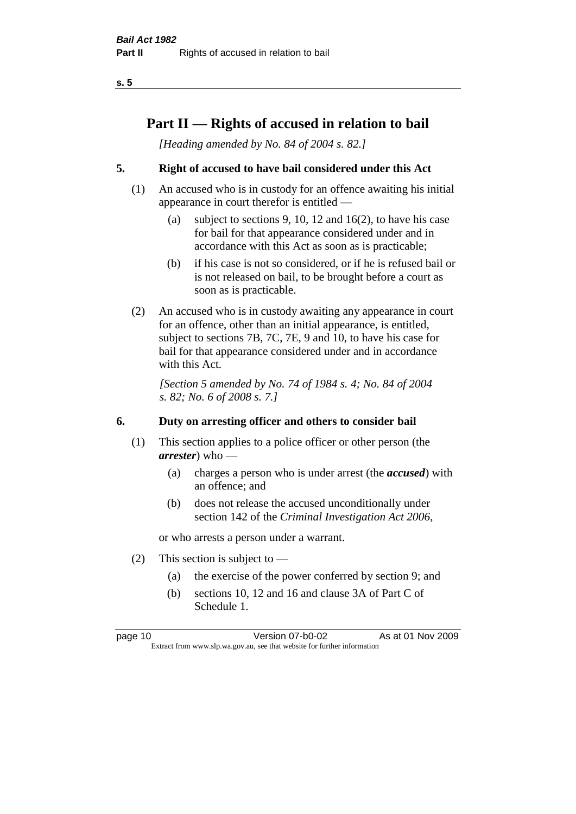### **Part II — Rights of accused in relation to bail**

*[Heading amended by No. 84 of 2004 s. 82.]* 

#### **5. Right of accused to have bail considered under this Act**

- (1) An accused who is in custody for an offence awaiting his initial appearance in court therefor is entitled —
	- (a) subject to sections 9, 10, 12 and 16(2), to have his case for bail for that appearance considered under and in accordance with this Act as soon as is practicable;
	- (b) if his case is not so considered, or if he is refused bail or is not released on bail, to be brought before a court as soon as is practicable.
- (2) An accused who is in custody awaiting any appearance in court for an offence, other than an initial appearance, is entitled, subject to sections 7B, 7C, 7E, 9 and 10, to have his case for bail for that appearance considered under and in accordance with this Act.

*[Section 5 amended by No. 74 of 1984 s. 4; No. 84 of 2004 s. 82; No. 6 of 2008 s. 7.]* 

#### **6. Duty on arresting officer and others to consider bail**

- (1) This section applies to a police officer or other person (the *arrester*) who —
	- (a) charges a person who is under arrest (the *accused*) with an offence; and
	- (b) does not release the accused unconditionally under section 142 of the *Criminal Investigation Act 2006*,

or who arrests a person under a warrant.

- (2) This section is subject to  $-$ 
	- (a) the exercise of the power conferred by section 9; and
	- (b) sections 10, 12 and 16 and clause 3A of Part C of Schedule 1.

page 10 Version 07-b0-02 As at 01 Nov 2009 Extract from www.slp.wa.gov.au, see that website for further information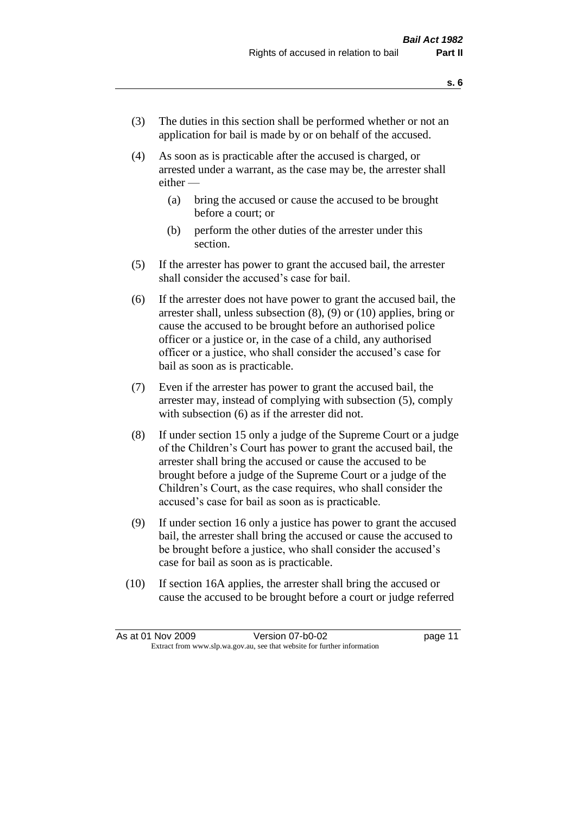- (3) The duties in this section shall be performed whether or not an application for bail is made by or on behalf of the accused.
- (4) As soon as is practicable after the accused is charged, or arrested under a warrant, as the case may be, the arrester shall either —
	- (a) bring the accused or cause the accused to be brought before a court; or
	- (b) perform the other duties of the arrester under this section.
- (5) If the arrester has power to grant the accused bail, the arrester shall consider the accused's case for bail.
- (6) If the arrester does not have power to grant the accused bail, the arrester shall, unless subsection (8), (9) or (10) applies, bring or cause the accused to be brought before an authorised police officer or a justice or, in the case of a child, any authorised officer or a justice, who shall consider the accused's case for bail as soon as is practicable.
- (7) Even if the arrester has power to grant the accused bail, the arrester may, instead of complying with subsection (5), comply with subsection (6) as if the arrester did not.
- (8) If under section 15 only a judge of the Supreme Court or a judge of the Children's Court has power to grant the accused bail, the arrester shall bring the accused or cause the accused to be brought before a judge of the Supreme Court or a judge of the Children's Court, as the case requires, who shall consider the accused's case for bail as soon as is practicable.
- (9) If under section 16 only a justice has power to grant the accused bail, the arrester shall bring the accused or cause the accused to be brought before a justice, who shall consider the accused's case for bail as soon as is practicable.
- (10) If section 16A applies, the arrester shall bring the accused or cause the accused to be brought before a court or judge referred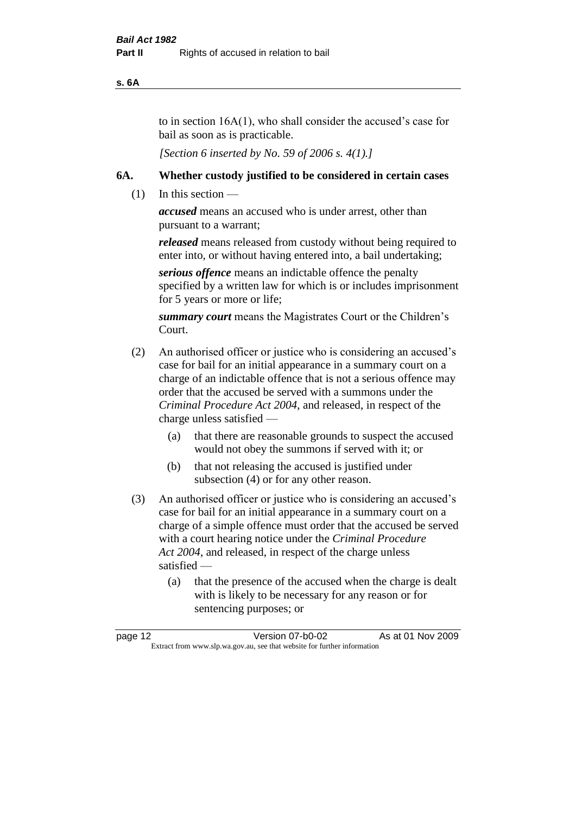#### **s. 6A**

to in section 16A(1), who shall consider the accused's case for bail as soon as is practicable.

*[Section 6 inserted by No. 59 of 2006 s. 4(1).]* 

#### **6A. Whether custody justified to be considered in certain cases**

(1) In this section —

*accused* means an accused who is under arrest, other than pursuant to a warrant;

*released* means released from custody without being required to enter into, or without having entered into, a bail undertaking;

*serious offence* means an indictable offence the penalty specified by a written law for which is or includes imprisonment for 5 years or more or life;

*summary court* means the Magistrates Court or the Children's Court.

- (2) An authorised officer or justice who is considering an accused's case for bail for an initial appearance in a summary court on a charge of an indictable offence that is not a serious offence may order that the accused be served with a summons under the *Criminal Procedure Act 2004*, and released, in respect of the charge unless satisfied —
	- (a) that there are reasonable grounds to suspect the accused would not obey the summons if served with it; or
	- (b) that not releasing the accused is justified under subsection (4) or for any other reason.
- (3) An authorised officer or justice who is considering an accused's case for bail for an initial appearance in a summary court on a charge of a simple offence must order that the accused be served with a court hearing notice under the *Criminal Procedure Act 2004*, and released, in respect of the charge unless satisfied —
	- (a) that the presence of the accused when the charge is dealt with is likely to be necessary for any reason or for sentencing purposes; or

| page 12                                                                  | Version 07-b0-02 | As at 01 Nov 2009 |
|--------------------------------------------------------------------------|------------------|-------------------|
| Extract from www.slp.wa.gov.au, see that website for further information |                  |                   |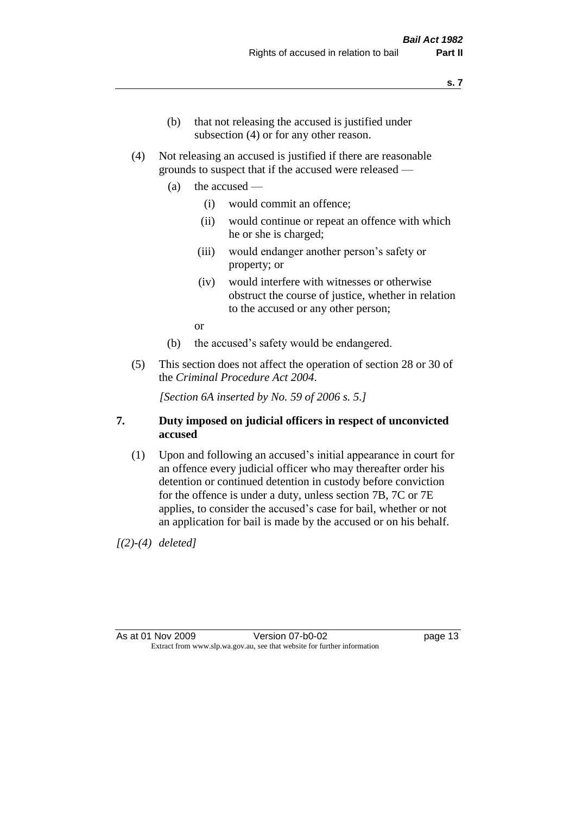- (b) that not releasing the accused is justified under subsection (4) or for any other reason.
- (4) Not releasing an accused is justified if there are reasonable grounds to suspect that if the accused were released —
	- (a) the accused
		- (i) would commit an offence;
		- (ii) would continue or repeat an offence with which he or she is charged;
		- (iii) would endanger another person's safety or property; or
		- (iv) would interfere with witnesses or otherwise obstruct the course of justice, whether in relation to the accused or any other person;

or

- (b) the accused's safety would be endangered.
- (5) This section does not affect the operation of section 28 or 30 of the *Criminal Procedure Act 2004*.

*[Section 6A inserted by No. 59 of 2006 s. 5.]* 

#### **7. Duty imposed on judicial officers in respect of unconvicted accused**

(1) Upon and following an accused's initial appearance in court for an offence every judicial officer who may thereafter order his detention or continued detention in custody before conviction for the offence is under a duty, unless section 7B, 7C or 7E applies, to consider the accused's case for bail, whether or not an application for bail is made by the accused or on his behalf.

*[(2)-(4) deleted]*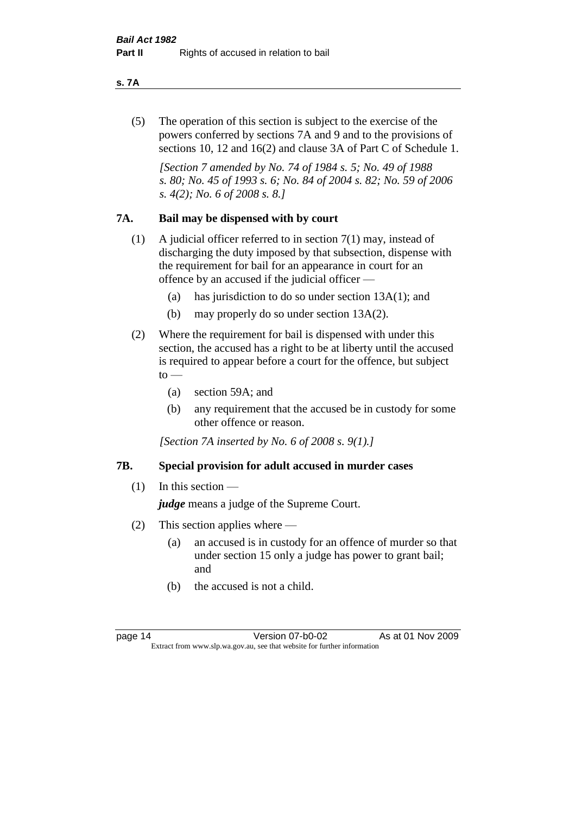#### **s. 7A**

(5) The operation of this section is subject to the exercise of the powers conferred by sections 7A and 9 and to the provisions of sections 10, 12 and 16(2) and clause 3A of Part C of Schedule 1.

*[Section 7 amended by No. 74 of 1984 s. 5; No. 49 of 1988 s. 80; No. 45 of 1993 s. 6; No. 84 of 2004 s. 82; No. 59 of 2006 s. 4(2); No. 6 of 2008 s. 8.]* 

#### **7A. Bail may be dispensed with by court**

- (1) A judicial officer referred to in section 7(1) may, instead of discharging the duty imposed by that subsection, dispense with the requirement for bail for an appearance in court for an offence by an accused if the judicial officer —
	- (a) has jurisdiction to do so under section 13A(1); and
	- (b) may properly do so under section 13A(2).
- (2) Where the requirement for bail is dispensed with under this section, the accused has a right to be at liberty until the accused is required to appear before a court for the offence, but subject  $\mathrm{to}$  —
	- (a) section 59A; and
	- (b) any requirement that the accused be in custody for some other offence or reason.

*[Section 7A inserted by No. 6 of 2008 s. 9(1).]*

#### **7B. Special provision for adult accused in murder cases**

 $(1)$  In this section —

*judge* means a judge of the Supreme Court.

- (2) This section applies where
	- (a) an accused is in custody for an offence of murder so that under section 15 only a judge has power to grant bail; and
	- (b) the accused is not a child.

page 14 Version 07-b0-02 As at 01 Nov 2009 Extract from www.slp.wa.gov.au, see that website for further information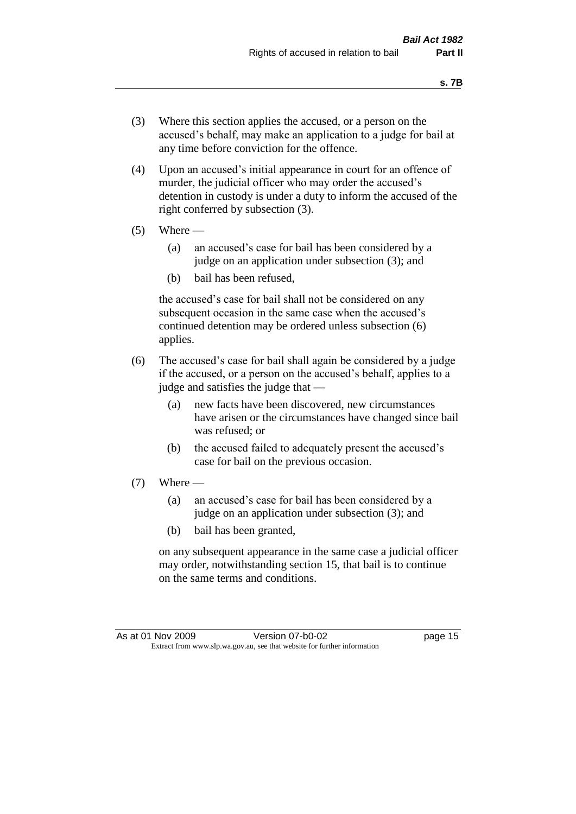- (3) Where this section applies the accused, or a person on the accused's behalf, may make an application to a judge for bail at any time before conviction for the offence.
- (4) Upon an accused's initial appearance in court for an offence of murder, the judicial officer who may order the accused's detention in custody is under a duty to inform the accused of the right conferred by subsection (3).
- $(5)$  Where
	- (a) an accused's case for bail has been considered by a judge on an application under subsection (3); and
	- (b) bail has been refused,

the accused's case for bail shall not be considered on any subsequent occasion in the same case when the accused's continued detention may be ordered unless subsection (6) applies.

- (6) The accused's case for bail shall again be considered by a judge if the accused, or a person on the accused's behalf, applies to a judge and satisfies the judge that —
	- (a) new facts have been discovered, new circumstances have arisen or the circumstances have changed since bail was refused; or
	- (b) the accused failed to adequately present the accused's case for bail on the previous occasion.
- $(7)$  Where
	- (a) an accused's case for bail has been considered by a judge on an application under subsection (3); and
	- (b) bail has been granted,

on any subsequent appearance in the same case a judicial officer may order, notwithstanding section 15, that bail is to continue on the same terms and conditions.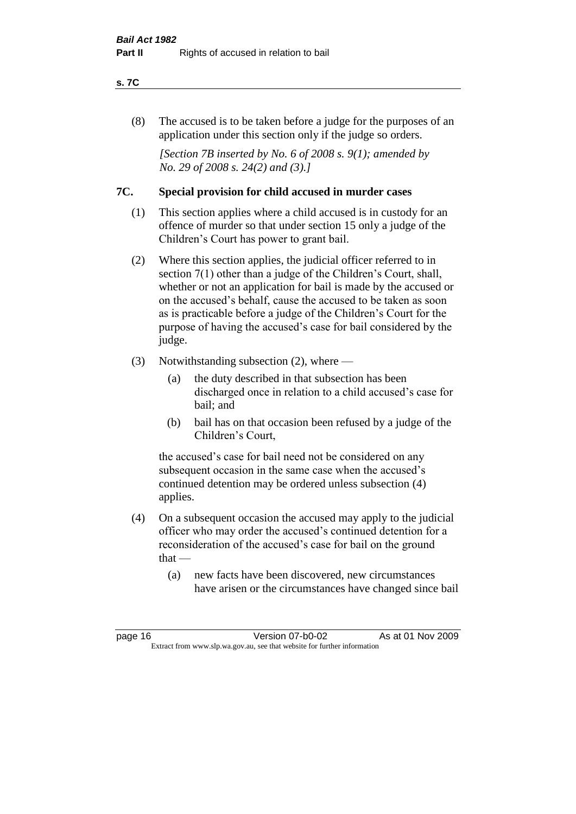#### **s. 7C**

(8) The accused is to be taken before a judge for the purposes of an application under this section only if the judge so orders.

*[Section 7B inserted by No. 6 of 2008 s. 9(1); amended by No. 29 of 2008 s. 24(2) and (3).]*

#### **7C. Special provision for child accused in murder cases**

- (1) This section applies where a child accused is in custody for an offence of murder so that under section 15 only a judge of the Children's Court has power to grant bail.
- (2) Where this section applies, the judicial officer referred to in section 7(1) other than a judge of the Children's Court, shall, whether or not an application for bail is made by the accused or on the accused's behalf, cause the accused to be taken as soon as is practicable before a judge of the Children's Court for the purpose of having the accused's case for bail considered by the judge.
- (3) Notwithstanding subsection (2), where
	- (a) the duty described in that subsection has been discharged once in relation to a child accused's case for bail; and
	- (b) bail has on that occasion been refused by a judge of the Children's Court,

the accused's case for bail need not be considered on any subsequent occasion in the same case when the accused's continued detention may be ordered unless subsection (4) applies.

- (4) On a subsequent occasion the accused may apply to the judicial officer who may order the accused's continued detention for a reconsideration of the accused's case for bail on the ground  $that -$ 
	- (a) new facts have been discovered, new circumstances have arisen or the circumstances have changed since bail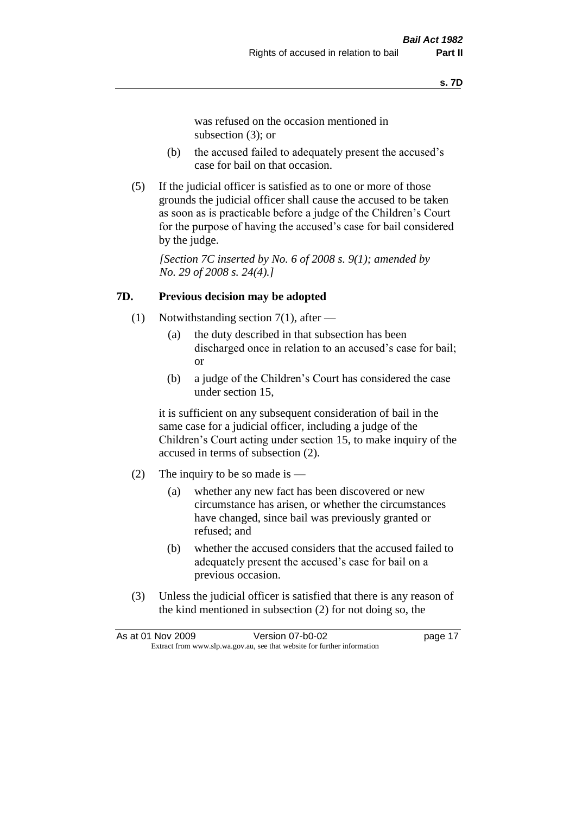was refused on the occasion mentioned in subsection (3); or

- (b) the accused failed to adequately present the accused's case for bail on that occasion.
- (5) If the judicial officer is satisfied as to one or more of those grounds the judicial officer shall cause the accused to be taken as soon as is practicable before a judge of the Children's Court for the purpose of having the accused's case for bail considered by the judge.

*[Section 7C inserted by No. 6 of 2008 s. 9(1); amended by No. 29 of 2008 s. 24(4).]*

#### **7D. Previous decision may be adopted**

- (1) Notwithstanding section 7(1), after
	- (a) the duty described in that subsection has been discharged once in relation to an accused's case for bail; or
	- (b) a judge of the Children's Court has considered the case under section 15,

it is sufficient on any subsequent consideration of bail in the same case for a judicial officer, including a judge of the Children's Court acting under section 15, to make inquiry of the accused in terms of subsection (2).

- (2) The inquiry to be so made is  $-$ 
	- (a) whether any new fact has been discovered or new circumstance has arisen, or whether the circumstances have changed, since bail was previously granted or refused; and
	- (b) whether the accused considers that the accused failed to adequately present the accused's case for bail on a previous occasion.
- (3) Unless the judicial officer is satisfied that there is any reason of the kind mentioned in subsection (2) for not doing so, the

|                                                                          | As at 01 Nov 2009 | Version 07-b0-02 | page 17 |
|--------------------------------------------------------------------------|-------------------|------------------|---------|
| Extract from www.slp.wa.gov.au, see that website for further information |                   |                  |         |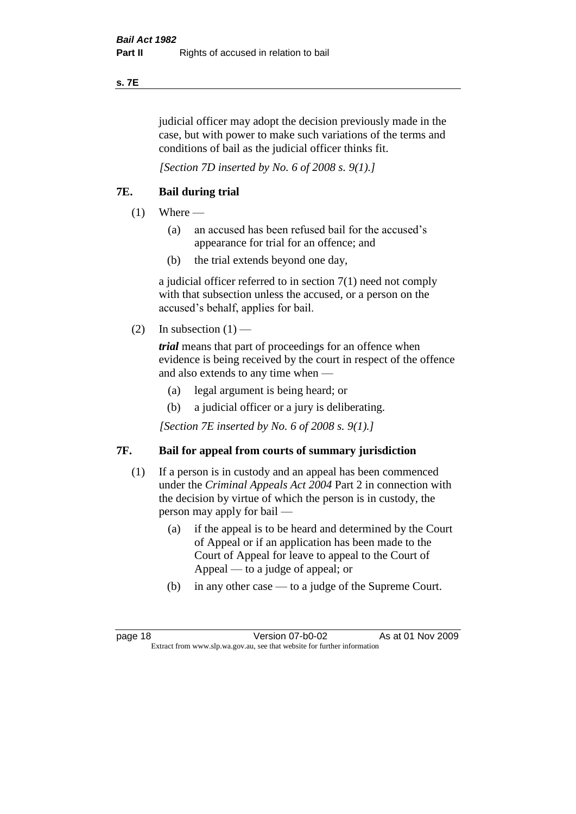#### **s. 7E**

judicial officer may adopt the decision previously made in the case, but with power to make such variations of the terms and conditions of bail as the judicial officer thinks fit.

*[Section 7D inserted by No. 6 of 2008 s. 9(1).]*

#### **7E. Bail during trial**

- $(1)$  Where
	- (a) an accused has been refused bail for the accused's appearance for trial for an offence; and
	- (b) the trial extends beyond one day,

a judicial officer referred to in section 7(1) need not comply with that subsection unless the accused, or a person on the accused's behalf, applies for bail.

(2) In subsection  $(1)$  —

*trial* means that part of proceedings for an offence when evidence is being received by the court in respect of the offence and also extends to any time when —

- (a) legal argument is being heard; or
- (b) a judicial officer or a jury is deliberating.

*[Section 7E inserted by No. 6 of 2008 s. 9(1).]*

#### **7F. Bail for appeal from courts of summary jurisdiction**

- (1) If a person is in custody and an appeal has been commenced under the *Criminal Appeals Act 2004* Part 2 in connection with the decision by virtue of which the person is in custody, the person may apply for bail —
	- (a) if the appeal is to be heard and determined by the Court of Appeal or if an application has been made to the Court of Appeal for leave to appeal to the Court of Appeal — to a judge of appeal; or
	- (b) in any other case to a judge of the Supreme Court.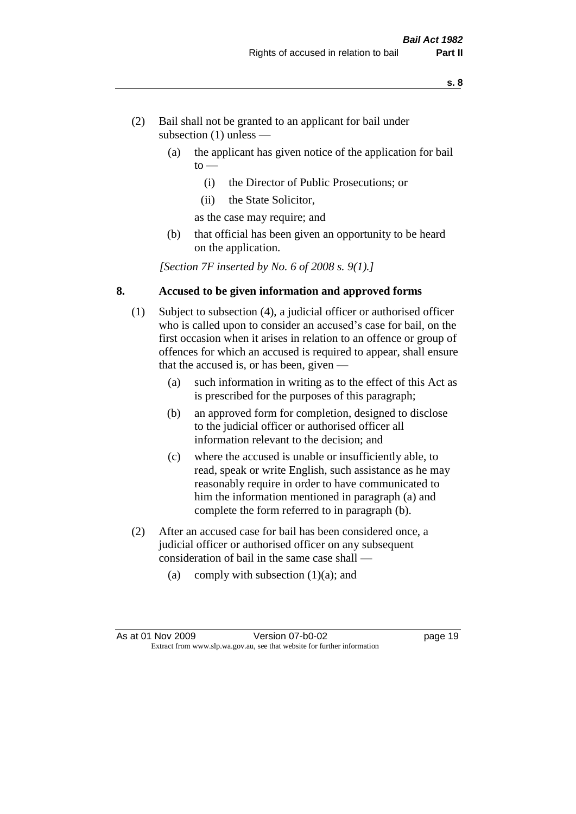- (2) Bail shall not be granted to an applicant for bail under subsection (1) unless —
	- (a) the applicant has given notice of the application for bail  $to -$ 
		- (i) the Director of Public Prosecutions; or
		- (ii) the State Solicitor,
		- as the case may require; and
	- (b) that official has been given an opportunity to be heard on the application.

*[Section 7F inserted by No. 6 of 2008 s. 9(1).]*

#### **8. Accused to be given information and approved forms**

- (1) Subject to subsection (4), a judicial officer or authorised officer who is called upon to consider an accused's case for bail, on the first occasion when it arises in relation to an offence or group of offences for which an accused is required to appear, shall ensure that the accused is, or has been, given —
	- (a) such information in writing as to the effect of this Act as is prescribed for the purposes of this paragraph;
	- (b) an approved form for completion, designed to disclose to the judicial officer or authorised officer all information relevant to the decision; and
	- (c) where the accused is unable or insufficiently able, to read, speak or write English, such assistance as he may reasonably require in order to have communicated to him the information mentioned in paragraph (a) and complete the form referred to in paragraph (b).
- (2) After an accused case for bail has been considered once, a judicial officer or authorised officer on any subsequent consideration of bail in the same case shall —
	- (a) comply with subsection  $(1)(a)$ ; and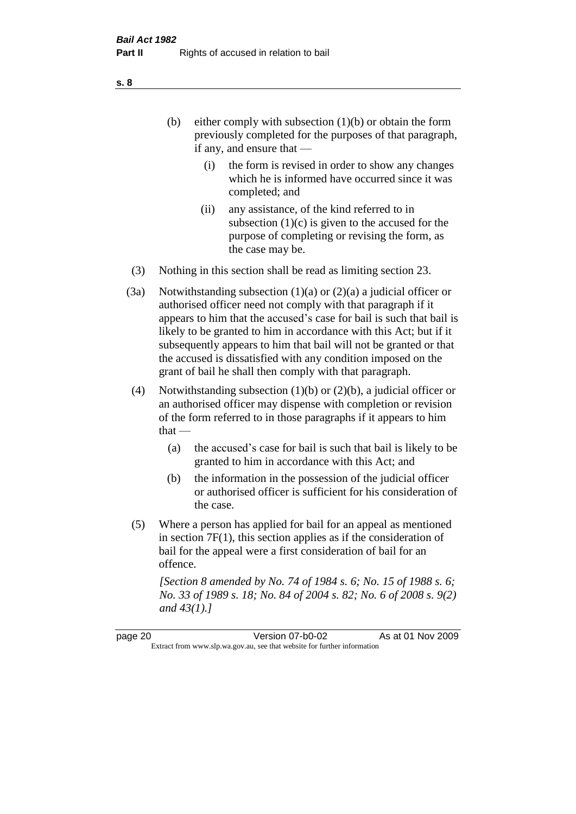- (b) either comply with subsection  $(1)(b)$  or obtain the form previously completed for the purposes of that paragraph, if any, and ensure that —
	- (i) the form is revised in order to show any changes which he is informed have occurred since it was completed; and
	- (ii) any assistance, of the kind referred to in subsection  $(1)(c)$  is given to the accused for the purpose of completing or revising the form, as the case may be.
- (3) Nothing in this section shall be read as limiting section 23.
- (3a) Notwithstanding subsection  $(1)(a)$  or  $(2)(a)$  a judicial officer or authorised officer need not comply with that paragraph if it appears to him that the accused's case for bail is such that bail is likely to be granted to him in accordance with this Act; but if it subsequently appears to him that bail will not be granted or that the accused is dissatisfied with any condition imposed on the grant of bail he shall then comply with that paragraph.
- (4) Notwithstanding subsection (1)(b) or (2)(b), a judicial officer or an authorised officer may dispense with completion or revision of the form referred to in those paragraphs if it appears to him  $that -$ 
	- (a) the accused's case for bail is such that bail is likely to be granted to him in accordance with this Act; and
	- (b) the information in the possession of the judicial officer or authorised officer is sufficient for his consideration of the case.
- (5) Where a person has applied for bail for an appeal as mentioned in section 7F(1), this section applies as if the consideration of bail for the appeal were a first consideration of bail for an offence.

*[Section 8 amended by No. 74 of 1984 s. 6; No. 15 of 1988 s. 6; No. 33 of 1989 s. 18; No. 84 of 2004 s. 82; No. 6 of 2008 s. 9(2) and 43(1).]* 

page 20 Version 07-b0-02 As at 01 Nov 2009 Extract from www.slp.wa.gov.au, see that website for further information

**s. 8**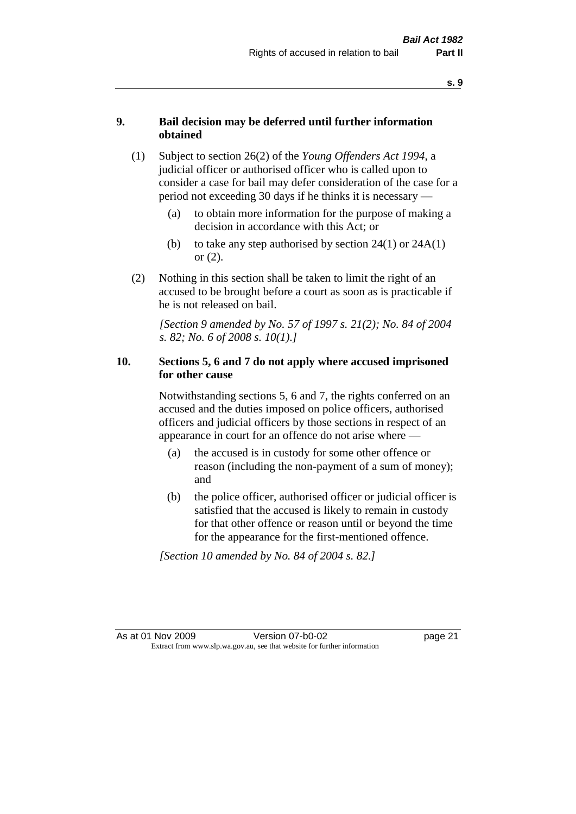#### **9. Bail decision may be deferred until further information obtained**

- (1) Subject to section 26(2) of the *Young Offenders Act 1994*, a judicial officer or authorised officer who is called upon to consider a case for bail may defer consideration of the case for a period not exceeding 30 days if he thinks it is necessary —
	- (a) to obtain more information for the purpose of making a decision in accordance with this Act; or
	- (b) to take any step authorised by section  $24(1)$  or  $24A(1)$ or (2).
- (2) Nothing in this section shall be taken to limit the right of an accused to be brought before a court as soon as is practicable if he is not released on bail.

*[Section 9 amended by No. 57 of 1997 s. 21(2); No. 84 of 2004 s. 82; No. 6 of 2008 s. 10(1).]*

#### **10. Sections 5, 6 and 7 do not apply where accused imprisoned for other cause**

Notwithstanding sections 5, 6 and 7, the rights conferred on an accused and the duties imposed on police officers, authorised officers and judicial officers by those sections in respect of an appearance in court for an offence do not arise where —

- (a) the accused is in custody for some other offence or reason (including the non-payment of a sum of money); and
- (b) the police officer, authorised officer or judicial officer is satisfied that the accused is likely to remain in custody for that other offence or reason until or beyond the time for the appearance for the first-mentioned offence.

*[Section 10 amended by No. 84 of 2004 s. 82.]*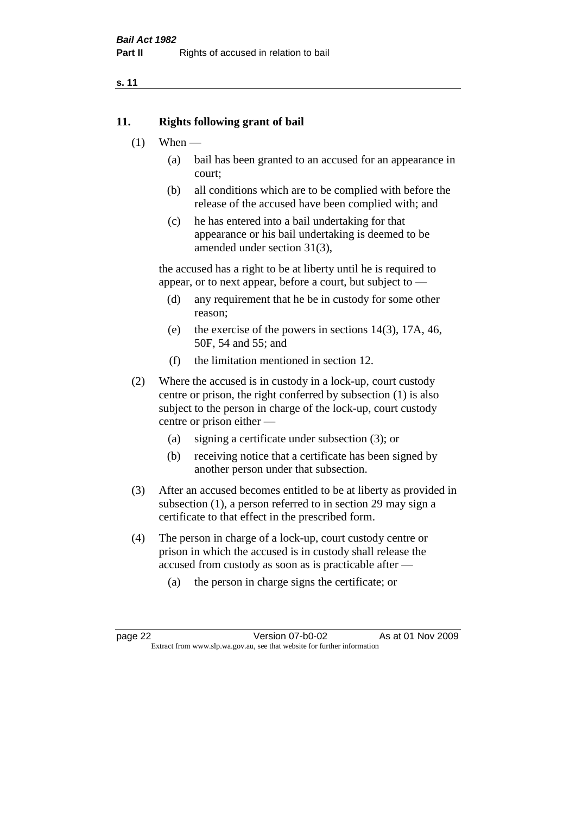#### **11. Rights following grant of bail**

- $(1)$  When
	- (a) bail has been granted to an accused for an appearance in court;
	- (b) all conditions which are to be complied with before the release of the accused have been complied with; and
	- (c) he has entered into a bail undertaking for that appearance or his bail undertaking is deemed to be amended under section 31(3),

the accused has a right to be at liberty until he is required to appear, or to next appear, before a court, but subject to —

- (d) any requirement that he be in custody for some other reason;
- (e) the exercise of the powers in sections 14(3), 17A, 46, 50F, 54 and 55; and
- (f) the limitation mentioned in section 12.
- (2) Where the accused is in custody in a lock-up, court custody centre or prison, the right conferred by subsection (1) is also subject to the person in charge of the lock-up, court custody centre or prison either —
	- (a) signing a certificate under subsection (3); or
	- (b) receiving notice that a certificate has been signed by another person under that subsection.
- (3) After an accused becomes entitled to be at liberty as provided in subsection (1), a person referred to in section 29 may sign a certificate to that effect in the prescribed form.
- (4) The person in charge of a lock-up, court custody centre or prison in which the accused is in custody shall release the accused from custody as soon as is practicable after —
	- (a) the person in charge signs the certificate; or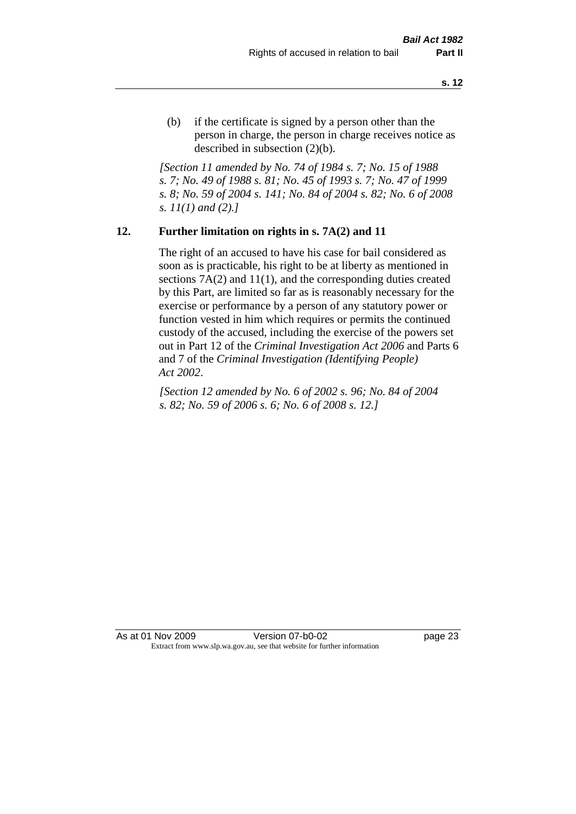(b) if the certificate is signed by a person other than the person in charge, the person in charge receives notice as described in subsection (2)(b).

*[Section 11 amended by No. 74 of 1984 s. 7; No. 15 of 1988 s. 7; No. 49 of 1988 s. 81; No. 45 of 1993 s. 7; No. 47 of 1999 s. 8; No. 59 of 2004 s. 141; No. 84 of 2004 s. 82; No. 6 of 2008 s. 11(1) and (2).]* 

#### **12. Further limitation on rights in s. 7A(2) and 11**

The right of an accused to have his case for bail considered as soon as is practicable, his right to be at liberty as mentioned in sections 7A(2) and 11(1), and the corresponding duties created by this Part, are limited so far as is reasonably necessary for the exercise or performance by a person of any statutory power or function vested in him which requires or permits the continued custody of the accused, including the exercise of the powers set out in Part 12 of the *Criminal Investigation Act 2006* and Parts 6 and 7 of the *Criminal Investigation (Identifying People) Act 2002*.

*[Section 12 amended by No. 6 of 2002 s. 96; No. 84 of 2004 s. 82; No. 59 of 2006 s. 6; No. 6 of 2008 s. 12.]*

As at 01 Nov 2009 Version 07-b0-02 page 23 Extract from www.slp.wa.gov.au, see that website for further information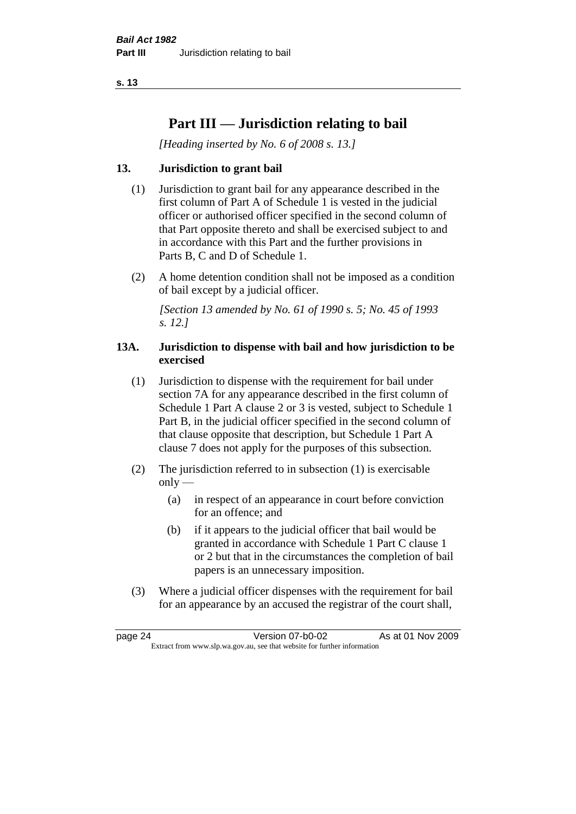# **Part III — Jurisdiction relating to bail**

*[Heading inserted by No. 6 of 2008 s. 13.]*

#### **13. Jurisdiction to grant bail**

- (1) Jurisdiction to grant bail for any appearance described in the first column of Part A of Schedule 1 is vested in the judicial officer or authorised officer specified in the second column of that Part opposite thereto and shall be exercised subject to and in accordance with this Part and the further provisions in Parts B, C and D of Schedule 1.
- (2) A home detention condition shall not be imposed as a condition of bail except by a judicial officer.

*[Section 13 amended by No. 61 of 1990 s. 5; No. 45 of 1993 s. 12.]* 

#### **13A. Jurisdiction to dispense with bail and how jurisdiction to be exercised**

- (1) Jurisdiction to dispense with the requirement for bail under section 7A for any appearance described in the first column of Schedule 1 Part A clause 2 or 3 is vested, subject to Schedule 1 Part B, in the judicial officer specified in the second column of that clause opposite that description, but Schedule 1 Part A clause 7 does not apply for the purposes of this subsection.
- (2) The jurisdiction referred to in subsection (1) is exercisable  $only$ —
	- (a) in respect of an appearance in court before conviction for an offence; and
	- (b) if it appears to the judicial officer that bail would be granted in accordance with Schedule 1 Part C clause 1 or 2 but that in the circumstances the completion of bail papers is an unnecessary imposition.
- (3) Where a judicial officer dispenses with the requirement for bail for an appearance by an accused the registrar of the court shall,

page 24 Version 07-b0-02 As at 01 Nov 2009 Extract from www.slp.wa.gov.au, see that website for further information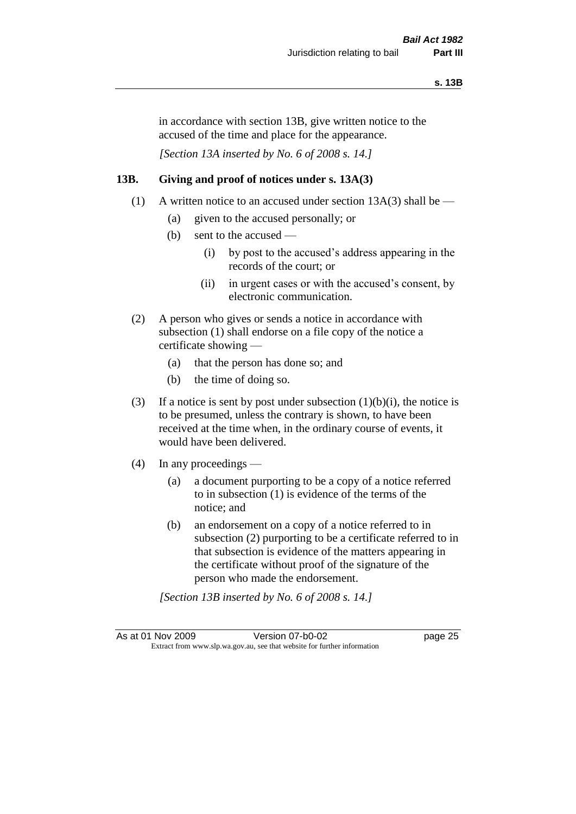in accordance with section 13B, give written notice to the accused of the time and place for the appearance.

*[Section 13A inserted by No. 6 of 2008 s. 14.]*

#### **13B. Giving and proof of notices under s. 13A(3)**

- (1) A written notice to an accused under section 13A(3) shall be
	- (a) given to the accused personally; or
	- (b) sent to the accused
		- (i) by post to the accused's address appearing in the records of the court; or
		- (ii) in urgent cases or with the accused's consent, by electronic communication.
- (2) A person who gives or sends a notice in accordance with subsection (1) shall endorse on a file copy of the notice a certificate showing —
	- (a) that the person has done so; and
	- (b) the time of doing so.
- (3) If a notice is sent by post under subsection  $(1)(b)(i)$ , the notice is to be presumed, unless the contrary is shown, to have been received at the time when, in the ordinary course of events, it would have been delivered.
- (4) In any proceedings
	- (a) a document purporting to be a copy of a notice referred to in subsection (1) is evidence of the terms of the notice; and
	- (b) an endorsement on a copy of a notice referred to in subsection (2) purporting to be a certificate referred to in that subsection is evidence of the matters appearing in the certificate without proof of the signature of the person who made the endorsement.

*[Section 13B inserted by No. 6 of 2008 s. 14.]*

As at 01 Nov 2009 Version 07-b0-02 page 25 Extract from www.slp.wa.gov.au, see that website for further information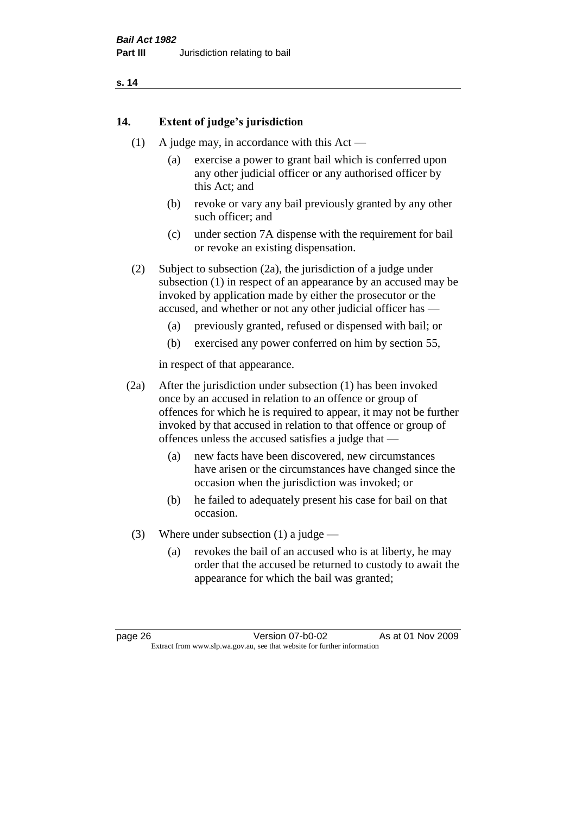#### **14. Extent of judge's jurisdiction**

- (1) A judge may, in accordance with this  $Act -$ 
	- (a) exercise a power to grant bail which is conferred upon any other judicial officer or any authorised officer by this Act; and
	- (b) revoke or vary any bail previously granted by any other such officer; and
	- (c) under section 7A dispense with the requirement for bail or revoke an existing dispensation.

(2) Subject to subsection (2a), the jurisdiction of a judge under subsection (1) in respect of an appearance by an accused may be invoked by application made by either the prosecutor or the accused, and whether or not any other judicial officer has —

- (a) previously granted, refused or dispensed with bail; or
- (b) exercised any power conferred on him by section 55,

in respect of that appearance.

(2a) After the jurisdiction under subsection (1) has been invoked once by an accused in relation to an offence or group of offences for which he is required to appear, it may not be further invoked by that accused in relation to that offence or group of offences unless the accused satisfies a judge that —

- (a) new facts have been discovered, new circumstances have arisen or the circumstances have changed since the occasion when the jurisdiction was invoked; or
- (b) he failed to adequately present his case for bail on that occasion.
- (3) Where under subsection (1) a judge
	- (a) revokes the bail of an accused who is at liberty, he may order that the accused be returned to custody to await the appearance for which the bail was granted;

page 26 Version 07-b0-02 As at 01 Nov 2009 Extract from www.slp.wa.gov.au, see that website for further information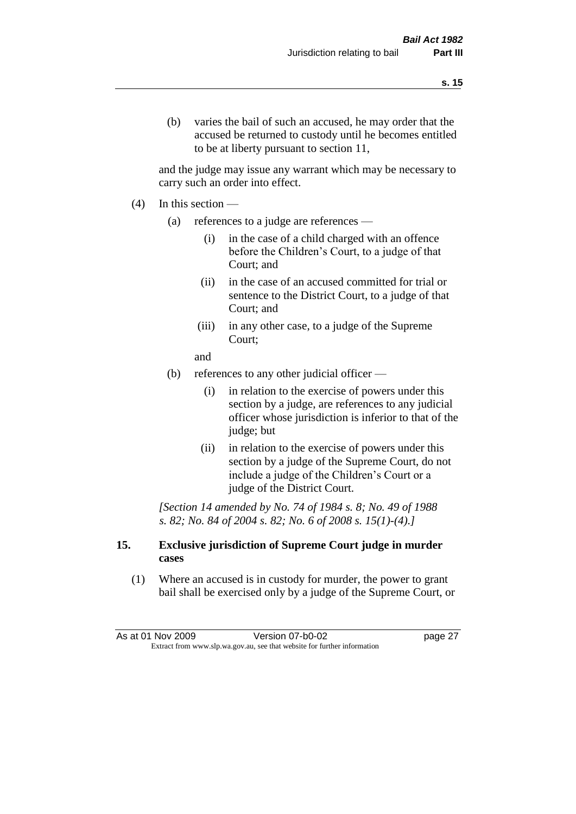(b) varies the bail of such an accused, he may order that the accused be returned to custody until he becomes entitled to be at liberty pursuant to section 11,

and the judge may issue any warrant which may be necessary to carry such an order into effect.

- $(4)$  In this section
	- (a) references to a judge are references
		- (i) in the case of a child charged with an offence before the Children's Court, to a judge of that Court; and
		- (ii) in the case of an accused committed for trial or sentence to the District Court, to a judge of that Court; and
		- (iii) in any other case, to a judge of the Supreme Court;
		- and
	- (b) references to any other judicial officer
		- (i) in relation to the exercise of powers under this section by a judge, are references to any judicial officer whose jurisdiction is inferior to that of the judge; but
		- (ii) in relation to the exercise of powers under this section by a judge of the Supreme Court, do not include a judge of the Children's Court or a judge of the District Court.

*[Section 14 amended by No. 74 of 1984 s. 8; No. 49 of 1988 s. 82; No. 84 of 2004 s. 82; No. 6 of 2008 s. 15(1)-(4).]* 

#### **15. Exclusive jurisdiction of Supreme Court judge in murder cases**

(1) Where an accused is in custody for murder, the power to grant bail shall be exercised only by a judge of the Supreme Court, or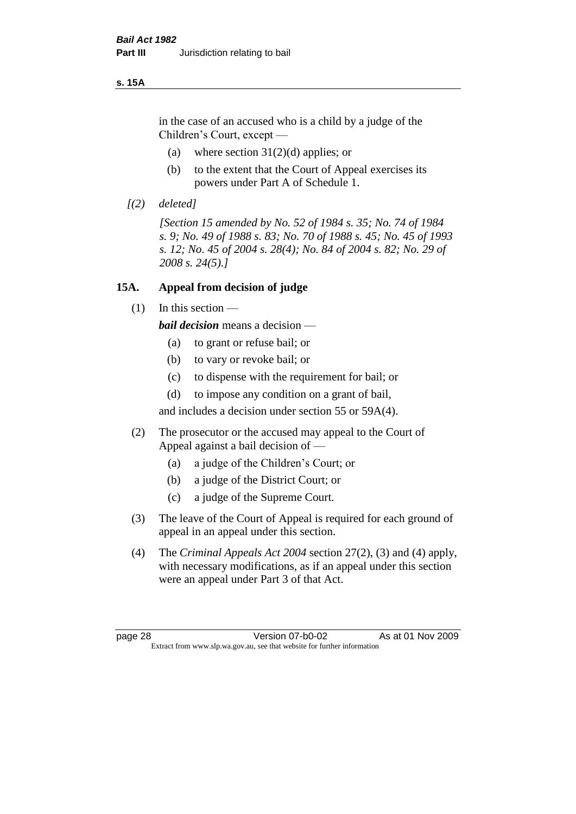#### **s. 15A**

in the case of an accused who is a child by a judge of the Children's Court, except —

- (a) where section  $31(2)(d)$  applies; or
- (b) to the extent that the Court of Appeal exercises its powers under Part A of Schedule 1.
- *[(2) deleted]*

*[Section 15 amended by No. 52 of 1984 s. 35; No. 74 of 1984 s. 9; No. 49 of 1988 s. 83; No. 70 of 1988 s. 45; No. 45 of 1993 s. 12; No. 45 of 2004 s. 28(4); No. 84 of 2004 s. 82; No. 29 of 2008 s. 24(5).]* 

#### **15A. Appeal from decision of judge**

 $(1)$  In this section —

*bail decision* means a decision —

- (a) to grant or refuse bail; or
- (b) to vary or revoke bail; or
- (c) to dispense with the requirement for bail; or
- (d) to impose any condition on a grant of bail,

and includes a decision under section 55 or 59A(4).

- (2) The prosecutor or the accused may appeal to the Court of Appeal against a bail decision of —
	- (a) a judge of the Children's Court; or
	- (b) a judge of the District Court; or
	- (c) a judge of the Supreme Court.
- (3) The leave of the Court of Appeal is required for each ground of appeal in an appeal under this section.
- (4) The *Criminal Appeals Act 2004* section 27(2), (3) and (4) apply, with necessary modifications, as if an appeal under this section were an appeal under Part 3 of that Act.

page 28 Version 07-b0-02 As at 01 Nov 2009 Extract from www.slp.wa.gov.au, see that website for further information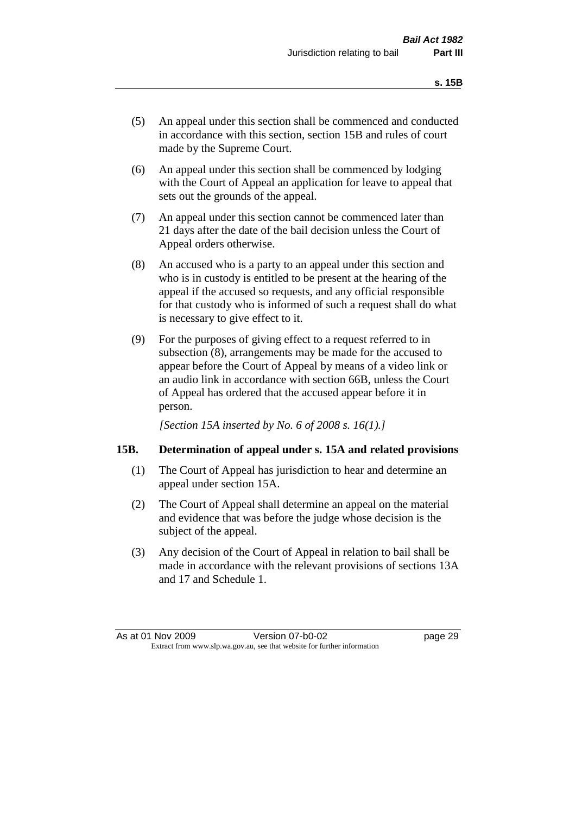- (5) An appeal under this section shall be commenced and conducted in accordance with this section, section 15B and rules of court made by the Supreme Court.
- (6) An appeal under this section shall be commenced by lodging with the Court of Appeal an application for leave to appeal that sets out the grounds of the appeal.
- (7) An appeal under this section cannot be commenced later than 21 days after the date of the bail decision unless the Court of Appeal orders otherwise.
- (8) An accused who is a party to an appeal under this section and who is in custody is entitled to be present at the hearing of the appeal if the accused so requests, and any official responsible for that custody who is informed of such a request shall do what is necessary to give effect to it.
- (9) For the purposes of giving effect to a request referred to in subsection (8), arrangements may be made for the accused to appear before the Court of Appeal by means of a video link or an audio link in accordance with section 66B, unless the Court of Appeal has ordered that the accused appear before it in person.

*[Section 15A inserted by No. 6 of 2008 s. 16(1).]*

#### **15B. Determination of appeal under s. 15A and related provisions**

- (1) The Court of Appeal has jurisdiction to hear and determine an appeal under section 15A.
- (2) The Court of Appeal shall determine an appeal on the material and evidence that was before the judge whose decision is the subject of the appeal.
- (3) Any decision of the Court of Appeal in relation to bail shall be made in accordance with the relevant provisions of sections 13A and 17 and Schedule 1.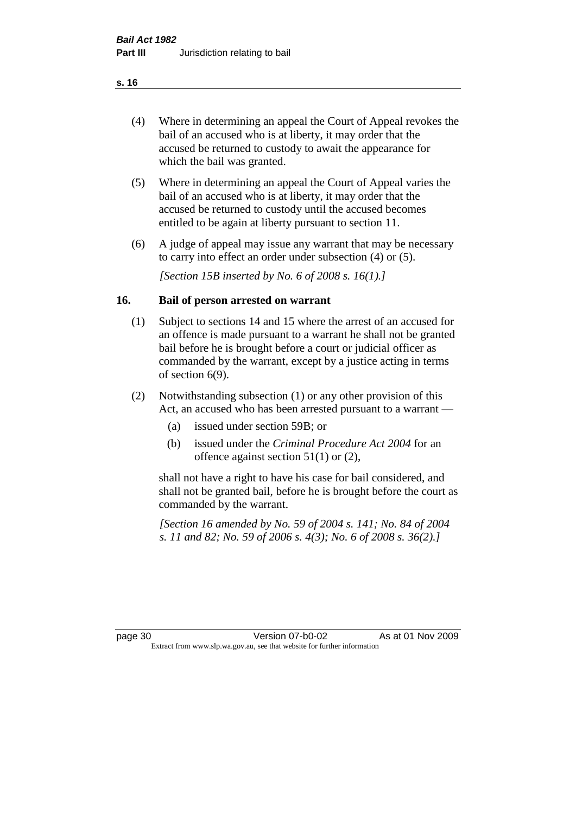- (4) Where in determining an appeal the Court of Appeal revokes the bail of an accused who is at liberty, it may order that the accused be returned to custody to await the appearance for which the bail was granted.
- (5) Where in determining an appeal the Court of Appeal varies the bail of an accused who is at liberty, it may order that the accused be returned to custody until the accused becomes entitled to be again at liberty pursuant to section 11.
- (6) A judge of appeal may issue any warrant that may be necessary to carry into effect an order under subsection (4) or (5).

*[Section 15B inserted by No. 6 of 2008 s. 16(1).]*

#### **16. Bail of person arrested on warrant**

- (1) Subject to sections 14 and 15 where the arrest of an accused for an offence is made pursuant to a warrant he shall not be granted bail before he is brought before a court or judicial officer as commanded by the warrant, except by a justice acting in terms of section 6(9).
- (2) Notwithstanding subsection (1) or any other provision of this Act, an accused who has been arrested pursuant to a warrant —
	- (a) issued under section 59B; or
	- (b) issued under the *Criminal Procedure Act 2004* for an offence against section 51(1) or (2),

shall not have a right to have his case for bail considered, and shall not be granted bail, before he is brought before the court as commanded by the warrant.

*[Section 16 amended by No. 59 of 2004 s. 141; No. 84 of 2004 s. 11 and 82; No. 59 of 2006 s. 4(3); No. 6 of 2008 s. 36(2).]*

page 30 Version 07-b0-02 As at 01 Nov 2009 Extract from www.slp.wa.gov.au, see that website for further information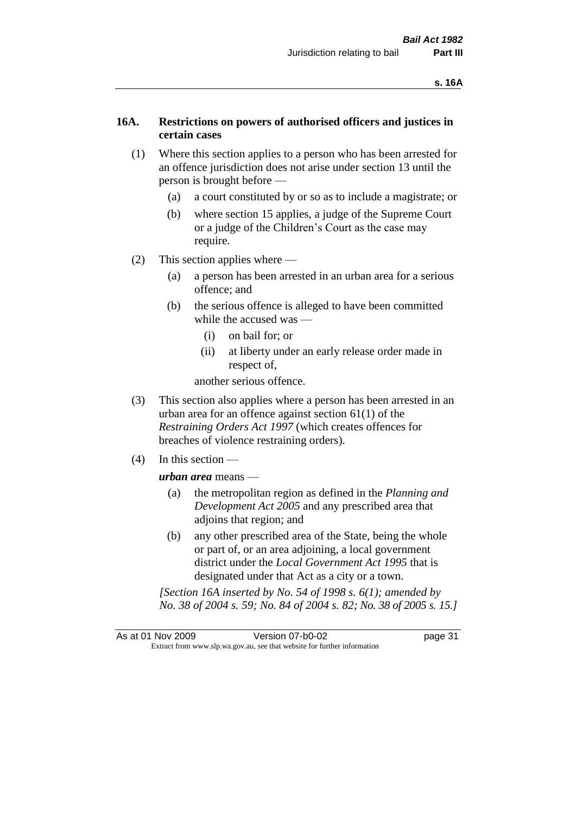#### **16A. Restrictions on powers of authorised officers and justices in certain cases**

- (1) Where this section applies to a person who has been arrested for an offence jurisdiction does not arise under section 13 until the person is brought before —
	- (a) a court constituted by or so as to include a magistrate; or
	- (b) where section 15 applies, a judge of the Supreme Court or a judge of the Children's Court as the case may require.
- (2) This section applies where
	- (a) a person has been arrested in an urban area for a serious offence; and
	- (b) the serious offence is alleged to have been committed while the accused was —
		- (i) on bail for; or
		- (ii) at liberty under an early release order made in respect of,

another serious offence.

- (3) This section also applies where a person has been arrested in an urban area for an offence against section 61(1) of the *Restraining Orders Act 1997* (which creates offences for breaches of violence restraining orders).
- (4) In this section —

*urban area* means —

- (a) the metropolitan region as defined in the *Planning and Development Act 2005* and any prescribed area that adjoins that region; and
- (b) any other prescribed area of the State, being the whole or part of, or an area adjoining, a local government district under the *Local Government Act 1995* that is designated under that Act as a city or a town.

*[Section 16A inserted by No. 54 of 1998 s. 6(1); amended by No. 38 of 2004 s. 59; No. 84 of 2004 s. 82; No. 38 of 2005 s. 15.]*

As at 01 Nov 2009 Version 07-b0-02 Page 31 Extract from www.slp.wa.gov.au, see that website for further information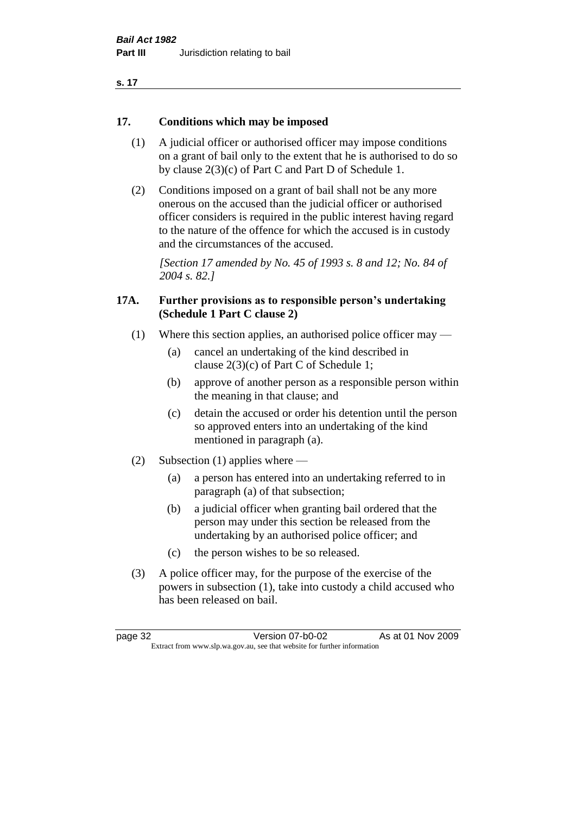| ×<br>. . |  |
|----------|--|
|----------|--|

#### **17. Conditions which may be imposed**

- (1) A judicial officer or authorised officer may impose conditions on a grant of bail only to the extent that he is authorised to do so by clause 2(3)(c) of Part C and Part D of Schedule 1.
- (2) Conditions imposed on a grant of bail shall not be any more onerous on the accused than the judicial officer or authorised officer considers is required in the public interest having regard to the nature of the offence for which the accused is in custody and the circumstances of the accused.

*[Section 17 amended by No. 45 of 1993 s. 8 and 12; No. 84 of 2004 s. 82.]* 

#### **17A. Further provisions as to responsible person's undertaking (Schedule 1 Part C clause 2)**

- (1) Where this section applies, an authorised police officer may
	- (a) cancel an undertaking of the kind described in clause 2(3)(c) of Part C of Schedule 1;
	- (b) approve of another person as a responsible person within the meaning in that clause; and
	- (c) detain the accused or order his detention until the person so approved enters into an undertaking of the kind mentioned in paragraph (a).
- (2) Subsection (1) applies where
	- (a) a person has entered into an undertaking referred to in paragraph (a) of that subsection;
	- (b) a judicial officer when granting bail ordered that the person may under this section be released from the undertaking by an authorised police officer; and
	- (c) the person wishes to be so released.
- (3) A police officer may, for the purpose of the exercise of the powers in subsection (1), take into custody a child accused who has been released on bail.

page 32 Version 07-b0-02 As at 01 Nov 2009 Extract from www.slp.wa.gov.au, see that website for further information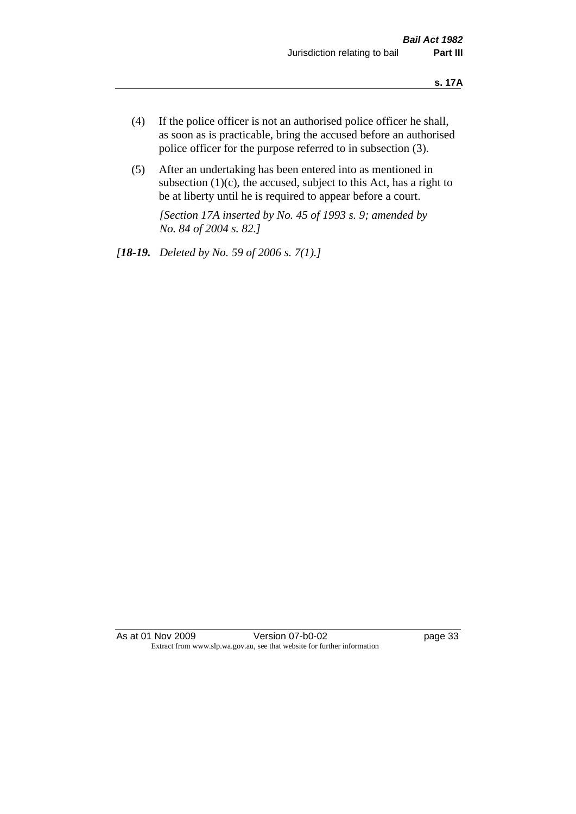- (4) If the police officer is not an authorised police officer he shall, as soon as is practicable, bring the accused before an authorised police officer for the purpose referred to in subsection (3).
- (5) After an undertaking has been entered into as mentioned in subsection  $(1)(c)$ , the accused, subject to this Act, has a right to be at liberty until he is required to appear before a court.

*[Section 17A inserted by No. 45 of 1993 s. 9; amended by No. 84 of 2004 s. 82.]* 

*[18-19. Deleted by No. 59 of 2006 s. 7(1).]*

As at 01 Nov 2009 Version 07-b0-02 page 33 Extract from www.slp.wa.gov.au, see that website for further information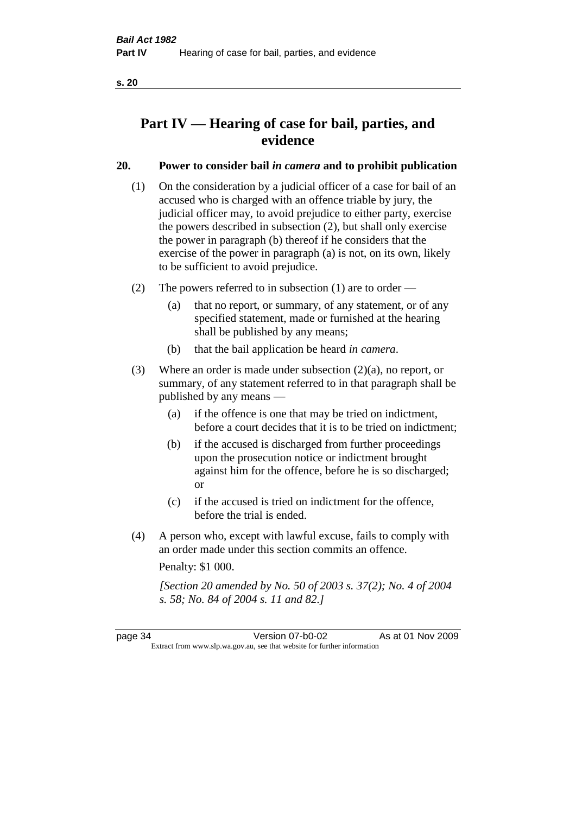# **Part IV — Hearing of case for bail, parties, and evidence**

# **20. Power to consider bail** *in camera* **and to prohibit publication**

- (1) On the consideration by a judicial officer of a case for bail of an accused who is charged with an offence triable by jury, the judicial officer may, to avoid prejudice to either party, exercise the powers described in subsection (2), but shall only exercise the power in paragraph (b) thereof if he considers that the exercise of the power in paragraph (a) is not, on its own, likely to be sufficient to avoid prejudice.
- (2) The powers referred to in subsection (1) are to order
	- (a) that no report, or summary, of any statement, or of any specified statement, made or furnished at the hearing shall be published by any means;
	- (b) that the bail application be heard *in camera*.
- (3) Where an order is made under subsection (2)(a), no report, or summary, of any statement referred to in that paragraph shall be published by any means —
	- (a) if the offence is one that may be tried on indictment, before a court decides that it is to be tried on indictment;
	- (b) if the accused is discharged from further proceedings upon the prosecution notice or indictment brought against him for the offence, before he is so discharged; or
	- (c) if the accused is tried on indictment for the offence, before the trial is ended.
- (4) A person who, except with lawful excuse, fails to comply with an order made under this section commits an offence.

Penalty: \$1 000.

*[Section 20 amended by No. 50 of 2003 s. 37(2); No. 4 of 2004 s. 58; No. 84 of 2004 s. 11 and 82.]*

page 34 Version 07-b0-02 As at 01 Nov 2009 Extract from www.slp.wa.gov.au, see that website for further information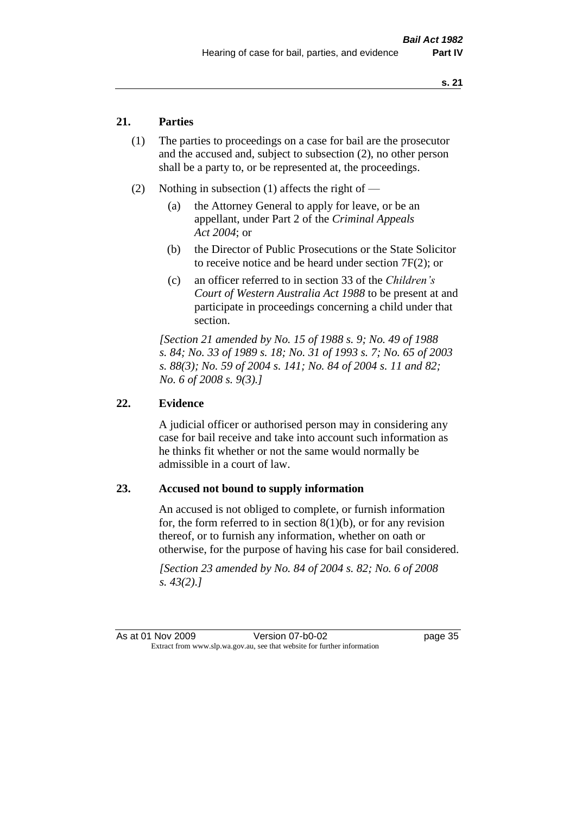## **21. Parties**

- (1) The parties to proceedings on a case for bail are the prosecutor and the accused and, subject to subsection (2), no other person shall be a party to, or be represented at, the proceedings.
- (2) Nothing in subsection (1) affects the right of
	- (a) the Attorney General to apply for leave, or be an appellant, under Part 2 of the *Criminal Appeals Act 2004*; or
	- (b) the Director of Public Prosecutions or the State Solicitor to receive notice and be heard under section 7F(2); or
	- (c) an officer referred to in section 33 of the *Children's Court of Western Australia Act 1988* to be present at and participate in proceedings concerning a child under that section.

*[Section 21 amended by No. 15 of 1988 s. 9; No. 49 of 1988 s. 84; No. 33 of 1989 s. 18; No. 31 of 1993 s. 7; No. 65 of 2003 s. 88(3); No. 59 of 2004 s. 141; No. 84 of 2004 s. 11 and 82; No. 6 of 2008 s. 9(3).]* 

#### **22. Evidence**

A judicial officer or authorised person may in considering any case for bail receive and take into account such information as he thinks fit whether or not the same would normally be admissible in a court of law.

#### **23. Accused not bound to supply information**

An accused is not obliged to complete, or furnish information for, the form referred to in section  $8(1)(b)$ , or for any revision thereof, or to furnish any information, whether on oath or otherwise, for the purpose of having his case for bail considered.

*[Section 23 amended by No. 84 of 2004 s. 82; No. 6 of 2008 s. 43(2).]* 

As at 01 Nov 2009 Version 07-b0-02 page 35 Extract from www.slp.wa.gov.au, see that website for further information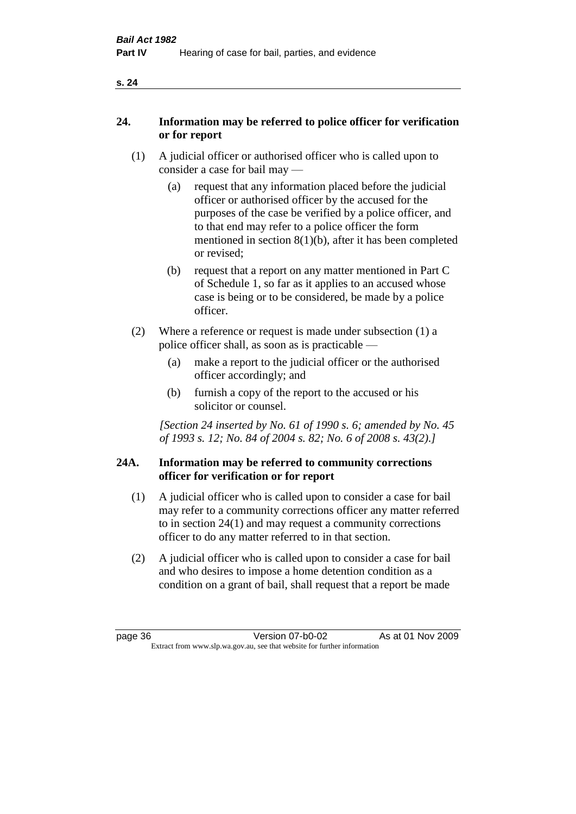|--|

## **24. Information may be referred to police officer for verification or for report**

- (1) A judicial officer or authorised officer who is called upon to consider a case for bail may —
	- (a) request that any information placed before the judicial officer or authorised officer by the accused for the purposes of the case be verified by a police officer, and to that end may refer to a police officer the form mentioned in section 8(1)(b), after it has been completed or revised;
	- (b) request that a report on any matter mentioned in Part C of Schedule 1, so far as it applies to an accused whose case is being or to be considered, be made by a police officer.
- (2) Where a reference or request is made under subsection (1) a police officer shall, as soon as is practicable —
	- (a) make a report to the judicial officer or the authorised officer accordingly; and
	- (b) furnish a copy of the report to the accused or his solicitor or counsel.

*[Section 24 inserted by No. 61 of 1990 s. 6; amended by No. 45 of 1993 s. 12; No. 84 of 2004 s. 82; No. 6 of 2008 s. 43(2).]* 

#### **24A. Information may be referred to community corrections officer for verification or for report**

- (1) A judicial officer who is called upon to consider a case for bail may refer to a community corrections officer any matter referred to in section 24(1) and may request a community corrections officer to do any matter referred to in that section.
- (2) A judicial officer who is called upon to consider a case for bail and who desires to impose a home detention condition as a condition on a grant of bail, shall request that a report be made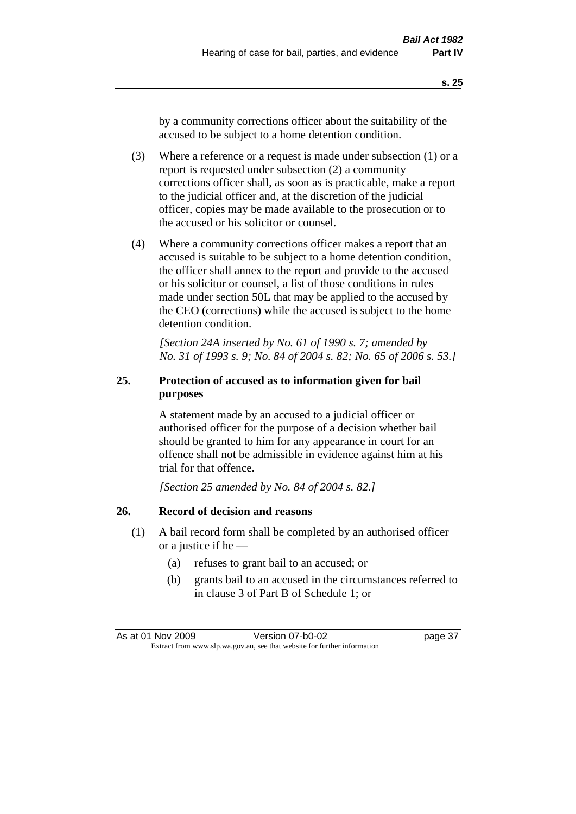by a community corrections officer about the suitability of the accused to be subject to a home detention condition.

- (3) Where a reference or a request is made under subsection (1) or a report is requested under subsection (2) a community corrections officer shall, as soon as is practicable, make a report to the judicial officer and, at the discretion of the judicial officer, copies may be made available to the prosecution or to the accused or his solicitor or counsel.
- (4) Where a community corrections officer makes a report that an accused is suitable to be subject to a home detention condition, the officer shall annex to the report and provide to the accused or his solicitor or counsel, a list of those conditions in rules made under section 50L that may be applied to the accused by the CEO (corrections) while the accused is subject to the home detention condition.

*[Section 24A inserted by No. 61 of 1990 s. 7; amended by No. 31 of 1993 s. 9; No. 84 of 2004 s. 82; No. 65 of 2006 s. 53.]* 

# **25. Protection of accused as to information given for bail purposes**

A statement made by an accused to a judicial officer or authorised officer for the purpose of a decision whether bail should be granted to him for any appearance in court for an offence shall not be admissible in evidence against him at his trial for that offence.

*[Section 25 amended by No. 84 of 2004 s. 82.]* 

# **26. Record of decision and reasons**

- (1) A bail record form shall be completed by an authorised officer or a justice if he —
	- (a) refuses to grant bail to an accused; or
	- (b) grants bail to an accused in the circumstances referred to in clause 3 of Part B of Schedule 1; or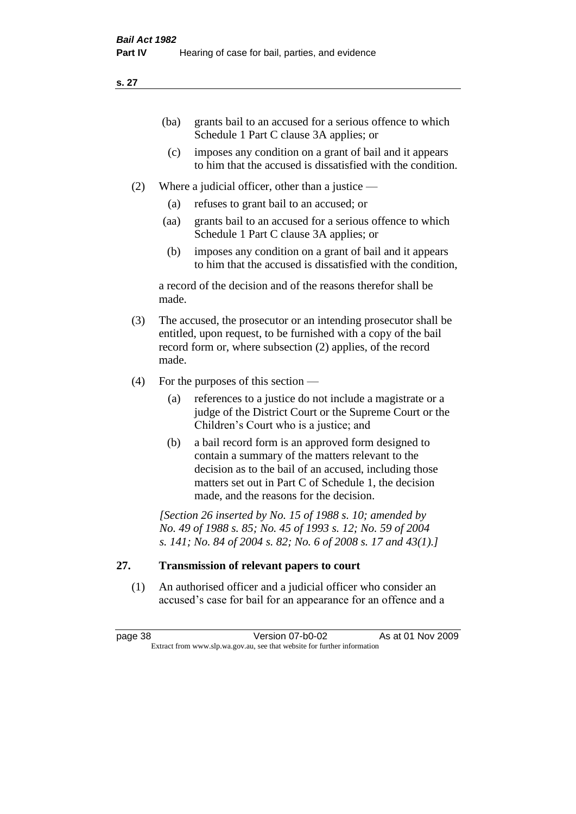| (ba) | grants bail to an accused for a serious offence to which |
|------|----------------------------------------------------------|
|      | Schedule 1 Part C clause 3A applies; or                  |

- (c) imposes any condition on a grant of bail and it appears to him that the accused is dissatisfied with the condition.
- (2) Where a judicial officer, other than a justice
	- (a) refuses to grant bail to an accused; or
	- (aa) grants bail to an accused for a serious offence to which Schedule 1 Part C clause 3A applies; or
	- (b) imposes any condition on a grant of bail and it appears to him that the accused is dissatisfied with the condition,

a record of the decision and of the reasons therefor shall be made.

- (3) The accused, the prosecutor or an intending prosecutor shall be entitled, upon request, to be furnished with a copy of the bail record form or, where subsection (2) applies, of the record made.
- (4) For the purposes of this section
	- (a) references to a justice do not include a magistrate or a judge of the District Court or the Supreme Court or the Children's Court who is a justice; and
	- (b) a bail record form is an approved form designed to contain a summary of the matters relevant to the decision as to the bail of an accused, including those matters set out in Part C of Schedule 1, the decision made, and the reasons for the decision.

*[Section 26 inserted by No. 15 of 1988 s. 10; amended by No. 49 of 1988 s. 85; No. 45 of 1993 s. 12; No. 59 of 2004 s. 141; No. 84 of 2004 s. 82; No. 6 of 2008 s. 17 and 43(1).]* 

# **27. Transmission of relevant papers to court**

(1) An authorised officer and a judicial officer who consider an accused's case for bail for an appearance for an offence and a

page 38 Version 07-b0-02 As at 01 Nov 2009 Extract from www.slp.wa.gov.au, see that website for further information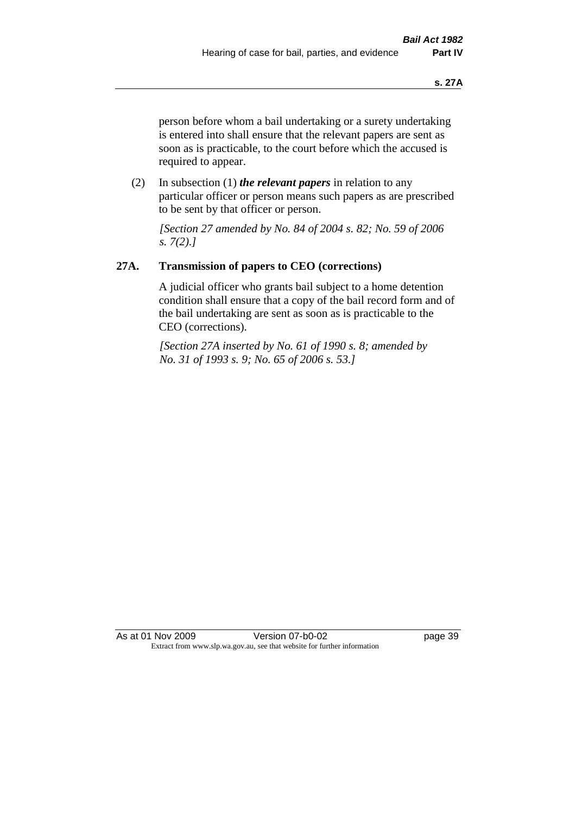person before whom a bail undertaking or a surety undertaking is entered into shall ensure that the relevant papers are sent as soon as is practicable, to the court before which the accused is required to appear.

(2) In subsection (1) *the relevant papers* in relation to any particular officer or person means such papers as are prescribed to be sent by that officer or person.

*[Section 27 amended by No. 84 of 2004 s. 82; No. 59 of 2006 s. 7(2).]* 

# **27A. Transmission of papers to CEO (corrections)**

A judicial officer who grants bail subject to a home detention condition shall ensure that a copy of the bail record form and of the bail undertaking are sent as soon as is practicable to the CEO (corrections).

*[Section 27A inserted by No. 61 of 1990 s. 8; amended by No. 31 of 1993 s. 9; No. 65 of 2006 s. 53.]* 

As at 01 Nov 2009 Version 07-b0-02 Page 39 Extract from www.slp.wa.gov.au, see that website for further information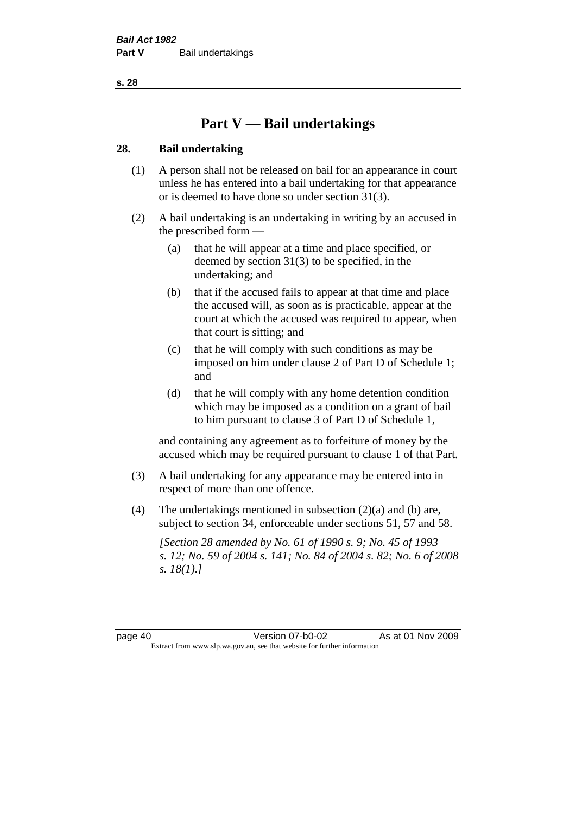# **Part V — Bail undertakings**

#### **28. Bail undertaking**

- (1) A person shall not be released on bail for an appearance in court unless he has entered into a bail undertaking for that appearance or is deemed to have done so under section 31(3).
- (2) A bail undertaking is an undertaking in writing by an accused in the prescribed form —
	- (a) that he will appear at a time and place specified, or deemed by section 31(3) to be specified, in the undertaking; and
	- (b) that if the accused fails to appear at that time and place the accused will, as soon as is practicable, appear at the court at which the accused was required to appear, when that court is sitting; and
	- (c) that he will comply with such conditions as may be imposed on him under clause 2 of Part D of Schedule 1; and
	- (d) that he will comply with any home detention condition which may be imposed as a condition on a grant of bail to him pursuant to clause 3 of Part D of Schedule 1,

and containing any agreement as to forfeiture of money by the accused which may be required pursuant to clause 1 of that Part.

- (3) A bail undertaking for any appearance may be entered into in respect of more than one offence.
- (4) The undertakings mentioned in subsection (2)(a) and (b) are, subject to section 34, enforceable under sections 51, 57 and 58.

*[Section 28 amended by No. 61 of 1990 s. 9; No. 45 of 1993 s. 12; No. 59 of 2004 s. 141; No. 84 of 2004 s. 82; No. 6 of 2008 s. 18(1).]*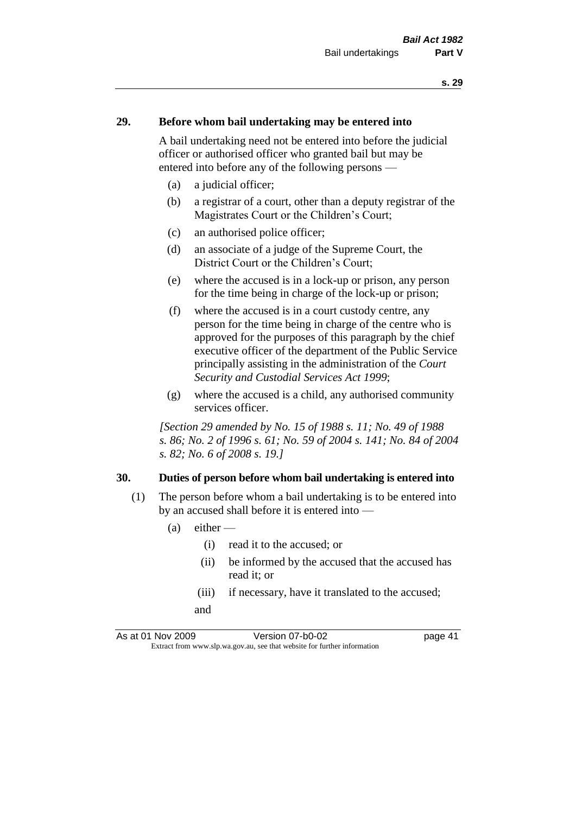#### **29. Before whom bail undertaking may be entered into**

A bail undertaking need not be entered into before the judicial officer or authorised officer who granted bail but may be entered into before any of the following persons —

- (a) a judicial officer;
- (b) a registrar of a court, other than a deputy registrar of the Magistrates Court or the Children's Court;
- (c) an authorised police officer;
- (d) an associate of a judge of the Supreme Court, the District Court or the Children's Court;
- (e) where the accused is in a lock-up or prison, any person for the time being in charge of the lock-up or prison;
- (f) where the accused is in a court custody centre, any person for the time being in charge of the centre who is approved for the purposes of this paragraph by the chief executive officer of the department of the Public Service principally assisting in the administration of the *Court Security and Custodial Services Act 1999*;
- (g) where the accused is a child, any authorised community services officer.

*[Section 29 amended by No. 15 of 1988 s. 11; No. 49 of 1988 s. 86; No. 2 of 1996 s. 61; No. 59 of 2004 s. 141; No. 84 of 2004 s. 82; No. 6 of 2008 s. 19.]* 

#### **30. Duties of person before whom bail undertaking is entered into**

- (1) The person before whom a bail undertaking is to be entered into by an accused shall before it is entered into —
	- $(a)$  either
		- (i) read it to the accused; or
		- (ii) be informed by the accused that the accused has read it; or
		- (iii) if necessary, have it translated to the accused; and

As at 01 Nov 2009 Version 07-b0-02 page 41 Extract from www.slp.wa.gov.au, see that website for further information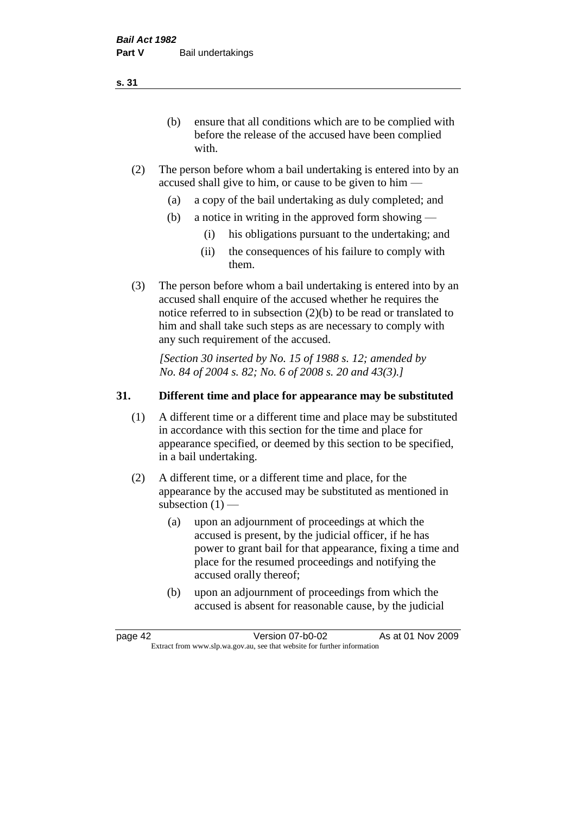(b) ensure that all conditions which are to be complied with before the release of the accused have been complied with.

- (2) The person before whom a bail undertaking is entered into by an accused shall give to him, or cause to be given to him —
	- (a) a copy of the bail undertaking as duly completed; and
	- (b) a notice in writing in the approved form showing
		- (i) his obligations pursuant to the undertaking; and
		- (ii) the consequences of his failure to comply with them.
- (3) The person before whom a bail undertaking is entered into by an accused shall enquire of the accused whether he requires the notice referred to in subsection (2)(b) to be read or translated to him and shall take such steps as are necessary to comply with any such requirement of the accused.

*[Section 30 inserted by No. 15 of 1988 s. 12; amended by No. 84 of 2004 s. 82; No. 6 of 2008 s. 20 and 43(3).]* 

#### **31. Different time and place for appearance may be substituted**

- (1) A different time or a different time and place may be substituted in accordance with this section for the time and place for appearance specified, or deemed by this section to be specified, in a bail undertaking.
- (2) A different time, or a different time and place, for the appearance by the accused may be substituted as mentioned in subsection  $(1)$  —
	- (a) upon an adjournment of proceedings at which the accused is present, by the judicial officer, if he has power to grant bail for that appearance, fixing a time and place for the resumed proceedings and notifying the accused orally thereof;
	- (b) upon an adjournment of proceedings from which the accused is absent for reasonable cause, by the judicial

page 42 Version 07-b0-02 As at 01 Nov 2009 Extract from www.slp.wa.gov.au, see that website for further information

**s. 31**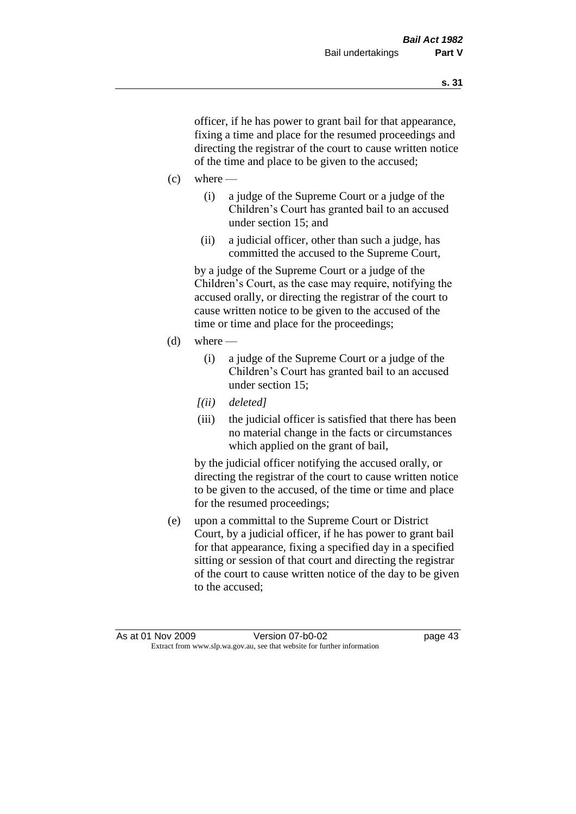officer, if he has power to grant bail for that appearance, fixing a time and place for the resumed proceedings and directing the registrar of the court to cause written notice of the time and place to be given to the accused;

- $(c)$  where
	- (i) a judge of the Supreme Court or a judge of the Children's Court has granted bail to an accused under section 15; and
	- (ii) a judicial officer, other than such a judge, has committed the accused to the Supreme Court,

by a judge of the Supreme Court or a judge of the Children's Court, as the case may require, notifying the accused orally, or directing the registrar of the court to cause written notice to be given to the accused of the time or time and place for the proceedings;

- $(d)$  where
	- (i) a judge of the Supreme Court or a judge of the Children's Court has granted bail to an accused under section 15;
	- *[(ii) deleted]*
	- (iii) the judicial officer is satisfied that there has been no material change in the facts or circumstances which applied on the grant of bail,

by the judicial officer notifying the accused orally, or directing the registrar of the court to cause written notice to be given to the accused, of the time or time and place for the resumed proceedings;

(e) upon a committal to the Supreme Court or District Court, by a judicial officer, if he has power to grant bail for that appearance, fixing a specified day in a specified sitting or session of that court and directing the registrar of the court to cause written notice of the day to be given to the accused;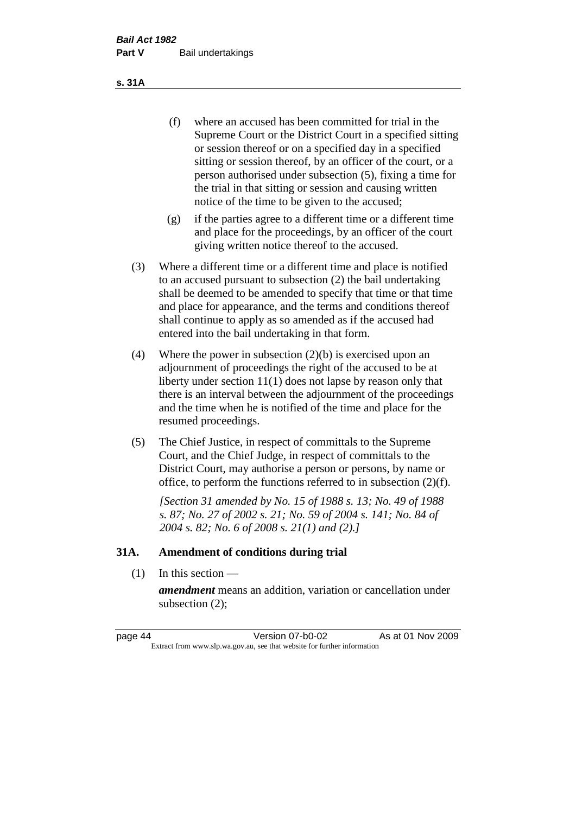- (f) where an accused has been committed for trial in the Supreme Court or the District Court in a specified sitting or session thereof or on a specified day in a specified sitting or session thereof, by an officer of the court, or a person authorised under subsection (5), fixing a time for the trial in that sitting or session and causing written notice of the time to be given to the accused;
- (g) if the parties agree to a different time or a different time and place for the proceedings, by an officer of the court giving written notice thereof to the accused.
- (3) Where a different time or a different time and place is notified to an accused pursuant to subsection (2) the bail undertaking shall be deemed to be amended to specify that time or that time and place for appearance, and the terms and conditions thereof shall continue to apply as so amended as if the accused had entered into the bail undertaking in that form.
- (4) Where the power in subsection (2)(b) is exercised upon an adjournment of proceedings the right of the accused to be at liberty under section 11(1) does not lapse by reason only that there is an interval between the adjournment of the proceedings and the time when he is notified of the time and place for the resumed proceedings.
- (5) The Chief Justice, in respect of committals to the Supreme Court, and the Chief Judge, in respect of committals to the District Court, may authorise a person or persons, by name or office, to perform the functions referred to in subsection (2)(f).

*[Section 31 amended by No. 15 of 1988 s. 13; No. 49 of 1988 s. 87; No. 27 of 2002 s. 21; No. 59 of 2004 s. 141; No. 84 of 2004 s. 82; No. 6 of 2008 s. 21(1) and (2).]* 

#### **31A. Amendment of conditions during trial**

(1) In this section —

*amendment* means an addition, variation or cancellation under subsection (2);

page 44 Version 07-b0-02 As at 01 Nov 2009 Extract from www.slp.wa.gov.au, see that website for further information

**s. 31A**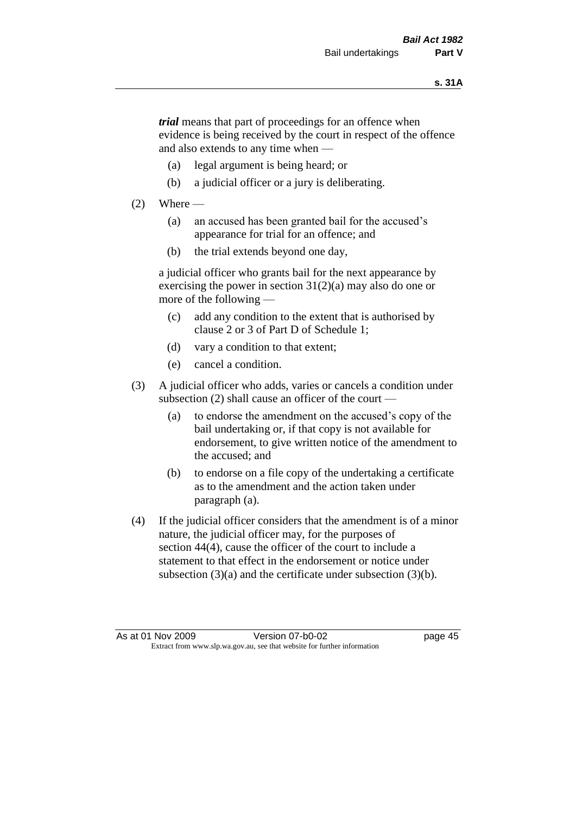*trial* means that part of proceedings for an offence when evidence is being received by the court in respect of the offence and also extends to any time when —

- (a) legal argument is being heard; or
- (b) a judicial officer or a jury is deliberating.

#### $(2)$  Where —

- (a) an accused has been granted bail for the accused's appearance for trial for an offence; and
- (b) the trial extends beyond one day,

a judicial officer who grants bail for the next appearance by exercising the power in section  $31(2)(a)$  may also do one or more of the following —

- (c) add any condition to the extent that is authorised by clause 2 or 3 of Part D of Schedule 1;
- (d) vary a condition to that extent;
- (e) cancel a condition.
- (3) A judicial officer who adds, varies or cancels a condition under subsection (2) shall cause an officer of the court —
	- (a) to endorse the amendment on the accused's copy of the bail undertaking or, if that copy is not available for endorsement, to give written notice of the amendment to the accused; and
	- (b) to endorse on a file copy of the undertaking a certificate as to the amendment and the action taken under paragraph (a).
- (4) If the judicial officer considers that the amendment is of a minor nature, the judicial officer may, for the purposes of section 44(4), cause the officer of the court to include a statement to that effect in the endorsement or notice under subsection (3)(a) and the certificate under subsection (3)(b).

As at 01 Nov 2009 Version 07-b0-02 Page 45 Extract from www.slp.wa.gov.au, see that website for further information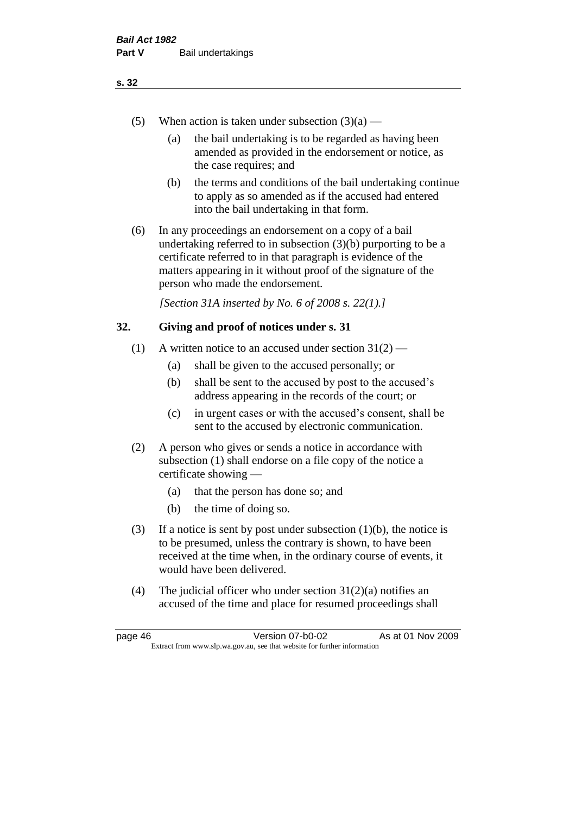- (5) When action is taken under subsection  $(3)(a)$ 
	- (a) the bail undertaking is to be regarded as having been amended as provided in the endorsement or notice, as the case requires; and
	- (b) the terms and conditions of the bail undertaking continue to apply as so amended as if the accused had entered into the bail undertaking in that form.
- (6) In any proceedings an endorsement on a copy of a bail undertaking referred to in subsection (3)(b) purporting to be a certificate referred to in that paragraph is evidence of the matters appearing in it without proof of the signature of the person who made the endorsement.

*[Section 31A inserted by No. 6 of 2008 s. 22(1).]*

#### **32. Giving and proof of notices under s. 31**

- (1) A written notice to an accused under section  $31(2)$ 
	- (a) shall be given to the accused personally; or
	- (b) shall be sent to the accused by post to the accused's address appearing in the records of the court; or
	- (c) in urgent cases or with the accused's consent, shall be sent to the accused by electronic communication.
- (2) A person who gives or sends a notice in accordance with subsection (1) shall endorse on a file copy of the notice a certificate showing —
	- (a) that the person has done so; and
	- (b) the time of doing so.
- (3) If a notice is sent by post under subsection  $(1)(b)$ , the notice is to be presumed, unless the contrary is shown, to have been received at the time when, in the ordinary course of events, it would have been delivered.
- (4) The judicial officer who under section  $31(2)(a)$  notifies an accused of the time and place for resumed proceedings shall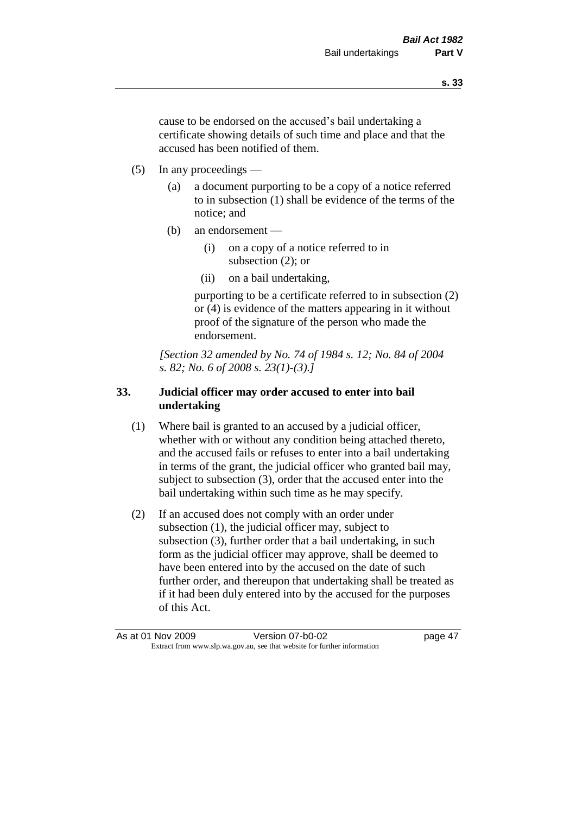cause to be endorsed on the accused's bail undertaking a certificate showing details of such time and place and that the accused has been notified of them.

- (5) In any proceedings
	- (a) a document purporting to be a copy of a notice referred to in subsection (1) shall be evidence of the terms of the notice; and
	- (b) an endorsement
		- (i) on a copy of a notice referred to in subsection (2); or
		- (ii) on a bail undertaking,

purporting to be a certificate referred to in subsection (2) or (4) is evidence of the matters appearing in it without proof of the signature of the person who made the endorsement.

*[Section 32 amended by No. 74 of 1984 s. 12; No. 84 of 2004 s. 82; No. 6 of 2008 s. 23(1)-(3).]* 

# **33. Judicial officer may order accused to enter into bail undertaking**

- (1) Where bail is granted to an accused by a judicial officer, whether with or without any condition being attached thereto, and the accused fails or refuses to enter into a bail undertaking in terms of the grant, the judicial officer who granted bail may, subject to subsection (3), order that the accused enter into the bail undertaking within such time as he may specify.
- (2) If an accused does not comply with an order under subsection (1), the judicial officer may, subject to subsection (3), further order that a bail undertaking, in such form as the judicial officer may approve, shall be deemed to have been entered into by the accused on the date of such further order, and thereupon that undertaking shall be treated as if it had been duly entered into by the accused for the purposes of this Act.

As at 01 Nov 2009 Version 07-b0-02 page 47 Extract from www.slp.wa.gov.au, see that website for further information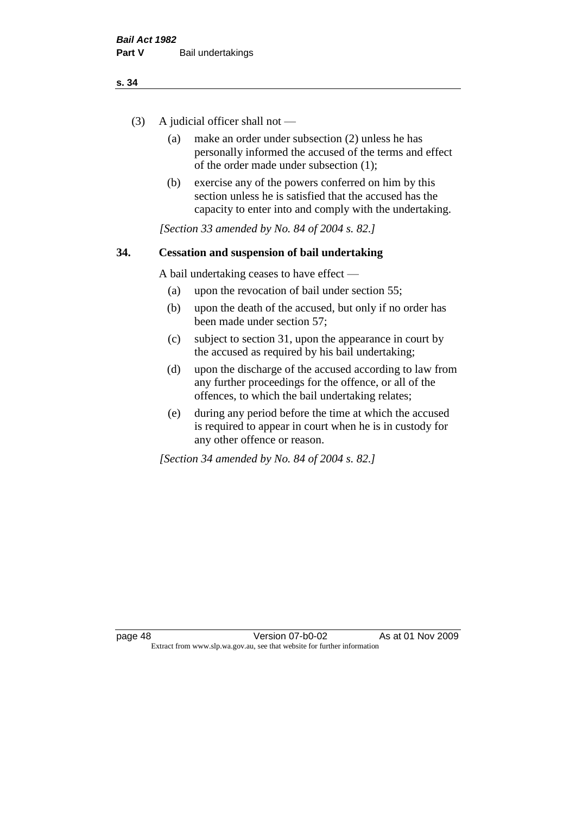- (3) A judicial officer shall not
	- (a) make an order under subsection (2) unless he has personally informed the accused of the terms and effect of the order made under subsection (1);
	- (b) exercise any of the powers conferred on him by this section unless he is satisfied that the accused has the capacity to enter into and comply with the undertaking.

*[Section 33 amended by No. 84 of 2004 s. 82.]* 

#### **34. Cessation and suspension of bail undertaking**

A bail undertaking ceases to have effect —

- (a) upon the revocation of bail under section 55;
- (b) upon the death of the accused, but only if no order has been made under section 57;
- (c) subject to section 31, upon the appearance in court by the accused as required by his bail undertaking;
- (d) upon the discharge of the accused according to law from any further proceedings for the offence, or all of the offences, to which the bail undertaking relates;
- (e) during any period before the time at which the accused is required to appear in court when he is in custody for any other offence or reason.

*[Section 34 amended by No. 84 of 2004 s. 82.]*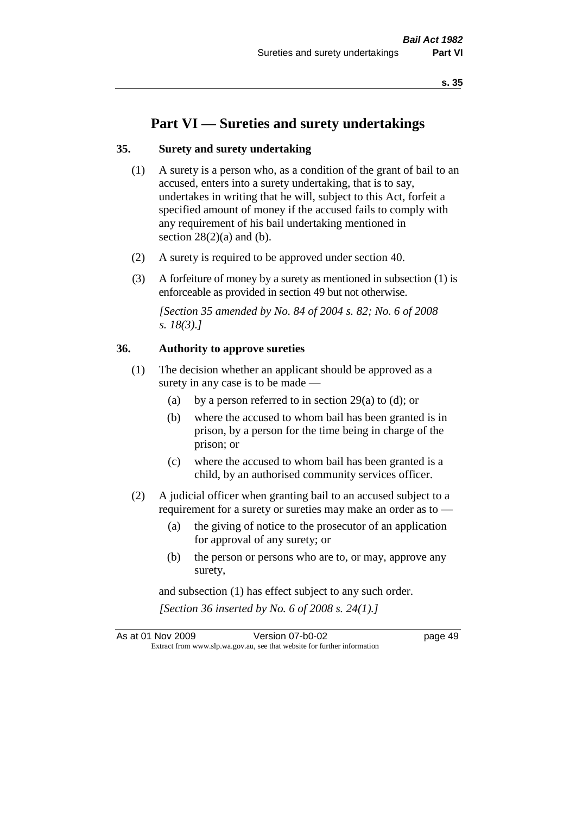# **Part VI — Sureties and surety undertakings**

#### **35. Surety and surety undertaking**

- (1) A surety is a person who, as a condition of the grant of bail to an accused, enters into a surety undertaking, that is to say, undertakes in writing that he will, subject to this Act, forfeit a specified amount of money if the accused fails to comply with any requirement of his bail undertaking mentioned in section  $28(2)(a)$  and (b).
- (2) A surety is required to be approved under section 40.
- (3) A forfeiture of money by a surety as mentioned in subsection (1) is enforceable as provided in section 49 but not otherwise.

*[Section 35 amended by No. 84 of 2004 s. 82; No. 6 of 2008 s. 18(3).]* 

#### **36. Authority to approve sureties**

- (1) The decision whether an applicant should be approved as a surety in any case is to be made —
	- (a) by a person referred to in section 29(a) to (d); or
	- (b) where the accused to whom bail has been granted is in prison, by a person for the time being in charge of the prison; or
	- (c) where the accused to whom bail has been granted is a child, by an authorised community services officer.
- (2) A judicial officer when granting bail to an accused subject to a requirement for a surety or sureties may make an order as to —
	- (a) the giving of notice to the prosecutor of an application for approval of any surety; or
	- (b) the person or persons who are to, or may, approve any surety,

and subsection (1) has effect subject to any such order. *[Section 36 inserted by No. 6 of 2008 s. 24(1).]*

As at 01 Nov 2009 Version 07-b0-02 page 49 Extract from www.slp.wa.gov.au, see that website for further information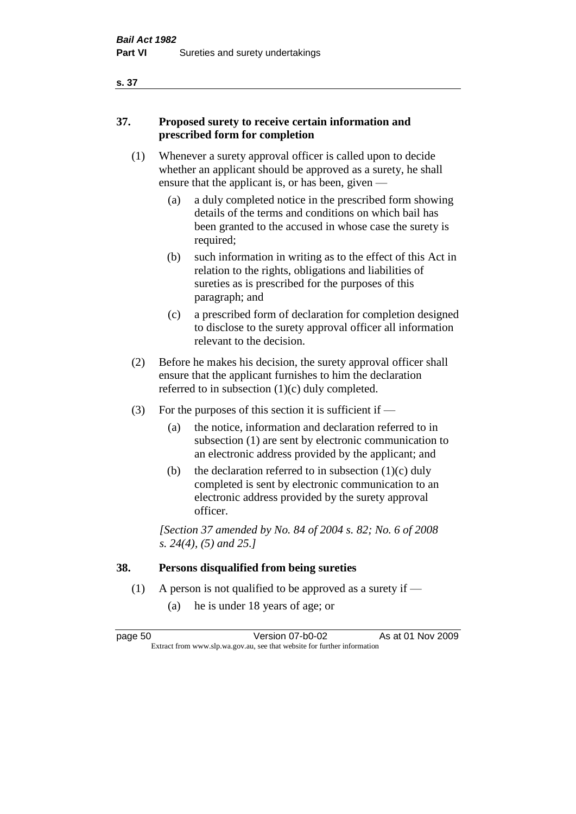# **37. Proposed surety to receive certain information and prescribed form for completion**

- (1) Whenever a surety approval officer is called upon to decide whether an applicant should be approved as a surety, he shall ensure that the applicant is, or has been, given -
	- (a) a duly completed notice in the prescribed form showing details of the terms and conditions on which bail has been granted to the accused in whose case the surety is required;
	- (b) such information in writing as to the effect of this Act in relation to the rights, obligations and liabilities of sureties as is prescribed for the purposes of this paragraph; and
	- (c) a prescribed form of declaration for completion designed to disclose to the surety approval officer all information relevant to the decision.
- (2) Before he makes his decision, the surety approval officer shall ensure that the applicant furnishes to him the declaration referred to in subsection (1)(c) duly completed.
- (3) For the purposes of this section it is sufficient if  $-$ 
	- (a) the notice, information and declaration referred to in subsection (1) are sent by electronic communication to an electronic address provided by the applicant; and
	- (b) the declaration referred to in subsection  $(1)(c)$  duly completed is sent by electronic communication to an electronic address provided by the surety approval officer.

*[Section 37 amended by No. 84 of 2004 s. 82; No. 6 of 2008 s. 24(4), (5) and 25.]* 

# **38. Persons disqualified from being sureties**

- (1) A person is not qualified to be approved as a surety if  $-$ 
	- (a) he is under 18 years of age; or

page 50 Version 07-b0-02 As at 01 Nov 2009 Extract from www.slp.wa.gov.au, see that website for further information

#### **s. 37**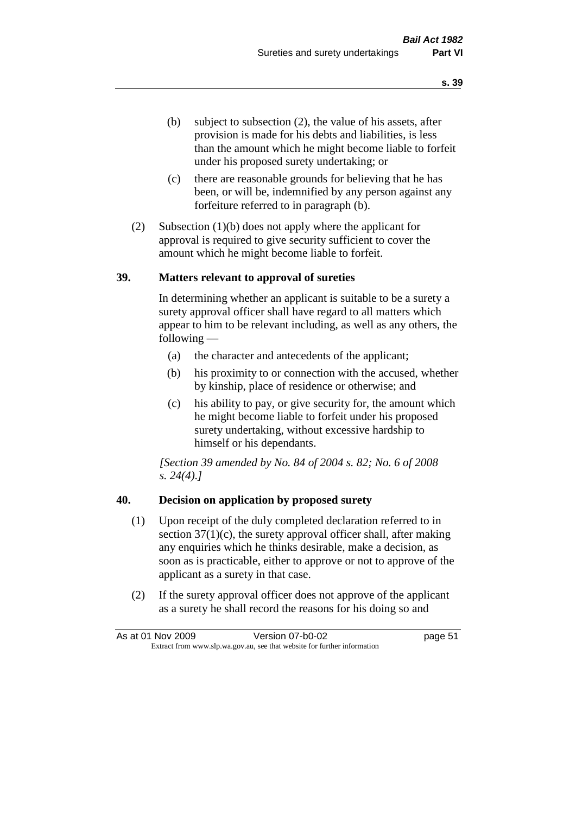- (b) subject to subsection (2), the value of his assets, after provision is made for his debts and liabilities, is less than the amount which he might become liable to forfeit under his proposed surety undertaking; or
- (c) there are reasonable grounds for believing that he has been, or will be, indemnified by any person against any forfeiture referred to in paragraph (b).
- (2) Subsection (1)(b) does not apply where the applicant for approval is required to give security sufficient to cover the amount which he might become liable to forfeit.

#### **39. Matters relevant to approval of sureties**

In determining whether an applicant is suitable to be a surety a surety approval officer shall have regard to all matters which appear to him to be relevant including, as well as any others, the following —

- (a) the character and antecedents of the applicant;
- (b) his proximity to or connection with the accused, whether by kinship, place of residence or otherwise; and
- (c) his ability to pay, or give security for, the amount which he might become liable to forfeit under his proposed surety undertaking, without excessive hardship to himself or his dependants.

*[Section 39 amended by No. 84 of 2004 s. 82; No. 6 of 2008 s. 24(4).]* 

#### **40. Decision on application by proposed surety**

- (1) Upon receipt of the duly completed declaration referred to in section  $37(1)(c)$ , the surety approval officer shall, after making any enquiries which he thinks desirable, make a decision, as soon as is practicable, either to approve or not to approve of the applicant as a surety in that case.
- (2) If the surety approval officer does not approve of the applicant as a surety he shall record the reasons for his doing so and

|                                                                          | As at 01 Nov 2009 | Version 07-b0-02 | page 51 |
|--------------------------------------------------------------------------|-------------------|------------------|---------|
| Extract from www.slp.wa.gov.au, see that website for further information |                   |                  |         |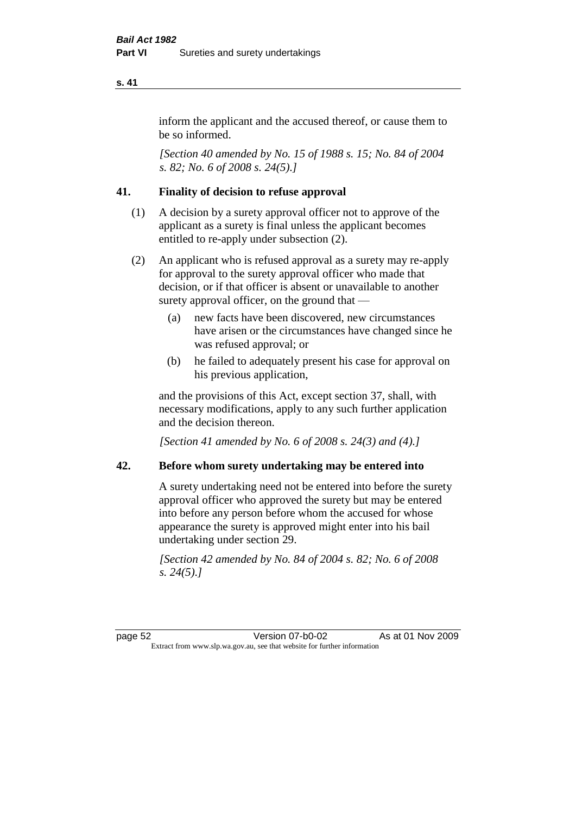inform the applicant and the accused thereof, or cause them to be so informed.

*[Section 40 amended by No. 15 of 1988 s. 15; No. 84 of 2004 s. 82; No. 6 of 2008 s. 24(5).]* 

# **41. Finality of decision to refuse approval**

- (1) A decision by a surety approval officer not to approve of the applicant as a surety is final unless the applicant becomes entitled to re-apply under subsection (2).
- (2) An applicant who is refused approval as a surety may re-apply for approval to the surety approval officer who made that decision, or if that officer is absent or unavailable to another surety approval officer, on the ground that —
	- (a) new facts have been discovered, new circumstances have arisen or the circumstances have changed since he was refused approval; or
	- (b) he failed to adequately present his case for approval on his previous application,

and the provisions of this Act, except section 37, shall, with necessary modifications, apply to any such further application and the decision thereon.

*[Section 41 amended by No. 6 of 2008 s. 24(3) and (4).]*

#### **42. Before whom surety undertaking may be entered into**

A surety undertaking need not be entered into before the surety approval officer who approved the surety but may be entered into before any person before whom the accused for whose appearance the surety is approved might enter into his bail undertaking under section 29.

*[Section 42 amended by No. 84 of 2004 s. 82; No. 6 of 2008 s. 24(5).]*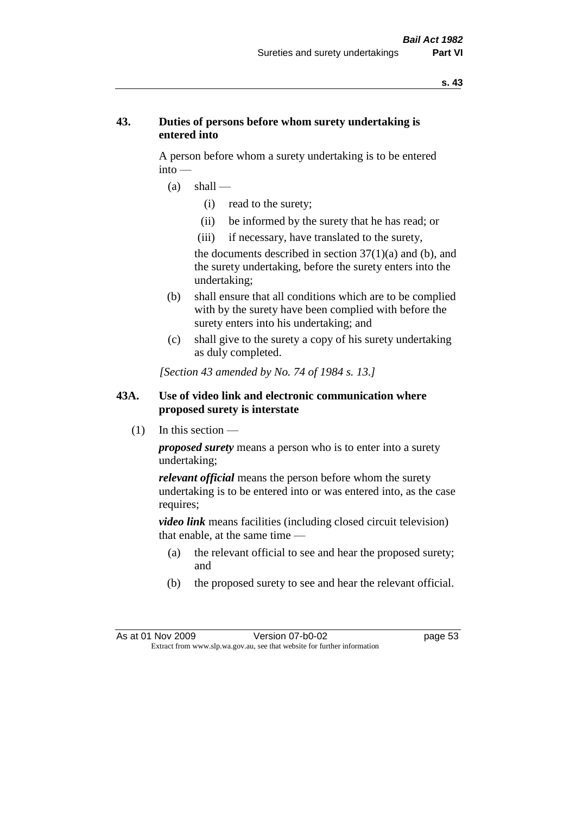## **43. Duties of persons before whom surety undertaking is entered into**

A person before whom a surety undertaking is to be entered into —

- $(a)$  shall
	- (i) read to the surety;
	- (ii) be informed by the surety that he has read; or
	- (iii) if necessary, have translated to the surety,

the documents described in section  $37(1)(a)$  and (b), and the surety undertaking, before the surety enters into the undertaking;

- (b) shall ensure that all conditions which are to be complied with by the surety have been complied with before the surety enters into his undertaking; and
- (c) shall give to the surety a copy of his surety undertaking as duly completed.

*[Section 43 amended by No. 74 of 1984 s. 13.]* 

#### **43A. Use of video link and electronic communication where proposed surety is interstate**

 $(1)$  In this section —

*proposed surety* means a person who is to enter into a surety undertaking;

*relevant official* means the person before whom the surety undertaking is to be entered into or was entered into, as the case requires;

*video link* means facilities (including closed circuit television) that enable, at the same time —

- (a) the relevant official to see and hear the proposed surety; and
- (b) the proposed surety to see and hear the relevant official.

As at 01 Nov 2009 Version 07-b0-02 Page 53 Extract from www.slp.wa.gov.au, see that website for further information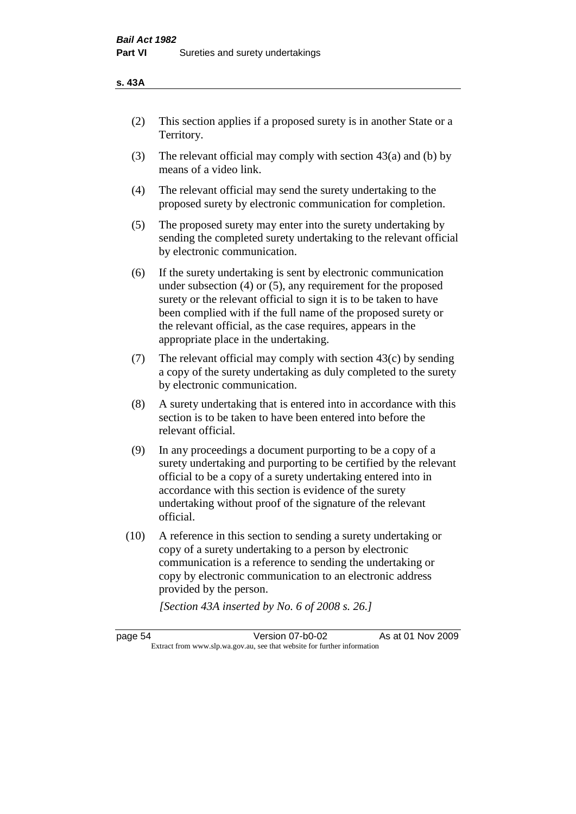#### **s. 43A**

- (2) This section applies if a proposed surety is in another State or a Territory.
- (3) The relevant official may comply with section 43(a) and (b) by means of a video link.
- (4) The relevant official may send the surety undertaking to the proposed surety by electronic communication for completion.
- (5) The proposed surety may enter into the surety undertaking by sending the completed surety undertaking to the relevant official by electronic communication.
- (6) If the surety undertaking is sent by electronic communication under subsection (4) or (5), any requirement for the proposed surety or the relevant official to sign it is to be taken to have been complied with if the full name of the proposed surety or the relevant official, as the case requires, appears in the appropriate place in the undertaking.
- (7) The relevant official may comply with section  $43(c)$  by sending a copy of the surety undertaking as duly completed to the surety by electronic communication.
- (8) A surety undertaking that is entered into in accordance with this section is to be taken to have been entered into before the relevant official.
- (9) In any proceedings a document purporting to be a copy of a surety undertaking and purporting to be certified by the relevant official to be a copy of a surety undertaking entered into in accordance with this section is evidence of the surety undertaking without proof of the signature of the relevant official.
- (10) A reference in this section to sending a surety undertaking or copy of a surety undertaking to a person by electronic communication is a reference to sending the undertaking or copy by electronic communication to an electronic address provided by the person.

*[Section 43A inserted by No. 6 of 2008 s. 26.]*

page 54 Version 07-b0-02 As at 01 Nov 2009 Extract from www.slp.wa.gov.au, see that website for further information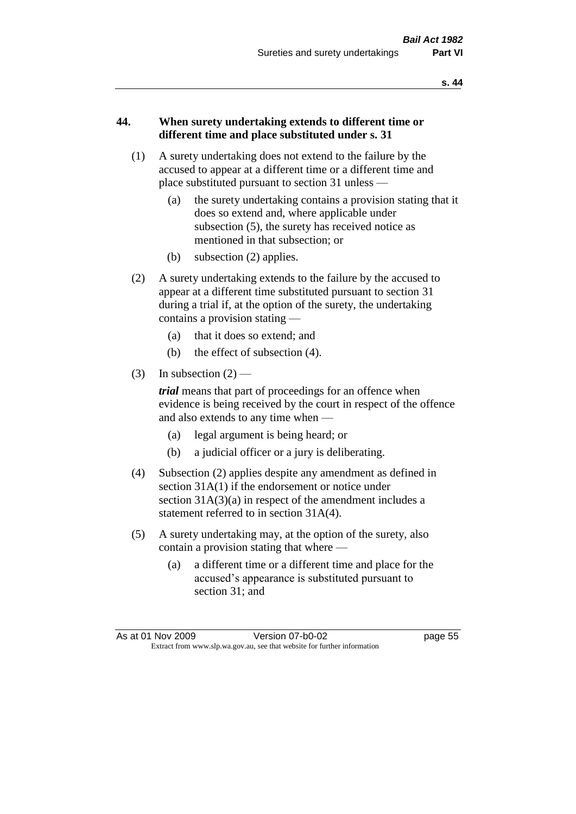#### **44. When surety undertaking extends to different time or different time and place substituted under s. 31**

- (1) A surety undertaking does not extend to the failure by the accused to appear at a different time or a different time and place substituted pursuant to section 31 unless —
	- (a) the surety undertaking contains a provision stating that it does so extend and, where applicable under subsection (5), the surety has received notice as mentioned in that subsection; or
	- (b) subsection (2) applies.
- (2) A surety undertaking extends to the failure by the accused to appear at a different time substituted pursuant to section 31 during a trial if, at the option of the surety, the undertaking contains a provision stating —
	- (a) that it does so extend; and
	- (b) the effect of subsection (4).
- (3) In subsection  $(2)$  —

*trial* means that part of proceedings for an offence when evidence is being received by the court in respect of the offence and also extends to any time when —

- (a) legal argument is being heard; or
- (b) a judicial officer or a jury is deliberating.
- (4) Subsection (2) applies despite any amendment as defined in section 31A(1) if the endorsement or notice under section  $31A(3)(a)$  in respect of the amendment includes a statement referred to in section 31A(4).
- (5) A surety undertaking may, at the option of the surety, also contain a provision stating that where —
	- (a) a different time or a different time and place for the accused's appearance is substituted pursuant to section 31; and

As at 01 Nov 2009 Version 07-b0-02 Page 55 Extract from www.slp.wa.gov.au, see that website for further information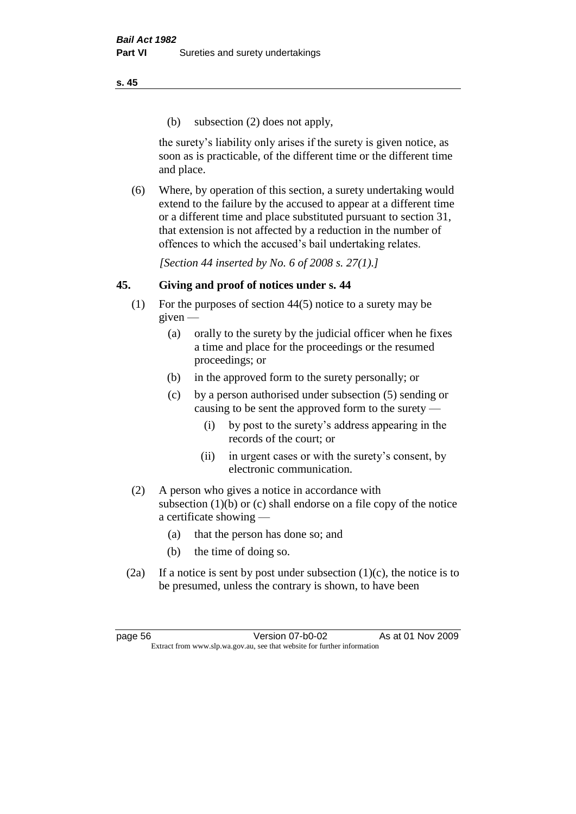(b) subsection (2) does not apply,

the surety's liability only arises if the surety is given notice, as soon as is practicable, of the different time or the different time and place.

(6) Where, by operation of this section, a surety undertaking would extend to the failure by the accused to appear at a different time or a different time and place substituted pursuant to section 31, that extension is not affected by a reduction in the number of offences to which the accused's bail undertaking relates.

*[Section 44 inserted by No. 6 of 2008 s. 27(1).]*

# **45. Giving and proof of notices under s. 44**

- (1) For the purposes of section 44(5) notice to a surety may be  $given -$ 
	- (a) orally to the surety by the judicial officer when he fixes a time and place for the proceedings or the resumed proceedings; or
	- (b) in the approved form to the surety personally; or
	- (c) by a person authorised under subsection (5) sending or causing to be sent the approved form to the surety —
		- (i) by post to the surety's address appearing in the records of the court; or
		- (ii) in urgent cases or with the surety's consent, by electronic communication.
- (2) A person who gives a notice in accordance with subsection (1)(b) or (c) shall endorse on a file copy of the notice a certificate showing —
	- (a) that the person has done so; and
	- (b) the time of doing so.
- (2a) If a notice is sent by post under subsection  $(1)(c)$ , the notice is to be presumed, unless the contrary is shown, to have been

page 56 Version 07-b0-02 As at 01 Nov 2009 Extract from www.slp.wa.gov.au, see that website for further information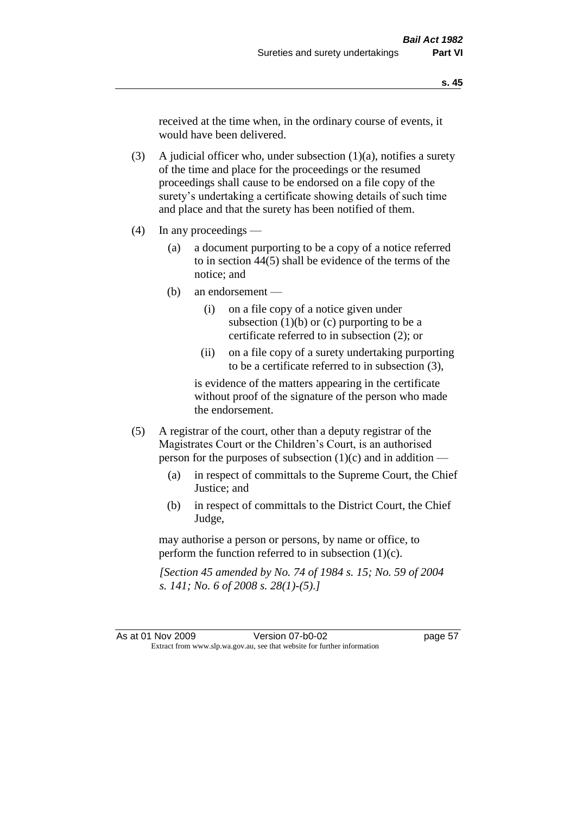received at the time when, in the ordinary course of events, it would have been delivered.

(3) A judicial officer who, under subsection  $(1)(a)$ , notifies a surety of the time and place for the proceedings or the resumed proceedings shall cause to be endorsed on a file copy of the surety's undertaking a certificate showing details of such time and place and that the surety has been notified of them.

- (4) In any proceedings
	- (a) a document purporting to be a copy of a notice referred to in section 44(5) shall be evidence of the terms of the notice; and
	- (b) an endorsement
		- (i) on a file copy of a notice given under subsection  $(1)(b)$  or  $(c)$  purporting to be a certificate referred to in subsection (2); or
		- (ii) on a file copy of a surety undertaking purporting to be a certificate referred to in subsection (3),

is evidence of the matters appearing in the certificate without proof of the signature of the person who made the endorsement.

- (5) A registrar of the court, other than a deputy registrar of the Magistrates Court or the Children's Court, is an authorised person for the purposes of subsection (1)(c) and in addition —
	- (a) in respect of committals to the Supreme Court, the Chief Justice; and
	- (b) in respect of committals to the District Court, the Chief Judge,

may authorise a person or persons, by name or office, to perform the function referred to in subsection (1)(c).

*[Section 45 amended by No. 74 of 1984 s. 15; No. 59 of 2004 s. 141; No. 6 of 2008 s. 28(1)-(5).]*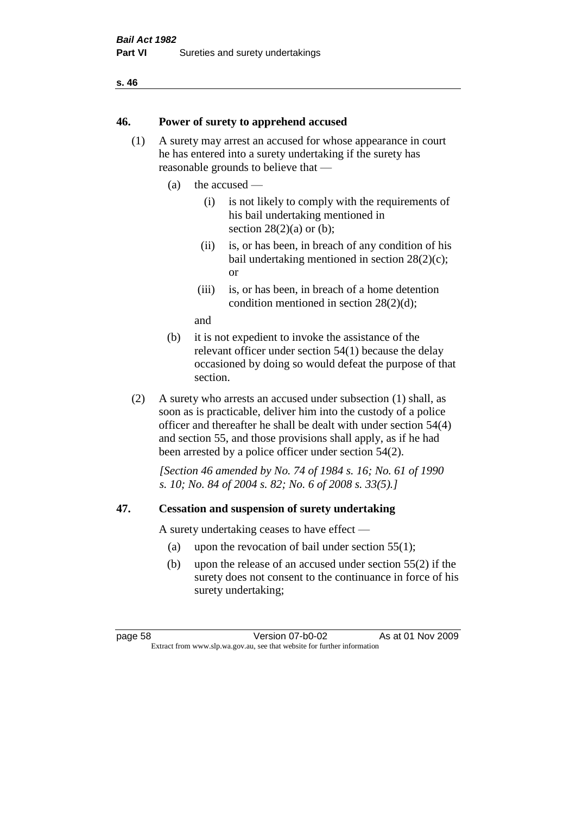#### **46. Power of surety to apprehend accused**

- (1) A surety may arrest an accused for whose appearance in court he has entered into a surety undertaking if the surety has reasonable grounds to believe that —
	- (a) the accused
		- (i) is not likely to comply with the requirements of his bail undertaking mentioned in section  $28(2)(a)$  or (b):
		- (ii) is, or has been, in breach of any condition of his bail undertaking mentioned in section 28(2)(c); or
		- (iii) is, or has been, in breach of a home detention condition mentioned in section 28(2)(d);

and

- (b) it is not expedient to invoke the assistance of the relevant officer under section 54(1) because the delay occasioned by doing so would defeat the purpose of that section.
- (2) A surety who arrests an accused under subsection (1) shall, as soon as is practicable, deliver him into the custody of a police officer and thereafter he shall be dealt with under section 54(4) and section 55, and those provisions shall apply, as if he had been arrested by a police officer under section 54(2).

*[Section 46 amended by No. 74 of 1984 s. 16; No. 61 of 1990 s. 10; No. 84 of 2004 s. 82; No. 6 of 2008 s. 33(5).]* 

#### **47. Cessation and suspension of surety undertaking**

A surety undertaking ceases to have effect —

- (a) upon the revocation of bail under section 55(1);
- (b) upon the release of an accused under section 55(2) if the surety does not consent to the continuance in force of his surety undertaking;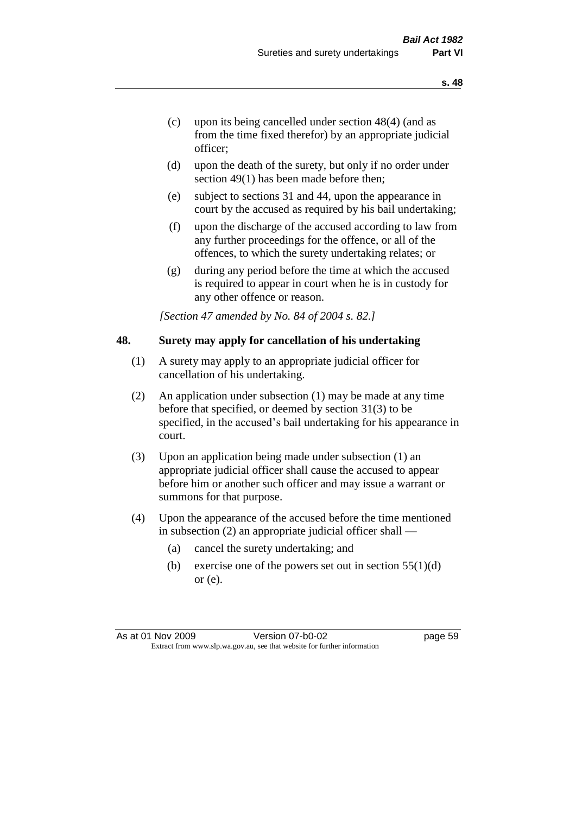- (c) upon its being cancelled under section 48(4) (and as from the time fixed therefor) by an appropriate judicial officer;
- (d) upon the death of the surety, but only if no order under section 49(1) has been made before then;
- (e) subject to sections 31 and 44, upon the appearance in court by the accused as required by his bail undertaking;
- (f) upon the discharge of the accused according to law from any further proceedings for the offence, or all of the offences, to which the surety undertaking relates; or
- (g) during any period before the time at which the accused is required to appear in court when he is in custody for any other offence or reason.

*[Section 47 amended by No. 84 of 2004 s. 82.]* 

#### **48. Surety may apply for cancellation of his undertaking**

- (1) A surety may apply to an appropriate judicial officer for cancellation of his undertaking.
- (2) An application under subsection (1) may be made at any time before that specified, or deemed by section 31(3) to be specified, in the accused's bail undertaking for his appearance in court.
- (3) Upon an application being made under subsection (1) an appropriate judicial officer shall cause the accused to appear before him or another such officer and may issue a warrant or summons for that purpose.
- (4) Upon the appearance of the accused before the time mentioned in subsection (2) an appropriate judicial officer shall —
	- (a) cancel the surety undertaking; and
	- (b) exercise one of the powers set out in section  $55(1)(d)$ or (e).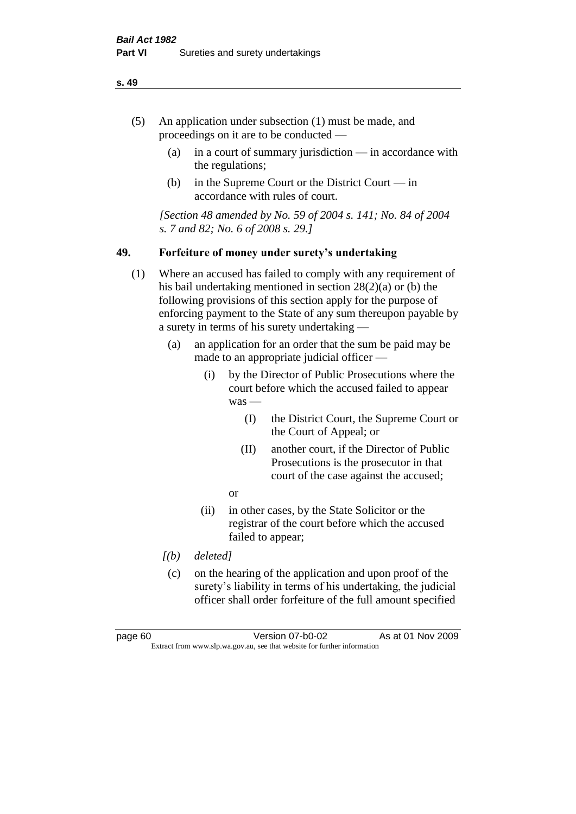- (5) An application under subsection (1) must be made, and proceedings on it are to be conducted —
	- (a) in a court of summary jurisdiction in accordance with the regulations;
	- (b) in the Supreme Court or the District Court  $-\text{in}$ accordance with rules of court.

*[Section 48 amended by No. 59 of 2004 s. 141; No. 84 of 2004 s. 7 and 82; No. 6 of 2008 s. 29.]* 

#### **49. Forfeiture of money under surety's undertaking**

- (1) Where an accused has failed to comply with any requirement of his bail undertaking mentioned in section 28(2)(a) or (b) the following provisions of this section apply for the purpose of enforcing payment to the State of any sum thereupon payable by a surety in terms of his surety undertaking —
	- (a) an application for an order that the sum be paid may be made to an appropriate judicial officer —
		- (i) by the Director of Public Prosecutions where the court before which the accused failed to appear was —
			- (I) the District Court, the Supreme Court or the Court of Appeal; or
			- (II) another court, if the Director of Public Prosecutions is the prosecutor in that court of the case against the accused;
			- or
		- (ii) in other cases, by the State Solicitor or the registrar of the court before which the accused failed to appear;
	- *[(b) deleted]*
	- (c) on the hearing of the application and upon proof of the surety's liability in terms of his undertaking, the judicial officer shall order forfeiture of the full amount specified

page 60 Version 07-b0-02 As at 01 Nov 2009 Extract from www.slp.wa.gov.au, see that website for further information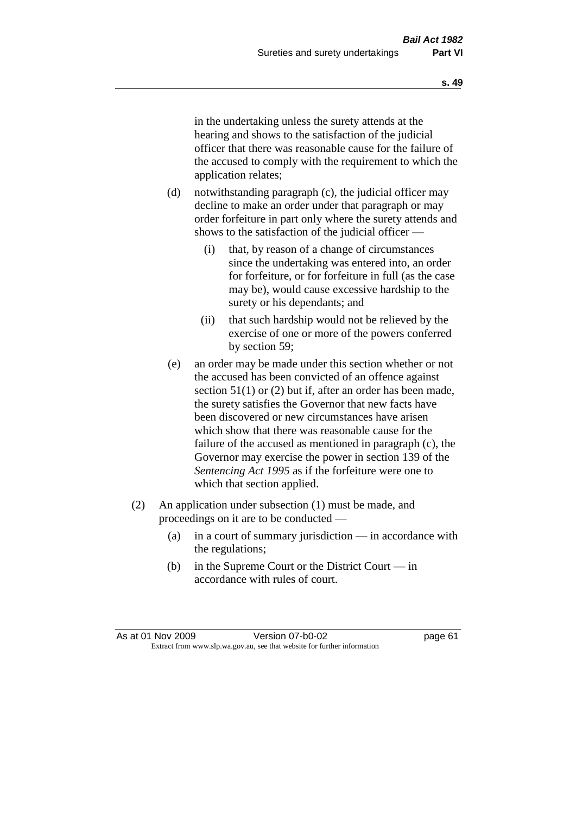in the undertaking unless the surety attends at the hearing and shows to the satisfaction of the judicial officer that there was reasonable cause for the failure of the accused to comply with the requirement to which the application relates;

- (d) notwithstanding paragraph (c), the judicial officer may decline to make an order under that paragraph or may order forfeiture in part only where the surety attends and shows to the satisfaction of the judicial officer —
	- (i) that, by reason of a change of circumstances since the undertaking was entered into, an order for forfeiture, or for forfeiture in full (as the case may be), would cause excessive hardship to the surety or his dependants; and
	- (ii) that such hardship would not be relieved by the exercise of one or more of the powers conferred by section 59;
- (e) an order may be made under this section whether or not the accused has been convicted of an offence against section 51(1) or (2) but if, after an order has been made, the surety satisfies the Governor that new facts have been discovered or new circumstances have arisen which show that there was reasonable cause for the failure of the accused as mentioned in paragraph (c), the Governor may exercise the power in section 139 of the *Sentencing Act 1995* as if the forfeiture were one to which that section applied.
- (2) An application under subsection (1) must be made, and proceedings on it are to be conducted —
	- (a) in a court of summary jurisdiction in accordance with the regulations;
	- (b) in the Supreme Court or the District Court in accordance with rules of court.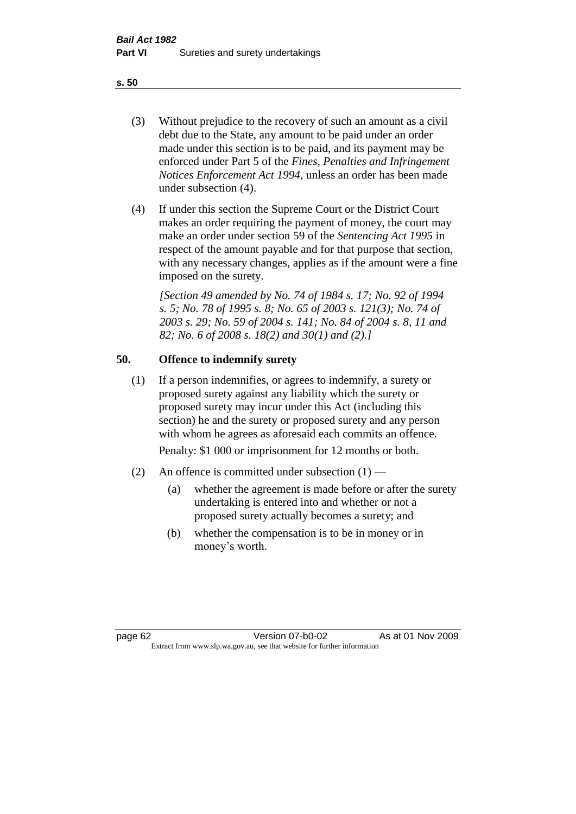- (3) Without prejudice to the recovery of such an amount as a civil debt due to the State, any amount to be paid under an order made under this section is to be paid, and its payment may be enforced under Part 5 of the *Fines, Penalties and Infringement Notices Enforcement Act 1994*, unless an order has been made under subsection (4).
- (4) If under this section the Supreme Court or the District Court makes an order requiring the payment of money, the court may make an order under section 59 of the *Sentencing Act 1995* in respect of the amount payable and for that purpose that section, with any necessary changes, applies as if the amount were a fine imposed on the surety.

*[Section 49 amended by No. 74 of 1984 s. 17; No. 92 of 1994 s. 5; No. 78 of 1995 s. 8; No. 65 of 2003 s. 121(3); No. 74 of 2003 s. 29; No. 59 of 2004 s. 141; No. 84 of 2004 s. 8, 11 and 82; No. 6 of 2008 s. 18(2) and 30(1) and (2).]* 

# **50. Offence to indemnify surety**

(1) If a person indemnifies, or agrees to indemnify, a surety or proposed surety against any liability which the surety or proposed surety may incur under this Act (including this section) he and the surety or proposed surety and any person with whom he agrees as aforesaid each commits an offence.

Penalty: \$1 000 or imprisonment for 12 months or both.

- (2) An offence is committed under subsection  $(1)$ 
	- (a) whether the agreement is made before or after the surety undertaking is entered into and whether or not a proposed surety actually becomes a surety; and
	- (b) whether the compensation is to be in money or in money's worth.

page 62 Version 07-b0-02 As at 01 Nov 2009 Extract from www.slp.wa.gov.au, see that website for further information

**s. 50**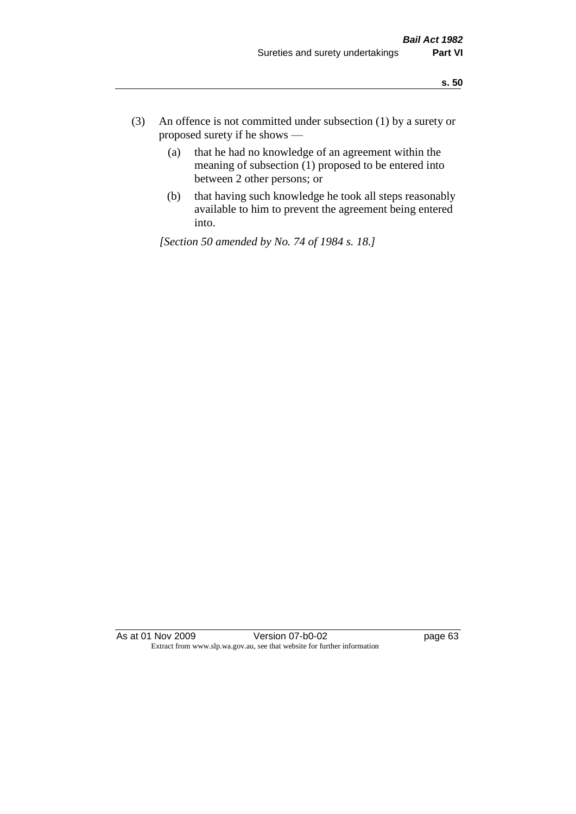- (3) An offence is not committed under subsection (1) by a surety or proposed surety if he shows —
	- (a) that he had no knowledge of an agreement within the meaning of subsection  $(1)$  proposed to be entered into between 2 other persons; or
	- (b) that having such knowledge he took all steps reasonably available to him to prevent the agreement being entered into.

*[Section 50 amended by No. 74 of 1984 s. 18.]* 

As at 01 Nov 2009 Version 07-b0-02 page 63 Extract from www.slp.wa.gov.au, see that website for further information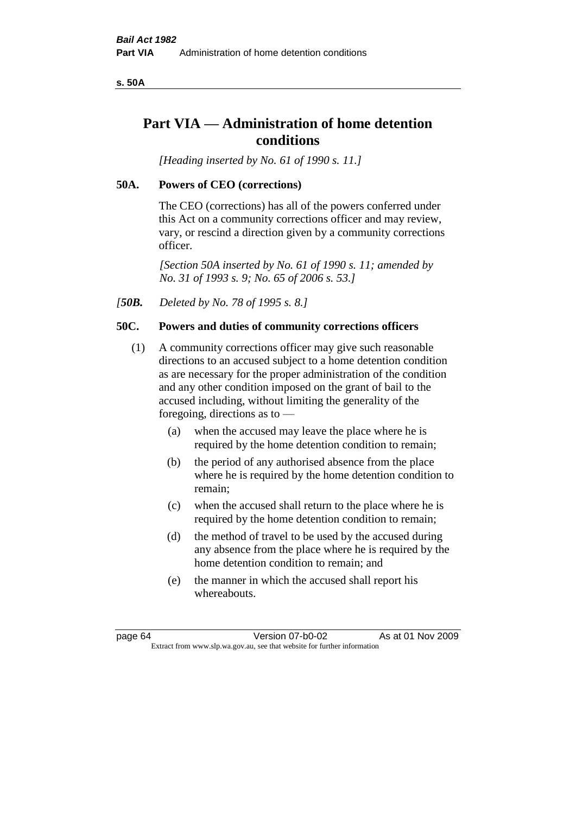**s. 50A**

# **Part VIA — Administration of home detention conditions**

*[Heading inserted by No. 61 of 1990 s. 11.]* 

#### **50A. Powers of CEO (corrections)**

The CEO (corrections) has all of the powers conferred under this Act on a community corrections officer and may review, vary, or rescind a direction given by a community corrections officer.

*[Section 50A inserted by No. 61 of 1990 s. 11; amended by No. 31 of 1993 s. 9; No. 65 of 2006 s. 53.]* 

*[50B. Deleted by No. 78 of 1995 s. 8.]* 

#### **50C. Powers and duties of community corrections officers**

- (1) A community corrections officer may give such reasonable directions to an accused subject to a home detention condition as are necessary for the proper administration of the condition and any other condition imposed on the grant of bail to the accused including, without limiting the generality of the foregoing, directions as to —
	- (a) when the accused may leave the place where he is required by the home detention condition to remain;
	- (b) the period of any authorised absence from the place where he is required by the home detention condition to remain;
	- (c) when the accused shall return to the place where he is required by the home detention condition to remain;
	- (d) the method of travel to be used by the accused during any absence from the place where he is required by the home detention condition to remain; and
	- (e) the manner in which the accused shall report his whereabouts.

page 64 Version 07-b0-02 As at 01 Nov 2009 Extract from www.slp.wa.gov.au, see that website for further information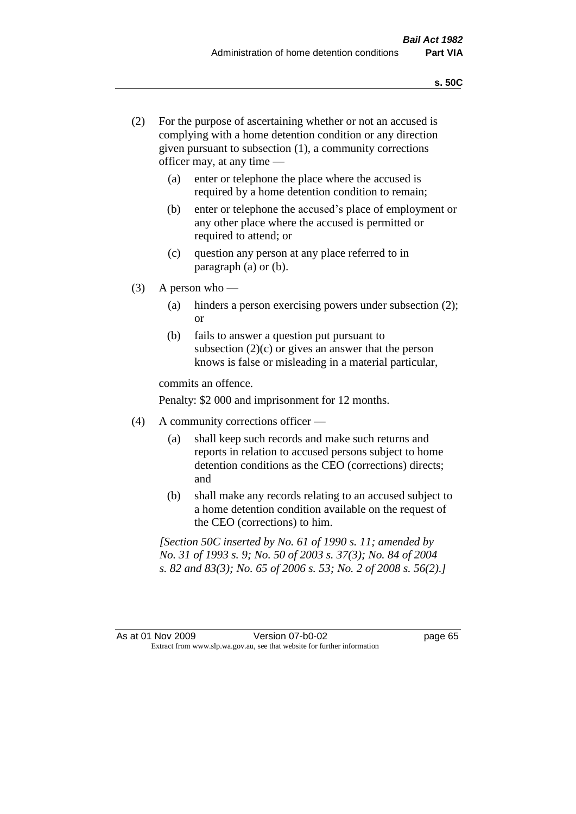- (2) For the purpose of ascertaining whether or not an accused is complying with a home detention condition or any direction given pursuant to subsection (1), a community corrections officer may, at any time —
	- (a) enter or telephone the place where the accused is required by a home detention condition to remain;
	- (b) enter or telephone the accused's place of employment or any other place where the accused is permitted or required to attend; or
	- (c) question any person at any place referred to in paragraph (a) or (b).
- $(3)$  A person who
	- (a) hinders a person exercising powers under subsection (2); or
	- (b) fails to answer a question put pursuant to subsection  $(2)(c)$  or gives an answer that the person knows is false or misleading in a material particular,

commits an offence.

Penalty: \$2 000 and imprisonment for 12 months.

- (4) A community corrections officer
	- (a) shall keep such records and make such returns and reports in relation to accused persons subject to home detention conditions as the CEO (corrections) directs; and
	- (b) shall make any records relating to an accused subject to a home detention condition available on the request of the CEO (corrections) to him.

*[Section 50C inserted by No. 61 of 1990 s. 11; amended by No. 31 of 1993 s. 9; No. 50 of 2003 s. 37(3); No. 84 of 2004 s. 82 and 83(3); No. 65 of 2006 s. 53; No. 2 of 2008 s. 56(2).]*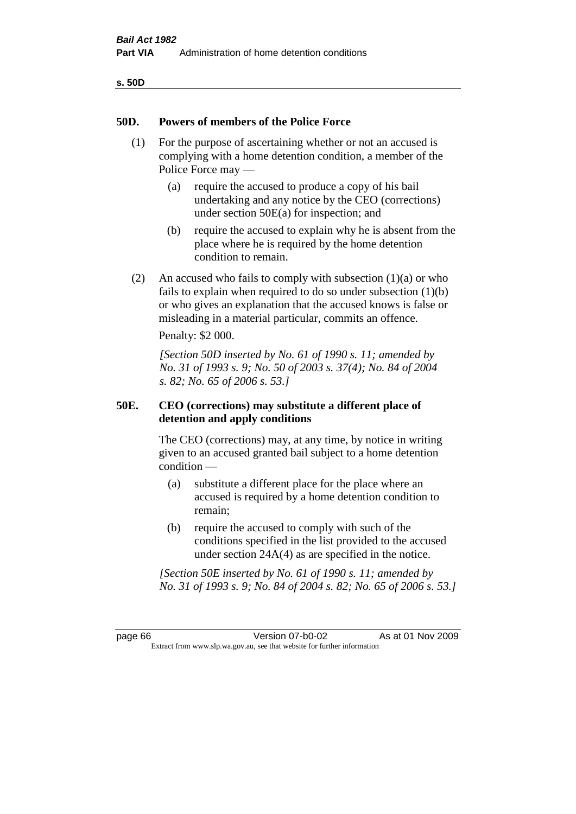|--|

## **50D. Powers of members of the Police Force**

- (1) For the purpose of ascertaining whether or not an accused is complying with a home detention condition, a member of the Police Force may —
	- (a) require the accused to produce a copy of his bail undertaking and any notice by the CEO (corrections) under section 50E(a) for inspection; and
	- (b) require the accused to explain why he is absent from the place where he is required by the home detention condition to remain.
- (2) An accused who fails to comply with subsection  $(1)(a)$  or who fails to explain when required to do so under subsection (1)(b) or who gives an explanation that the accused knows is false or misleading in a material particular, commits an offence.

Penalty: \$2 000.

*[Section 50D inserted by No. 61 of 1990 s. 11; amended by No. 31 of 1993 s. 9; No. 50 of 2003 s. 37(4); No. 84 of 2004 s. 82; No. 65 of 2006 s. 53.]* 

# **50E. CEO (corrections) may substitute a different place of detention and apply conditions**

The CEO (corrections) may, at any time, by notice in writing given to an accused granted bail subject to a home detention condition —

- (a) substitute a different place for the place where an accused is required by a home detention condition to remain;
- (b) require the accused to comply with such of the conditions specified in the list provided to the accused under section 24A(4) as are specified in the notice.

*[Section 50E inserted by No. 61 of 1990 s. 11; amended by No. 31 of 1993 s. 9; No. 84 of 2004 s. 82; No. 65 of 2006 s. 53.]* 

page 66 Version 07-b0-02 As at 01 Nov 2009 Extract from www.slp.wa.gov.au, see that website for further information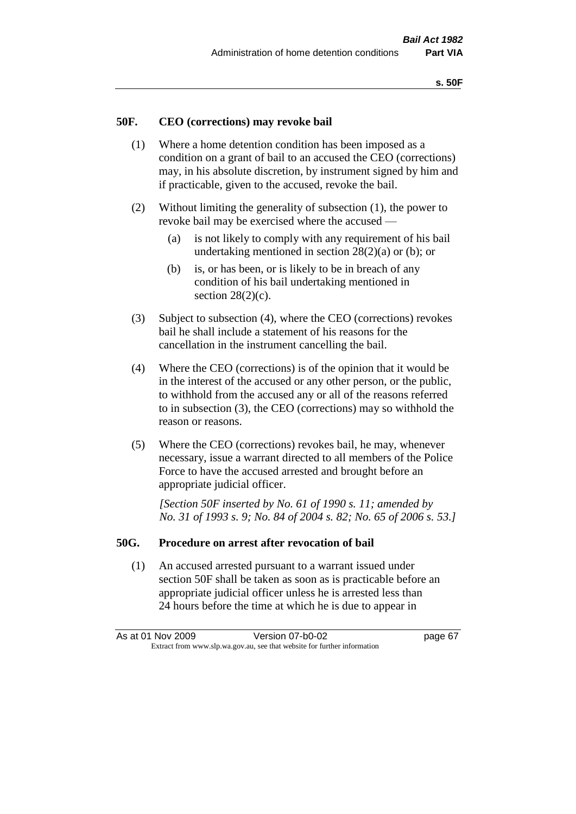## **50F. CEO (corrections) may revoke bail**

- (1) Where a home detention condition has been imposed as a condition on a grant of bail to an accused the CEO (corrections) may, in his absolute discretion, by instrument signed by him and if practicable, given to the accused, revoke the bail.
- (2) Without limiting the generality of subsection (1), the power to revoke bail may be exercised where the accused —
	- (a) is not likely to comply with any requirement of his bail undertaking mentioned in section  $28(2)(a)$  or (b); or
	- (b) is, or has been, or is likely to be in breach of any condition of his bail undertaking mentioned in section  $28(2)(c)$ .
- (3) Subject to subsection (4), where the CEO (corrections) revokes bail he shall include a statement of his reasons for the cancellation in the instrument cancelling the bail.
- (4) Where the CEO (corrections) is of the opinion that it would be in the interest of the accused or any other person, or the public, to withhold from the accused any or all of the reasons referred to in subsection (3), the CEO (corrections) may so withhold the reason or reasons.
- (5) Where the CEO (corrections) revokes bail, he may, whenever necessary, issue a warrant directed to all members of the Police Force to have the accused arrested and brought before an appropriate judicial officer.

*[Section 50F inserted by No. 61 of 1990 s. 11; amended by No. 31 of 1993 s. 9; No. 84 of 2004 s. 82; No. 65 of 2006 s. 53.]* 

#### **50G. Procedure on arrest after revocation of bail**

(1) An accused arrested pursuant to a warrant issued under section 50F shall be taken as soon as is practicable before an appropriate judicial officer unless he is arrested less than 24 hours before the time at which he is due to appear in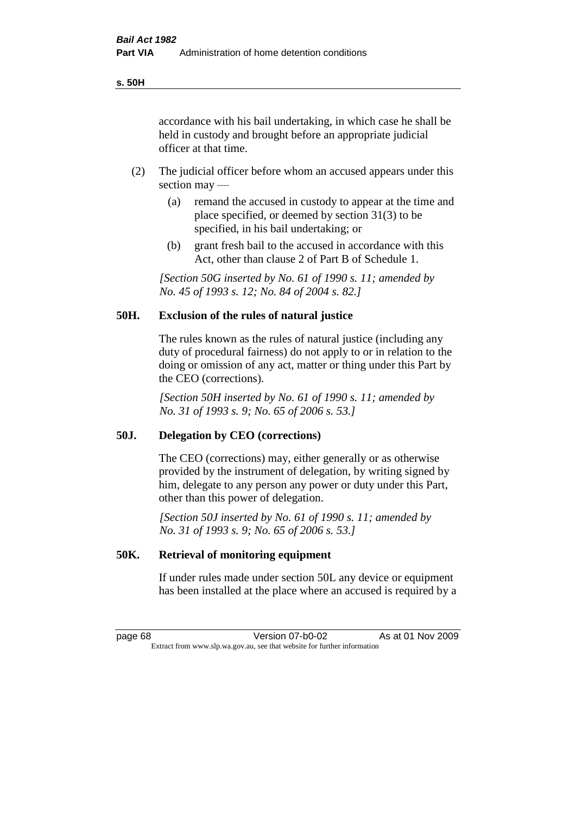accordance with his bail undertaking, in which case he shall be held in custody and brought before an appropriate judicial officer at that time.

- (2) The judicial officer before whom an accused appears under this section may —
	- (a) remand the accused in custody to appear at the time and place specified, or deemed by section 31(3) to be specified, in his bail undertaking; or
	- (b) grant fresh bail to the accused in accordance with this Act, other than clause 2 of Part B of Schedule 1.

*[Section 50G inserted by No. 61 of 1990 s. 11; amended by No. 45 of 1993 s. 12; No. 84 of 2004 s. 82.]* 

# **50H. Exclusion of the rules of natural justice**

The rules known as the rules of natural justice (including any duty of procedural fairness) do not apply to or in relation to the doing or omission of any act, matter or thing under this Part by the CEO (corrections).

*[Section 50H inserted by No. 61 of 1990 s. 11; amended by No. 31 of 1993 s. 9; No. 65 of 2006 s. 53.]* 

#### **50J. Delegation by CEO (corrections)**

The CEO (corrections) may, either generally or as otherwise provided by the instrument of delegation, by writing signed by him, delegate to any person any power or duty under this Part, other than this power of delegation.

*[Section 50J inserted by No. 61 of 1990 s. 11; amended by No. 31 of 1993 s. 9; No. 65 of 2006 s. 53.]* 

## **50K. Retrieval of monitoring equipment**

If under rules made under section 50L any device or equipment has been installed at the place where an accused is required by a

page 68 Version 07-b0-02 As at 01 Nov 2009 Extract from www.slp.wa.gov.au, see that website for further information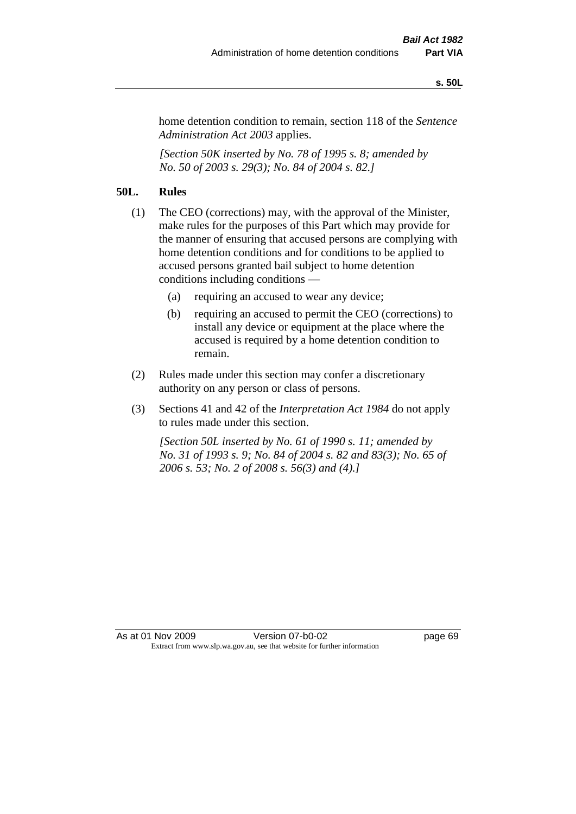#### **s. 50L**

home detention condition to remain, section 118 of the *Sentence Administration Act 2003* applies.

*[Section 50K inserted by No. 78 of 1995 s. 8; amended by No. 50 of 2003 s. 29(3); No. 84 of 2004 s. 82.]* 

# **50L. Rules**

- (1) The CEO (corrections) may, with the approval of the Minister, make rules for the purposes of this Part which may provide for the manner of ensuring that accused persons are complying with home detention conditions and for conditions to be applied to accused persons granted bail subject to home detention conditions including conditions —
	- (a) requiring an accused to wear any device;
	- (b) requiring an accused to permit the CEO (corrections) to install any device or equipment at the place where the accused is required by a home detention condition to remain.
- (2) Rules made under this section may confer a discretionary authority on any person or class of persons.
- (3) Sections 41 and 42 of the *Interpretation Act 1984* do not apply to rules made under this section.

*[Section 50L inserted by No. 61 of 1990 s. 11; amended by No. 31 of 1993 s. 9; No. 84 of 2004 s. 82 and 83(3); No. 65 of 2006 s. 53; No. 2 of 2008 s. 56(3) and (4).]*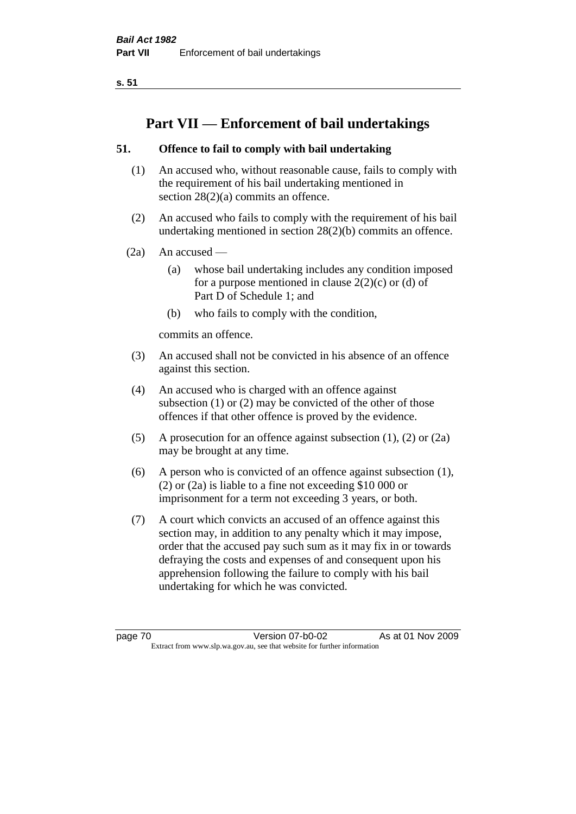**s. 51**

# **Part VII — Enforcement of bail undertakings**

# **51. Offence to fail to comply with bail undertaking**

- (1) An accused who, without reasonable cause, fails to comply with the requirement of his bail undertaking mentioned in section 28(2)(a) commits an offence.
- (2) An accused who fails to comply with the requirement of his bail undertaking mentioned in section 28(2)(b) commits an offence.
- $(2a)$  An accused
	- (a) whose bail undertaking includes any condition imposed for a purpose mentioned in clause  $2(2)(c)$  or (d) of Part D of Schedule 1; and
	- (b) who fails to comply with the condition,

commits an offence.

- (3) An accused shall not be convicted in his absence of an offence against this section.
- (4) An accused who is charged with an offence against subsection (1) or (2) may be convicted of the other of those offences if that other offence is proved by the evidence.
- (5) A prosecution for an offence against subsection (1), (2) or (2a) may be brought at any time.
- (6) A person who is convicted of an offence against subsection (1), (2) or (2a) is liable to a fine not exceeding \$10 000 or imprisonment for a term not exceeding 3 years, or both.
- (7) A court which convicts an accused of an offence against this section may, in addition to any penalty which it may impose, order that the accused pay such sum as it may fix in or towards defraying the costs and expenses of and consequent upon his apprehension following the failure to comply with his bail undertaking for which he was convicted.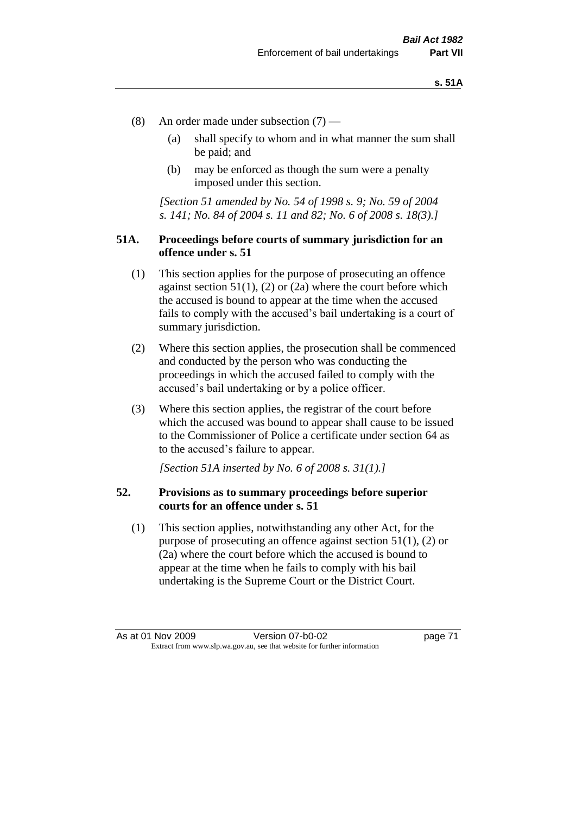- (8) An order made under subsection (7)
	- (a) shall specify to whom and in what manner the sum shall be paid; and
	- (b) may be enforced as though the sum were a penalty imposed under this section.

*[Section 51 amended by No. 54 of 1998 s. 9; No. 59 of 2004 s. 141; No. 84 of 2004 s. 11 and 82; No. 6 of 2008 s. 18(3).]*

# **51A. Proceedings before courts of summary jurisdiction for an offence under s. 51**

- (1) This section applies for the purpose of prosecuting an offence against section  $51(1)$ ,  $(2)$  or  $(2a)$  where the court before which the accused is bound to appear at the time when the accused fails to comply with the accused's bail undertaking is a court of summary jurisdiction.
- (2) Where this section applies, the prosecution shall be commenced and conducted by the person who was conducting the proceedings in which the accused failed to comply with the accused's bail undertaking or by a police officer.
- (3) Where this section applies, the registrar of the court before which the accused was bound to appear shall cause to be issued to the Commissioner of Police a certificate under section 64 as to the accused's failure to appear.

*[Section 51A inserted by No. 6 of 2008 s. 31(1).]*

# **52. Provisions as to summary proceedings before superior courts for an offence under s. 51**

(1) This section applies, notwithstanding any other Act, for the purpose of prosecuting an offence against section 51(1), (2) or (2a) where the court before which the accused is bound to appear at the time when he fails to comply with his bail undertaking is the Supreme Court or the District Court.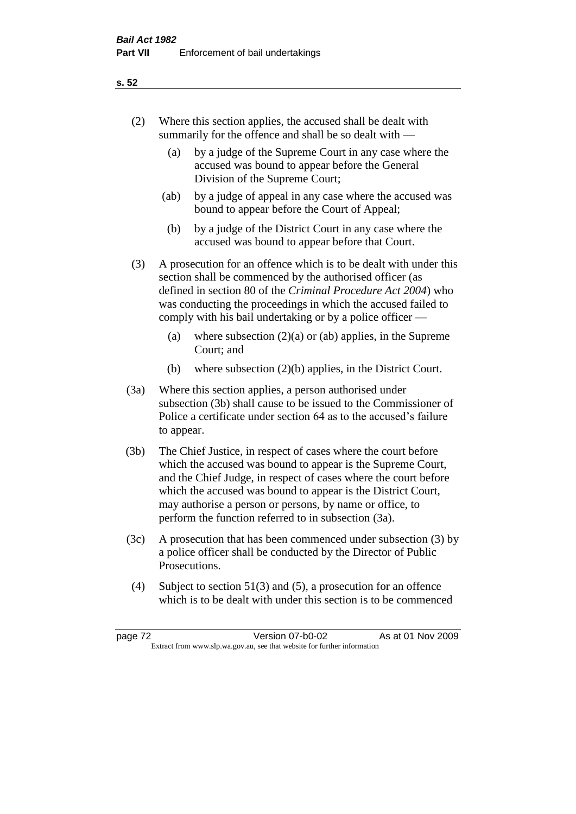# (2) Where this section applies, the accused shall be dealt with summarily for the offence and shall be so dealt with —

- (a) by a judge of the Supreme Court in any case where the accused was bound to appear before the General Division of the Supreme Court;
- (ab) by a judge of appeal in any case where the accused was bound to appear before the Court of Appeal;
- (b) by a judge of the District Court in any case where the accused was bound to appear before that Court.

(3) A prosecution for an offence which is to be dealt with under this section shall be commenced by the authorised officer (as defined in section 80 of the *Criminal Procedure Act 2004*) who was conducting the proceedings in which the accused failed to comply with his bail undertaking or by a police officer —

- (a) where subsection  $(2)(a)$  or (ab) applies, in the Supreme Court; and
- (b) where subsection (2)(b) applies, in the District Court.
- (3a) Where this section applies, a person authorised under subsection (3b) shall cause to be issued to the Commissioner of Police a certificate under section 64 as to the accused's failure to appear.
- (3b) The Chief Justice, in respect of cases where the court before which the accused was bound to appear is the Supreme Court, and the Chief Judge, in respect of cases where the court before which the accused was bound to appear is the District Court, may authorise a person or persons, by name or office, to perform the function referred to in subsection (3a).
- (3c) A prosecution that has been commenced under subsection (3) by a police officer shall be conducted by the Director of Public Prosecutions.
- (4) Subject to section 51(3) and (5), a prosecution for an offence which is to be dealt with under this section is to be commenced

#### **s. 52**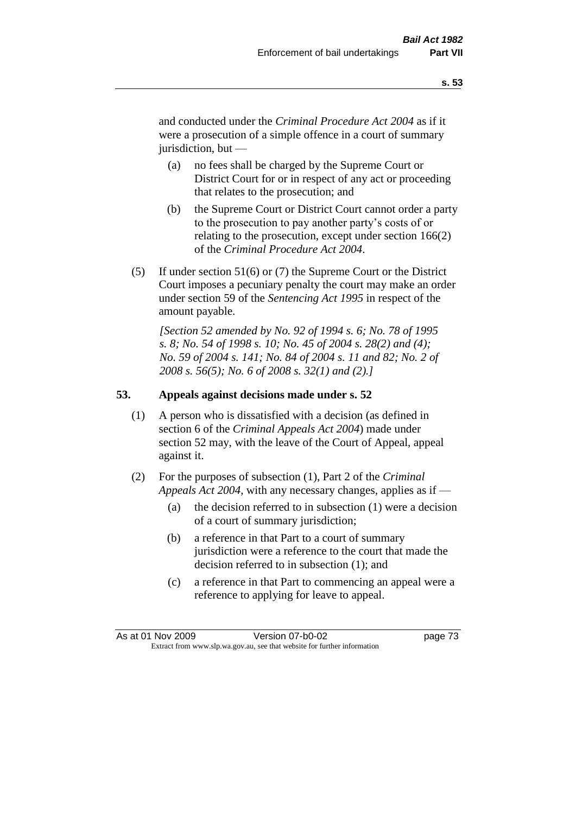and conducted under the *Criminal Procedure Act 2004* as if it were a prosecution of a simple offence in a court of summary jurisdiction, but —

- (a) no fees shall be charged by the Supreme Court or District Court for or in respect of any act or proceeding that relates to the prosecution; and
- (b) the Supreme Court or District Court cannot order a party to the prosecution to pay another party's costs of or relating to the prosecution, except under section 166(2) of the *Criminal Procedure Act 2004*.
- (5) If under section 51(6) or (7) the Supreme Court or the District Court imposes a pecuniary penalty the court may make an order under section 59 of the *Sentencing Act 1995* in respect of the amount payable.

*[Section 52 amended by No. 92 of 1994 s. 6; No. 78 of 1995 s. 8; No. 54 of 1998 s. 10; No. 45 of 2004 s. 28(2) and (4); No. 59 of 2004 s. 141; No. 84 of 2004 s. 11 and 82; No. 2 of 2008 s. 56(5); No. 6 of 2008 s. 32(1) and (2).]* 

# **53. Appeals against decisions made under s. 52**

- (1) A person who is dissatisfied with a decision (as defined in section 6 of the *Criminal Appeals Act 2004*) made under section 52 may, with the leave of the Court of Appeal, appeal against it.
- (2) For the purposes of subsection (1), Part 2 of the *Criminal Appeals Act 2004*, with any necessary changes, applies as if —
	- (a) the decision referred to in subsection (1) were a decision of a court of summary jurisdiction;
	- (b) a reference in that Part to a court of summary jurisdiction were a reference to the court that made the decision referred to in subsection (1); and
	- (c) a reference in that Part to commencing an appeal were a reference to applying for leave to appeal.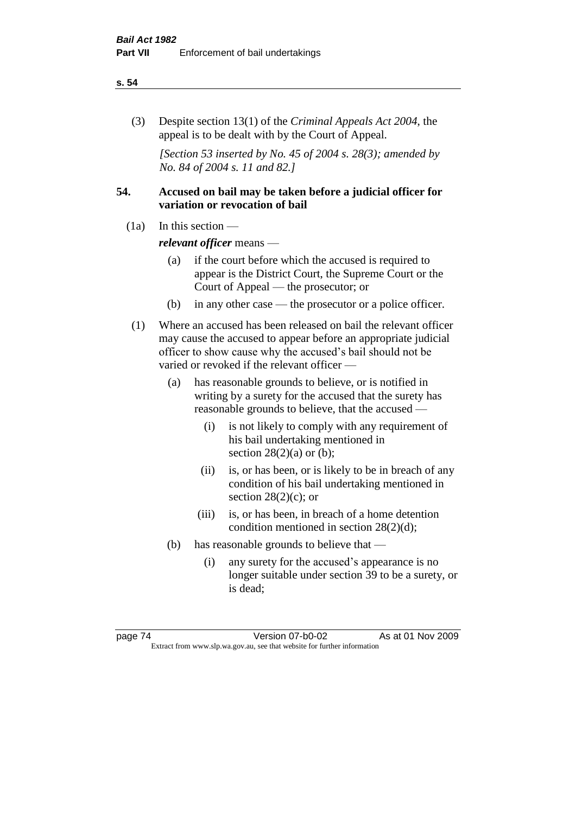#### **s. 54**

(3) Despite section 13(1) of the *Criminal Appeals Act 2004*, the appeal is to be dealt with by the Court of Appeal.

*[Section 53 inserted by No. 45 of 2004 s. 28(3); amended by No. 84 of 2004 s. 11 and 82.]*

# **54. Accused on bail may be taken before a judicial officer for variation or revocation of bail**

(1a) In this section —

*relevant officer* means —

- (a) if the court before which the accused is required to appear is the District Court, the Supreme Court or the Court of Appeal — the prosecutor; or
- (b) in any other case the prosecutor or a police officer.
- (1) Where an accused has been released on bail the relevant officer may cause the accused to appear before an appropriate judicial officer to show cause why the accused's bail should not be varied or revoked if the relevant officer —
	- (a) has reasonable grounds to believe, or is notified in writing by a surety for the accused that the surety has reasonable grounds to believe, that the accused —
		- (i) is not likely to comply with any requirement of his bail undertaking mentioned in section  $28(2)(a)$  or (b);
		- (ii) is, or has been, or is likely to be in breach of any condition of his bail undertaking mentioned in section  $28(2)(c)$ ; or
		- (iii) is, or has been, in breach of a home detention condition mentioned in section 28(2)(d);
	- (b) has reasonable grounds to believe that
		- (i) any surety for the accused's appearance is no longer suitable under section 39 to be a surety, or is dead;

page 74 Version 07-b0-02 As at 01 Nov 2009 Extract from www.slp.wa.gov.au, see that website for further information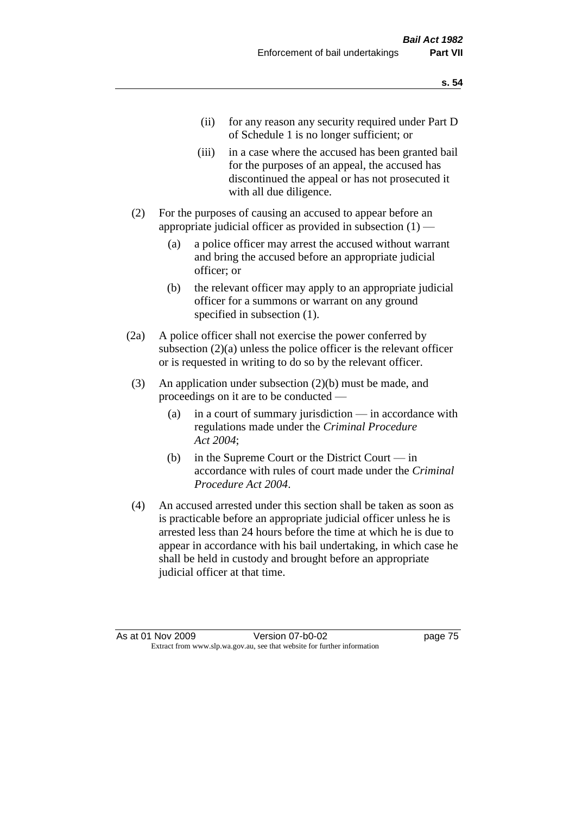- (ii) for any reason any security required under Part D of Schedule 1 is no longer sufficient; or
- (iii) in a case where the accused has been granted bail for the purposes of an appeal, the accused has discontinued the appeal or has not prosecuted it with all due diligence.
- (2) For the purposes of causing an accused to appear before an appropriate judicial officer as provided in subsection  $(1)$  —
	- (a) a police officer may arrest the accused without warrant and bring the accused before an appropriate judicial officer; or
	- (b) the relevant officer may apply to an appropriate judicial officer for a summons or warrant on any ground specified in subsection  $(1)$ .
- (2a) A police officer shall not exercise the power conferred by subsection (2)(a) unless the police officer is the relevant officer or is requested in writing to do so by the relevant officer.
- (3) An application under subsection (2)(b) must be made, and proceedings on it are to be conducted —
	- (a) in a court of summary jurisdiction in accordance with regulations made under the *Criminal Procedure Act 2004*;
	- (b) in the Supreme Court or the District Court in accordance with rules of court made under the *Criminal Procedure Act 2004*.
- (4) An accused arrested under this section shall be taken as soon as is practicable before an appropriate judicial officer unless he is arrested less than 24 hours before the time at which he is due to appear in accordance with his bail undertaking, in which case he shall be held in custody and brought before an appropriate judicial officer at that time.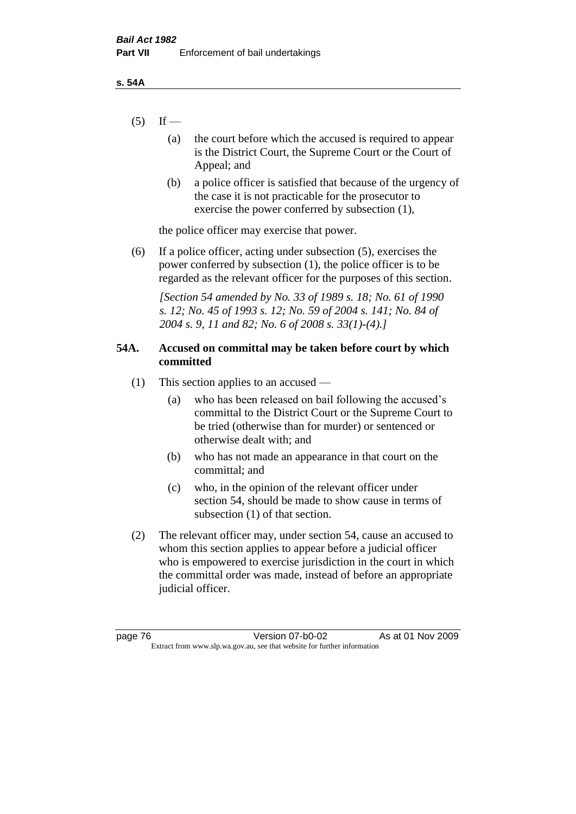- $(5)$  If
	- (a) the court before which the accused is required to appear is the District Court, the Supreme Court or the Court of Appeal; and
	- (b) a police officer is satisfied that because of the urgency of the case it is not practicable for the prosecutor to exercise the power conferred by subsection (1),

the police officer may exercise that power.

(6) If a police officer, acting under subsection (5), exercises the power conferred by subsection (1), the police officer is to be regarded as the relevant officer for the purposes of this section.

*[Section 54 amended by No. 33 of 1989 s. 18; No. 61 of 1990 s. 12; No. 45 of 1993 s. 12; No. 59 of 2004 s. 141; No. 84 of 2004 s. 9, 11 and 82; No. 6 of 2008 s. 33(1)-(4).]* 

# **54A. Accused on committal may be taken before court by which committed**

- (1) This section applies to an accused
	- (a) who has been released on bail following the accused's committal to the District Court or the Supreme Court to be tried (otherwise than for murder) or sentenced or otherwise dealt with; and
	- (b) who has not made an appearance in that court on the committal; and
	- (c) who, in the opinion of the relevant officer under section 54, should be made to show cause in terms of subsection (1) of that section.
- (2) The relevant officer may, under section 54, cause an accused to whom this section applies to appear before a judicial officer who is empowered to exercise jurisdiction in the court in which the committal order was made, instead of before an appropriate judicial officer.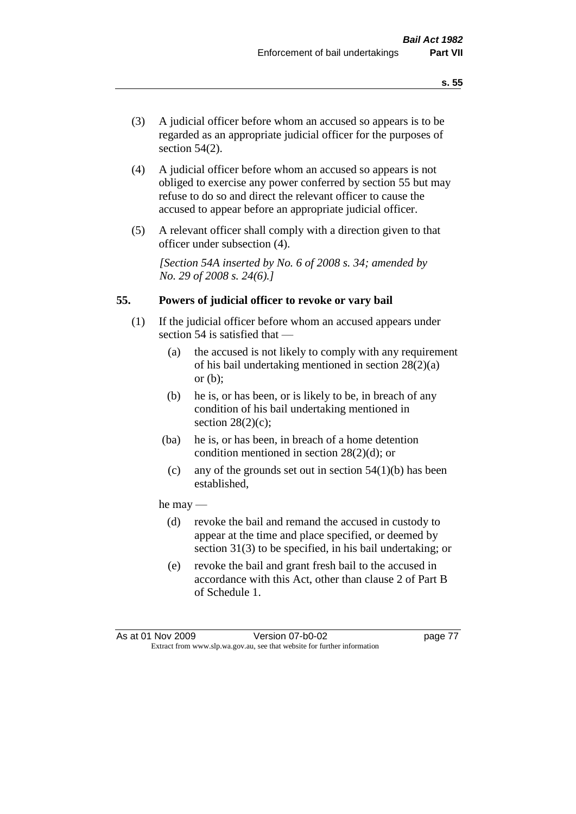- (3) A judicial officer before whom an accused so appears is to be regarded as an appropriate judicial officer for the purposes of section 54(2).
- (4) A judicial officer before whom an accused so appears is not obliged to exercise any power conferred by section 55 but may refuse to do so and direct the relevant officer to cause the accused to appear before an appropriate judicial officer.
- (5) A relevant officer shall comply with a direction given to that officer under subsection (4).

*[Section 54A inserted by No. 6 of 2008 s. 34; amended by No. 29 of 2008 s. 24(6).]*

#### **55. Powers of judicial officer to revoke or vary bail**

- (1) If the judicial officer before whom an accused appears under section 54 is satisfied that —
	- (a) the accused is not likely to comply with any requirement of his bail undertaking mentioned in section 28(2)(a) or (b);
	- (b) he is, or has been, or is likely to be, in breach of any condition of his bail undertaking mentioned in section  $28(2)(c)$ ;
	- (ba) he is, or has been, in breach of a home detention condition mentioned in section 28(2)(d); or
		- (c) any of the grounds set out in section  $54(1)(b)$  has been established,

#### he may —

- (d) revoke the bail and remand the accused in custody to appear at the time and place specified, or deemed by section 31(3) to be specified, in his bail undertaking; or
- (e) revoke the bail and grant fresh bail to the accused in accordance with this Act, other than clause 2 of Part B of Schedule 1.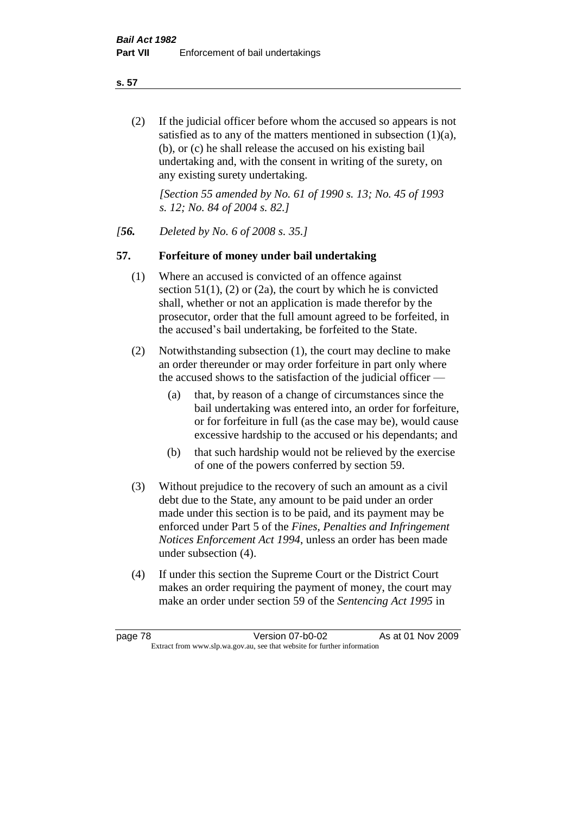**s. 57**

(2) If the judicial officer before whom the accused so appears is not satisfied as to any of the matters mentioned in subsection (1)(a), (b), or (c) he shall release the accused on his existing bail undertaking and, with the consent in writing of the surety, on any existing surety undertaking.

*[Section 55 amended by No. 61 of 1990 s. 13; No. 45 of 1993 s. 12; No. 84 of 2004 s. 82.]* 

*[56. Deleted by No. 6 of 2008 s. 35.]*

# **57. Forfeiture of money under bail undertaking**

- (1) Where an accused is convicted of an offence against section  $51(1)$ , (2) or (2a), the court by which he is convicted shall, whether or not an application is made therefor by the prosecutor, order that the full amount agreed to be forfeited, in the accused's bail undertaking, be forfeited to the State.
- (2) Notwithstanding subsection (1), the court may decline to make an order thereunder or may order forfeiture in part only where the accused shows to the satisfaction of the judicial officer —
	- (a) that, by reason of a change of circumstances since the bail undertaking was entered into, an order for forfeiture, or for forfeiture in full (as the case may be), would cause excessive hardship to the accused or his dependants; and
	- (b) that such hardship would not be relieved by the exercise of one of the powers conferred by section 59.
- (3) Without prejudice to the recovery of such an amount as a civil debt due to the State, any amount to be paid under an order made under this section is to be paid, and its payment may be enforced under Part 5 of the *Fines, Penalties and Infringement Notices Enforcement Act 1994*, unless an order has been made under subsection (4).
- (4) If under this section the Supreme Court or the District Court makes an order requiring the payment of money, the court may make an order under section 59 of the *Sentencing Act 1995* in

page 78 Version 07-b0-02 As at 01 Nov 2009 Extract from www.slp.wa.gov.au, see that website for further information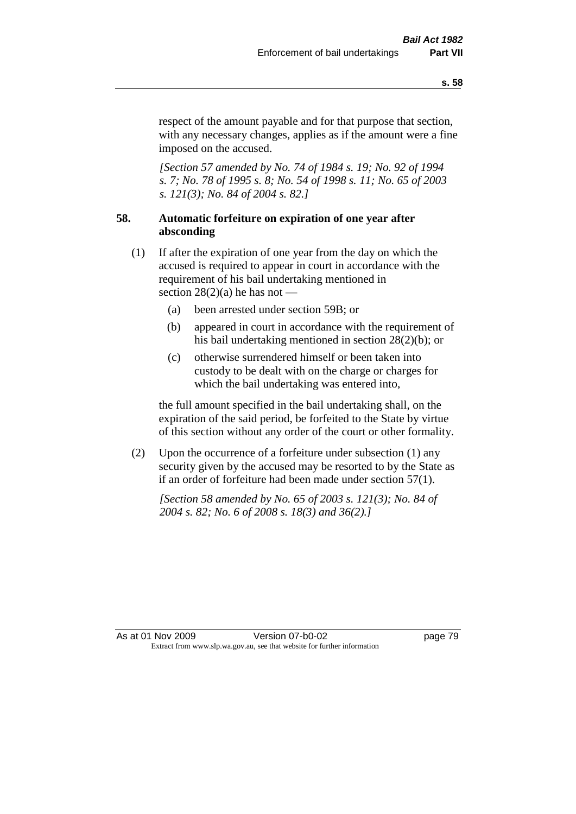respect of the amount payable and for that purpose that section, with any necessary changes, applies as if the amount were a fine imposed on the accused.

*[Section 57 amended by No. 74 of 1984 s. 19; No. 92 of 1994 s. 7; No. 78 of 1995 s. 8; No. 54 of 1998 s. 11; No. 65 of 2003 s. 121(3); No. 84 of 2004 s. 82.]* 

# **58. Automatic forfeiture on expiration of one year after absconding**

- (1) If after the expiration of one year from the day on which the accused is required to appear in court in accordance with the requirement of his bail undertaking mentioned in section  $28(2)(a)$  he has not —
	- (a) been arrested under section 59B; or
	- (b) appeared in court in accordance with the requirement of his bail undertaking mentioned in section 28(2)(b); or
	- (c) otherwise surrendered himself or been taken into custody to be dealt with on the charge or charges for which the bail undertaking was entered into,

the full amount specified in the bail undertaking shall, on the expiration of the said period, be forfeited to the State by virtue of this section without any order of the court or other formality.

(2) Upon the occurrence of a forfeiture under subsection (1) any security given by the accused may be resorted to by the State as if an order of forfeiture had been made under section 57(1).

*[Section 58 amended by No. 65 of 2003 s. 121(3); No. 84 of 2004 s. 82; No. 6 of 2008 s. 18(3) and 36(2).]*

As at 01 Nov 2009 Version 07-b0-02 page 79 Extract from www.slp.wa.gov.au, see that website for further information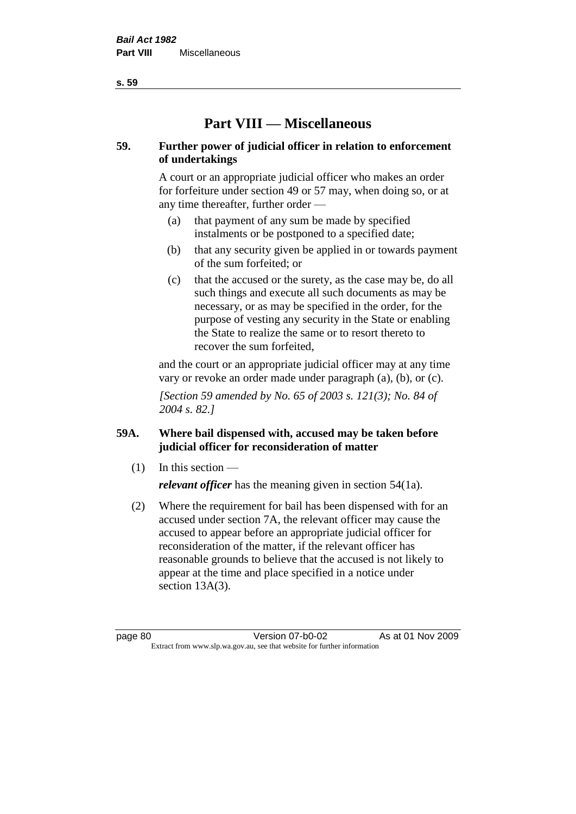**Part VIII — Miscellaneous** 

# **59. Further power of judicial officer in relation to enforcement of undertakings**

A court or an appropriate judicial officer who makes an order for forfeiture under section 49 or 57 may, when doing so, or at any time thereafter, further order —

- (a) that payment of any sum be made by specified instalments or be postponed to a specified date;
- (b) that any security given be applied in or towards payment of the sum forfeited; or
- (c) that the accused or the surety, as the case may be, do all such things and execute all such documents as may be necessary, or as may be specified in the order, for the purpose of vesting any security in the State or enabling the State to realize the same or to resort thereto to recover the sum forfeited,

and the court or an appropriate judicial officer may at any time vary or revoke an order made under paragraph (a), (b), or (c).

*[Section 59 amended by No. 65 of 2003 s. 121(3); No. 84 of 2004 s. 82.]*

# **59A. Where bail dispensed with, accused may be taken before judicial officer for reconsideration of matter**

- $(1)$  In this section *relevant officer* has the meaning given in section 54(1a).
- (2) Where the requirement for bail has been dispensed with for an accused under section 7A, the relevant officer may cause the accused to appear before an appropriate judicial officer for reconsideration of the matter, if the relevant officer has reasonable grounds to believe that the accused is not likely to appear at the time and place specified in a notice under section 13A(3).

page 80 Version 07-b0-02 As at 01 Nov 2009 Extract from www.slp.wa.gov.au, see that website for further information

**s. 59**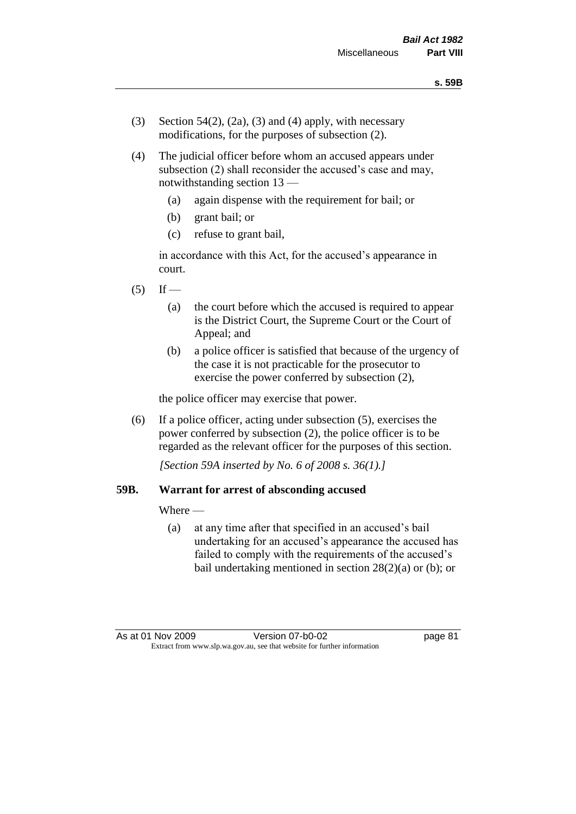- (3) Section 54(2), (2a), (3) and (4) apply, with necessary modifications, for the purposes of subsection (2).
- (4) The judicial officer before whom an accused appears under subsection (2) shall reconsider the accused's case and may, notwithstanding section 13 —
	- (a) again dispense with the requirement for bail; or
	- (b) grant bail; or
	- (c) refuse to grant bail,

in accordance with this Act, for the accused's appearance in court.

- $(5)$  If
	- (a) the court before which the accused is required to appear is the District Court, the Supreme Court or the Court of Appeal; and
	- (b) a police officer is satisfied that because of the urgency of the case it is not practicable for the prosecutor to exercise the power conferred by subsection (2),

the police officer may exercise that power.

(6) If a police officer, acting under subsection (5), exercises the power conferred by subsection (2), the police officer is to be regarded as the relevant officer for the purposes of this section.

*[Section 59A inserted by No. 6 of 2008 s. 36(1).]*

#### **59B. Warrant for arrest of absconding accused**

Where —

(a) at any time after that specified in an accused's bail undertaking for an accused's appearance the accused has failed to comply with the requirements of the accused's bail undertaking mentioned in section 28(2)(a) or (b); or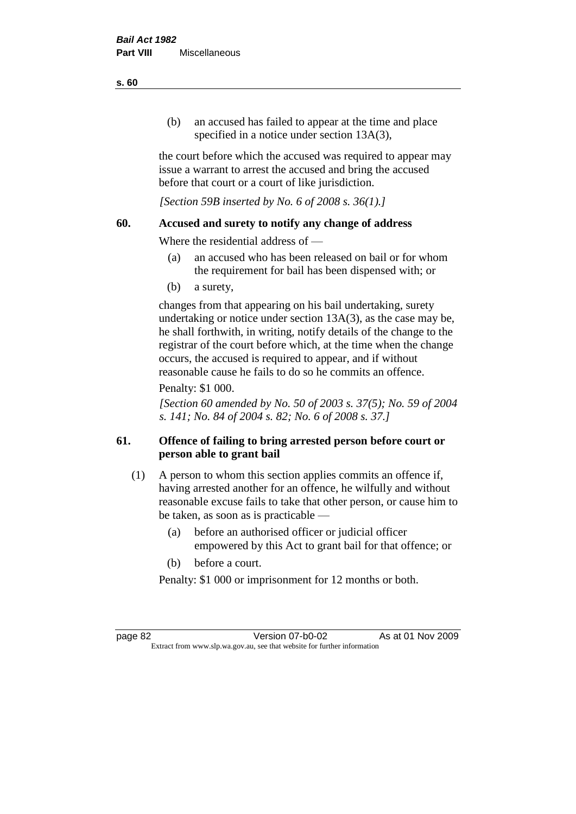(b) an accused has failed to appear at the time and place specified in a notice under section 13A(3).

the court before which the accused was required to appear may issue a warrant to arrest the accused and bring the accused before that court or a court of like jurisdiction.

*[Section 59B inserted by No. 6 of 2008 s. 36(1).]*

#### **60. Accused and surety to notify any change of address**

Where the residential address of —

- (a) an accused who has been released on bail or for whom the requirement for bail has been dispensed with; or
- (b) a surety,

changes from that appearing on his bail undertaking, surety undertaking or notice under section 13A(3), as the case may be, he shall forthwith, in writing, notify details of the change to the registrar of the court before which, at the time when the change occurs, the accused is required to appear, and if without reasonable cause he fails to do so he commits an offence.

#### Penalty: \$1 000.

*[Section 60 amended by No. 50 of 2003 s. 37(5); No. 59 of 2004 s. 141; No. 84 of 2004 s. 82; No. 6 of 2008 s. 37.]*

# **61. Offence of failing to bring arrested person before court or person able to grant bail**

- (1) A person to whom this section applies commits an offence if, having arrested another for an offence, he wilfully and without reasonable excuse fails to take that other person, or cause him to be taken, as soon as is practicable —
	- (a) before an authorised officer or judicial officer empowered by this Act to grant bail for that offence; or
	- (b) before a court.

Penalty: \$1 000 or imprisonment for 12 months or both.

page 82 Version 07-b0-02 As at 01 Nov 2009 Extract from www.slp.wa.gov.au, see that website for further information

#### **s. 60**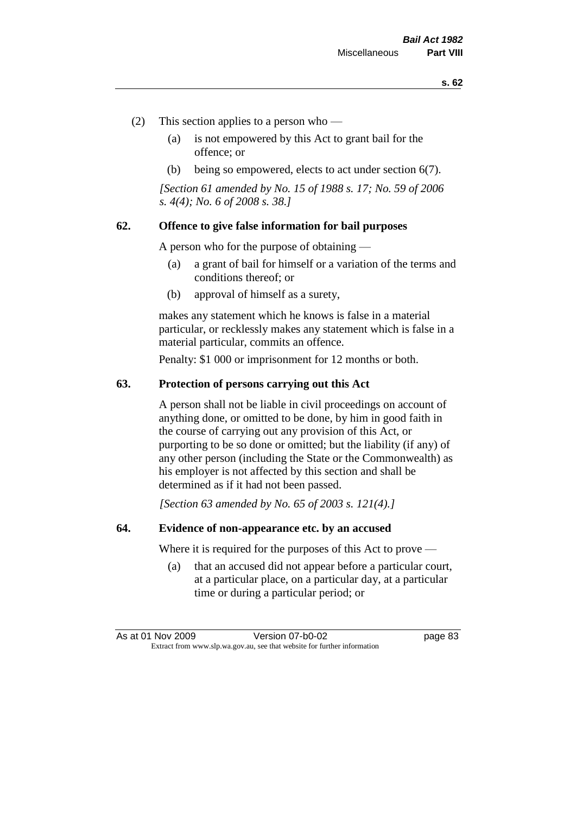- (2) This section applies to a person who
	- (a) is not empowered by this Act to grant bail for the offence; or
	- (b) being so empowered, elects to act under section 6(7).

*[Section 61 amended by No. 15 of 1988 s. 17; No. 59 of 2006 s. 4(4); No. 6 of 2008 s. 38.]* 

#### **62. Offence to give false information for bail purposes**

A person who for the purpose of obtaining —

- (a) a grant of bail for himself or a variation of the terms and conditions thereof; or
- (b) approval of himself as a surety,

makes any statement which he knows is false in a material particular, or recklessly makes any statement which is false in a material particular, commits an offence.

Penalty: \$1 000 or imprisonment for 12 months or both.

#### **63. Protection of persons carrying out this Act**

A person shall not be liable in civil proceedings on account of anything done, or omitted to be done, by him in good faith in the course of carrying out any provision of this Act, or purporting to be so done or omitted; but the liability (if any) of any other person (including the State or the Commonwealth) as his employer is not affected by this section and shall be determined as if it had not been passed.

*[Section 63 amended by No. 65 of 2003 s. 121(4).]*

#### **64. Evidence of non-appearance etc. by an accused**

Where it is required for the purposes of this Act to prove —

(a) that an accused did not appear before a particular court, at a particular place, on a particular day, at a particular time or during a particular period; or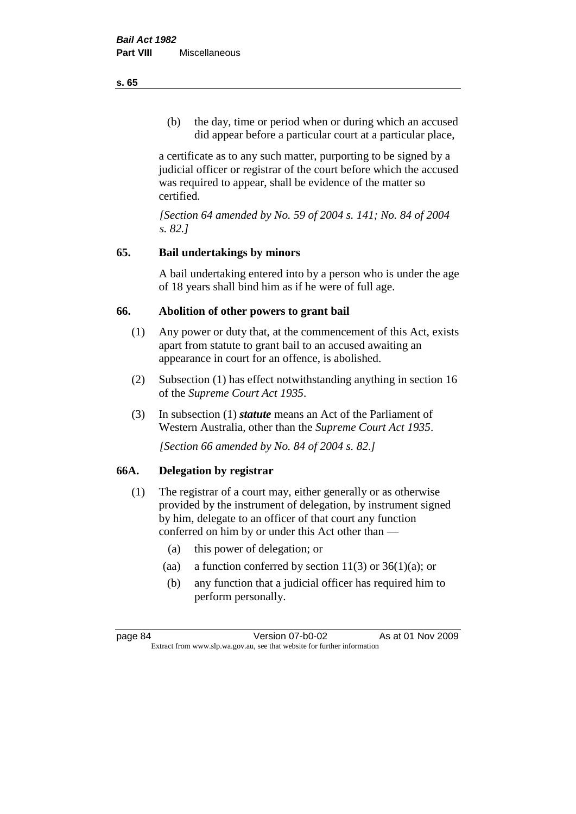(b) the day, time or period when or during which an accused did appear before a particular court at a particular place,

a certificate as to any such matter, purporting to be signed by a judicial officer or registrar of the court before which the accused was required to appear, shall be evidence of the matter so certified.

*[Section 64 amended by No. 59 of 2004 s. 141; No. 84 of 2004 s. 82.]* 

# **65. Bail undertakings by minors**

A bail undertaking entered into by a person who is under the age of 18 years shall bind him as if he were of full age.

# **66. Abolition of other powers to grant bail**

- (1) Any power or duty that, at the commencement of this Act, exists apart from statute to grant bail to an accused awaiting an appearance in court for an offence, is abolished.
- (2) Subsection (1) has effect notwithstanding anything in section 16 of the *Supreme Court Act 1935*.
- (3) In subsection (1) *statute* means an Act of the Parliament of Western Australia, other than the *Supreme Court Act 1935*.

*[Section 66 amended by No. 84 of 2004 s. 82.]*

# **66A. Delegation by registrar**

- (1) The registrar of a court may, either generally or as otherwise provided by the instrument of delegation, by instrument signed by him, delegate to an officer of that court any function conferred on him by or under this Act other than —
	- (a) this power of delegation; or
	- (aa) a function conferred by section  $11(3)$  or  $36(1)(a)$ ; or
	- (b) any function that a judicial officer has required him to perform personally.

**s. 65**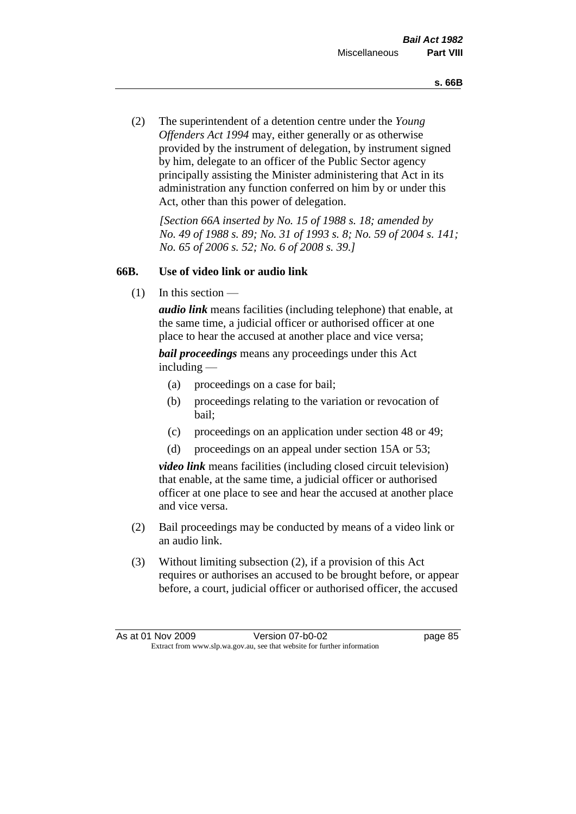(2) The superintendent of a detention centre under the *Young Offenders Act 1994* may, either generally or as otherwise provided by the instrument of delegation, by instrument signed by him, delegate to an officer of the Public Sector agency principally assisting the Minister administering that Act in its administration any function conferred on him by or under this Act, other than this power of delegation.

*[Section 66A inserted by No. 15 of 1988 s. 18; amended by No. 49 of 1988 s. 89; No. 31 of 1993 s. 8; No. 59 of 2004 s. 141; No. 65 of 2006 s. 52; No. 6 of 2008 s. 39.]* 

# **66B. Use of video link or audio link**

(1) In this section —

*audio link* means facilities (including telephone) that enable, at the same time, a judicial officer or authorised officer at one place to hear the accused at another place and vice versa;

*bail proceedings* means any proceedings under this Act including —

- (a) proceedings on a case for bail;
- (b) proceedings relating to the variation or revocation of bail;
- (c) proceedings on an application under section 48 or 49;
- (d) proceedings on an appeal under section 15A or 53;

*video link* means facilities (including closed circuit television) that enable, at the same time, a judicial officer or authorised officer at one place to see and hear the accused at another place and vice versa.

- (2) Bail proceedings may be conducted by means of a video link or an audio link.
- (3) Without limiting subsection (2), if a provision of this Act requires or authorises an accused to be brought before, or appear before, a court, judicial officer or authorised officer, the accused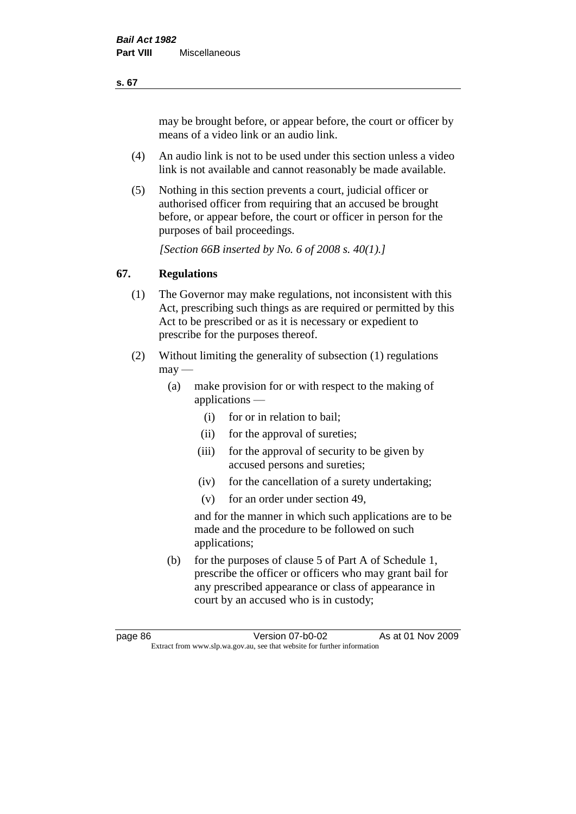may be brought before, or appear before, the court or officer by means of a video link or an audio link.

- (4) An audio link is not to be used under this section unless a video link is not available and cannot reasonably be made available.
- (5) Nothing in this section prevents a court, judicial officer or authorised officer from requiring that an accused be brought before, or appear before, the court or officer in person for the purposes of bail proceedings.

*[Section 66B inserted by No. 6 of 2008 s. 40(1).]*

# **67. Regulations**

- (1) The Governor may make regulations, not inconsistent with this Act, prescribing such things as are required or permitted by this Act to be prescribed or as it is necessary or expedient to prescribe for the purposes thereof.
- (2) Without limiting the generality of subsection (1) regulations  $\text{max}$  —
	- (a) make provision for or with respect to the making of applications —
		- (i) for or in relation to bail;
		- (ii) for the approval of sureties;
		- (iii) for the approval of security to be given by accused persons and sureties;
		- (iv) for the cancellation of a surety undertaking;
		- (v) for an order under section 49,

and for the manner in which such applications are to be made and the procedure to be followed on such applications;

(b) for the purposes of clause 5 of Part A of Schedule 1, prescribe the officer or officers who may grant bail for any prescribed appearance or class of appearance in court by an accused who is in custody;

**s. 67**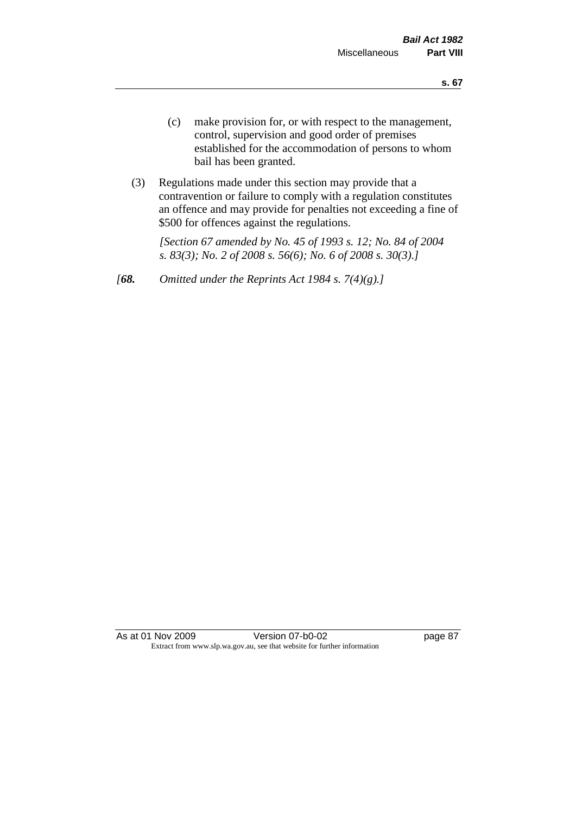- (c) make provision for, or with respect to the management, control, supervision and good order of premises established for the accommodation of persons to whom bail has been granted.
- (3) Regulations made under this section may provide that a contravention or failure to comply with a regulation constitutes an offence and may provide for penalties not exceeding a fine of \$500 for offences against the regulations.

*[Section 67 amended by No. 45 of 1993 s. 12; No. 84 of 2004 s. 83(3); No. 2 of 2008 s. 56(6); No. 6 of 2008 s. 30(3).]* 

*[68. Omitted under the Reprints Act 1984 s. 7(4)(g).]*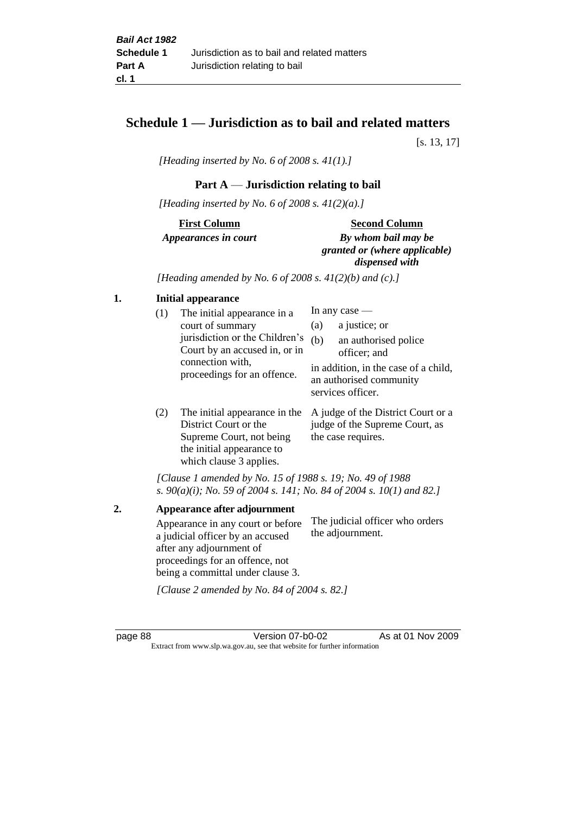# **Schedule 1 — Jurisdiction as to bail and related matters**

[s. 13, 17]

*[Heading inserted by No. 6 of 2008 s. 41(1).]*

# **Part A** — **Jurisdiction relating to bail**

*[Heading inserted by No. 6 of 2008 s. 41(2)(a).]*

# **First Column** *Appearances in court*

#### **Second Column**

*By whom bail may be granted or (where applicable) dispensed with*

*[Heading amended by No. 6 of 2008 s. 41(2)(b) and (c).]*

#### **1. Initial appearance**

| (1) | The initial appearance in a<br>court of summary<br>jurisdiction or the Children's<br>Court by an accused in, or in<br>connection with,<br>proceedings for an offence. | In any case $-$<br>a justice; or<br>(a)<br>(b)<br>an authorised police<br>officer; and |                                                                                      |
|-----|-----------------------------------------------------------------------------------------------------------------------------------------------------------------------|----------------------------------------------------------------------------------------|--------------------------------------------------------------------------------------|
|     |                                                                                                                                                                       |                                                                                        | in addition, in the case of a child,<br>an authorised community<br>services officer. |

(2) The initial appearance in the A judge of the District Court or a District Court or the Supreme Court, not being the initial appearance to which clause 3 applies. judge of the Supreme Court, as the case requires.

*[Clause 1 amended by No. 15 of 1988 s. 19; No. 49 of 1988 s. 90(a)(i); No. 59 of 2004 s. 141; No. 84 of 2004 s. 10(1) and 82.]*

**2. Appearance after adjournment** Appearance in any court or before a judicial officer by an accused after any adjournment of proceedings for an offence, not being a committal under clause 3. The judicial officer who orders the adjournment.

*[Clause 2 amended by No. 84 of 2004 s. 82.]*

page 88 Version 07-b0-02 As at 01 Nov 2009 Extract from www.slp.wa.gov.au, see that website for further information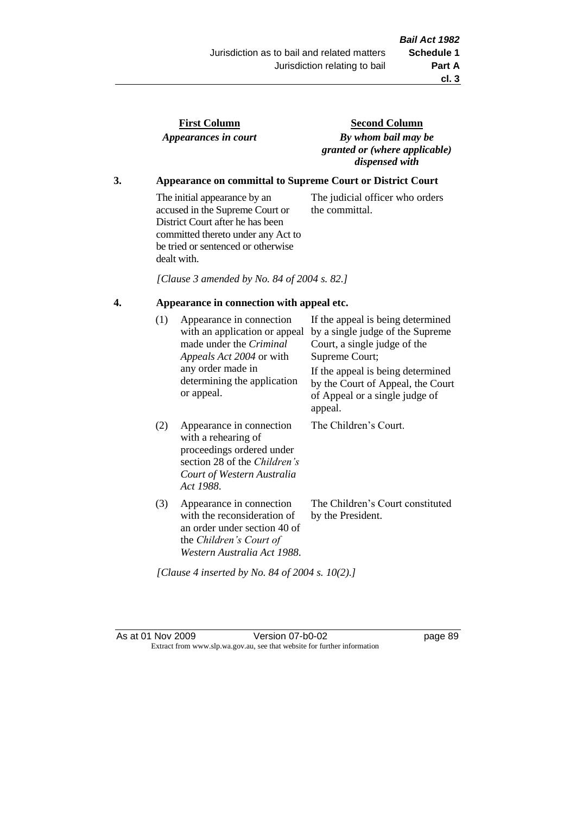the committal.

| <b>First Column</b>  |  |
|----------------------|--|
| Appearances in court |  |

**Second Column** *By whom bail may be granted or (where applicable) dispensed with*

The judicial officer who orders

# **3. Appearance on committal to Supreme Court or District Court**

The initial appearance by an accused in the Supreme Court or District Court after he has been committed thereto under any Act to be tried or sentenced or otherwise dealt with.

*[Clause 3 amended by No. 84 of 2004 s. 82.]*

# **4. Appearance in connection with appeal etc.**

| (1) | Appearance in connection<br>with an application or appeal<br>made under the <i>Criminal</i><br>Appeals Act 2004 or with<br>any order made in<br>determining the application<br>or appeal. | If the appeal is being determined<br>by a single judge of the Supreme<br>Court, a single judge of the<br>Supreme Court;<br>If the appeal is being determined<br>by the Court of Appeal, the Court<br>of Appeal or a single judge of<br>appeal. |
|-----|-------------------------------------------------------------------------------------------------------------------------------------------------------------------------------------------|------------------------------------------------------------------------------------------------------------------------------------------------------------------------------------------------------------------------------------------------|
| (2) | Appearance in connection<br>with a rehearing of<br>proceedings ordered under<br>section 28 of the <i>Children's</i><br>Court of Western Australia<br>Act 1988.                            | The Children's Court.                                                                                                                                                                                                                          |
| (3) | Appearance in connection<br>with the reconsideration of<br>an order under section 40 of<br>the Children's Court of<br>Western Australia Act 1988.                                         | The Children's Court constituted<br>by the President.                                                                                                                                                                                          |

*[Clause 4 inserted by No. 84 of 2004 s. 10(2).]*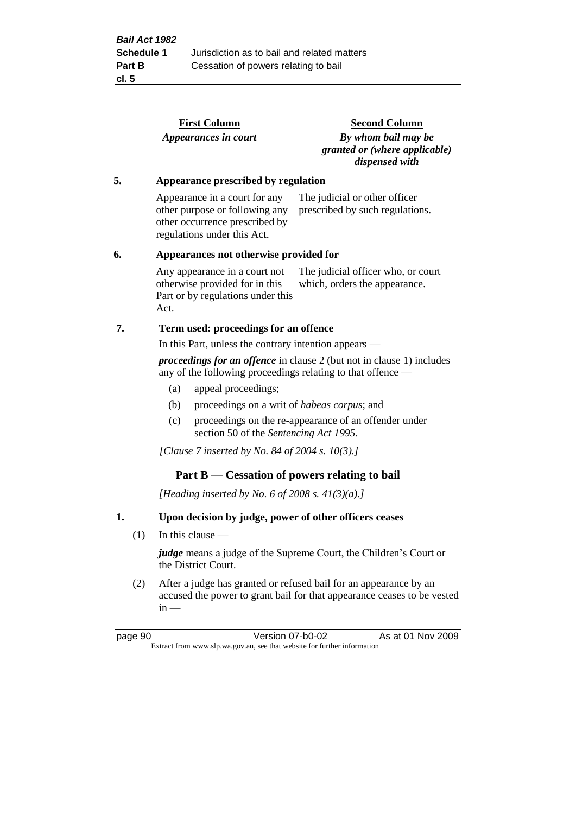|    |     |                                                        | <b>First Column</b>                                                                                                              | <b>Second Column</b>                                                                                                                 |  |
|----|-----|--------------------------------------------------------|----------------------------------------------------------------------------------------------------------------------------------|--------------------------------------------------------------------------------------------------------------------------------------|--|
|    |     |                                                        | Appearances in court                                                                                                             | By whom bail may be<br>granted or (where applicable)<br>dispensed with                                                               |  |
| 5. |     | Appearance prescribed by regulation                    |                                                                                                                                  |                                                                                                                                      |  |
|    |     |                                                        | Appearance in a court for any<br>other purpose or following any<br>other occurrence prescribed by<br>regulations under this Act. | The judicial or other officer<br>prescribed by such regulations.                                                                     |  |
| 6. |     |                                                        | Appearances not otherwise provided for                                                                                           |                                                                                                                                      |  |
|    |     | Act.                                                   | Any appearance in a court not<br>otherwise provided for in this<br>Part or by regulations under this                             | The judicial officer who, or court<br>which, orders the appearance.                                                                  |  |
| 7. |     | Term used: proceedings for an offence                  |                                                                                                                                  |                                                                                                                                      |  |
|    |     |                                                        | In this Part, unless the contrary intention appears —                                                                            |                                                                                                                                      |  |
|    |     |                                                        |                                                                                                                                  | proceedings for an offence in clause 2 (but not in clause 1) includes<br>any of the following proceedings relating to that offence — |  |
|    |     | (a)                                                    | appeal proceedings;                                                                                                              |                                                                                                                                      |  |
|    |     | (b)                                                    | proceedings on a writ of <i>habeas corpus</i> ; and                                                                              |                                                                                                                                      |  |
|    |     | (c)                                                    | section 50 of the Sentencing Act 1995.                                                                                           | proceedings on the re-appearance of an offender under                                                                                |  |
|    |     |                                                        | [Clause 7 inserted by No. 84 of 2004 s. 10(3).]                                                                                  |                                                                                                                                      |  |
|    |     |                                                        | Part $B$ — Cessation of powers relating to bail                                                                                  |                                                                                                                                      |  |
|    |     |                                                        | [Heading inserted by No. 6 of 2008 s. $41(3)(a)$ .]                                                                              |                                                                                                                                      |  |
| 1. |     | Upon decision by judge, power of other officers ceases |                                                                                                                                  |                                                                                                                                      |  |
|    | (1) |                                                        | In this clause $-$                                                                                                               |                                                                                                                                      |  |
|    |     |                                                        | the District Court.                                                                                                              | <i>judge</i> means a judge of the Supreme Court, the Children's Court or                                                             |  |

(2) After a judge has granted or refused bail for an appearance by an accused the power to grant bail for that appearance ceases to be vested  $in -$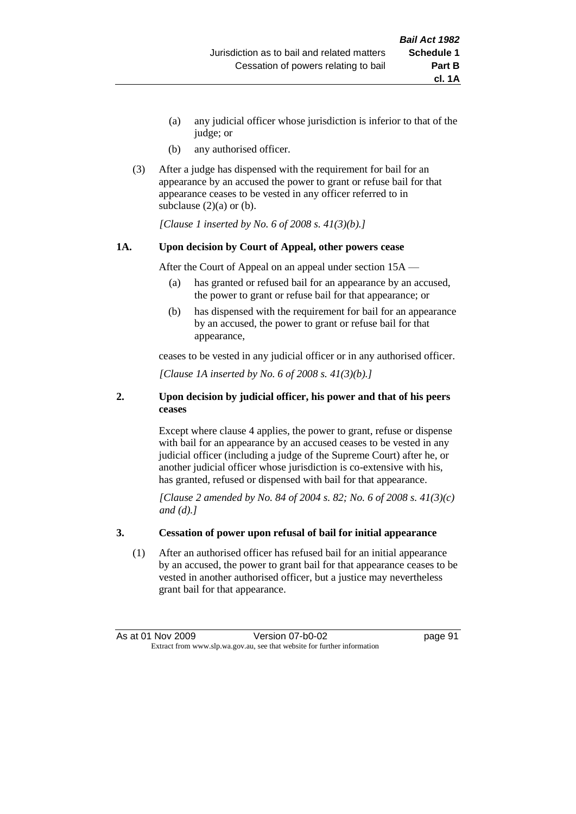- (a) any judicial officer whose jurisdiction is inferior to that of the judge; or
- (b) any authorised officer.
- (3) After a judge has dispensed with the requirement for bail for an appearance by an accused the power to grant or refuse bail for that appearance ceases to be vested in any officer referred to in subclause  $(2)(a)$  or  $(b)$ .

*[Clause 1 inserted by No. 6 of 2008 s. 41(3)(b).]*

#### **1A. Upon decision by Court of Appeal, other powers cease**

After the Court of Appeal on an appeal under section 15A —

- (a) has granted or refused bail for an appearance by an accused, the power to grant or refuse bail for that appearance; or
- (b) has dispensed with the requirement for bail for an appearance by an accused, the power to grant or refuse bail for that appearance,

ceases to be vested in any judicial officer or in any authorised officer.

*[Clause 1A inserted by No. 6 of 2008 s. 41(3)(b).]*

#### **2. Upon decision by judicial officer, his power and that of his peers ceases**

Except where clause 4 applies, the power to grant, refuse or dispense with bail for an appearance by an accused ceases to be vested in any judicial officer (including a judge of the Supreme Court) after he, or another judicial officer whose jurisdiction is co-extensive with his, has granted, refused or dispensed with bail for that appearance.

*[Clause 2 amended by No. 84 of 2004 s. 82; No. 6 of 2008 s. 41(3)(c) and (d).]*

#### **3. Cessation of power upon refusal of bail for initial appearance**

(1) After an authorised officer has refused bail for an initial appearance by an accused, the power to grant bail for that appearance ceases to be vested in another authorised officer, but a justice may nevertheless grant bail for that appearance.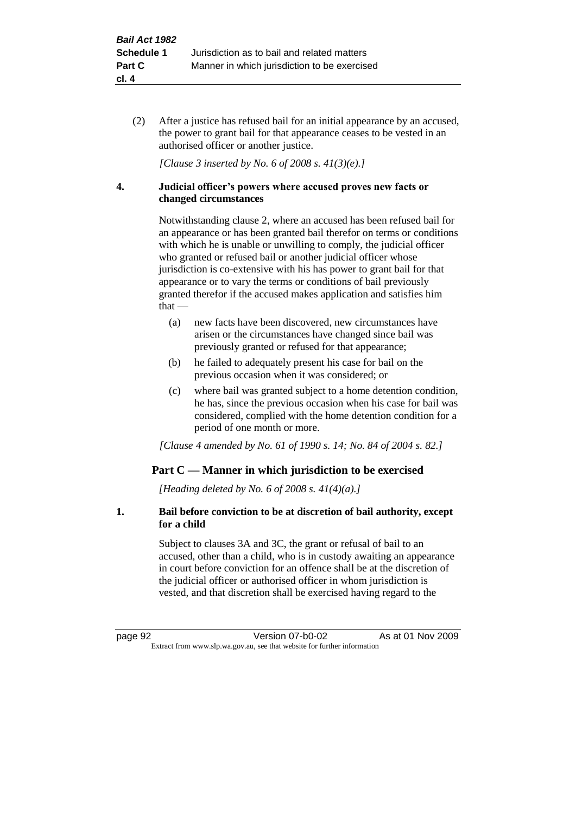(2) After a justice has refused bail for an initial appearance by an accused, the power to grant bail for that appearance ceases to be vested in an authorised officer or another justice.

*[Clause 3 inserted by No. 6 of 2008 s. 41(3)(e).]*

#### **4. Judicial officer's powers where accused proves new facts or changed circumstances**

Notwithstanding clause 2, where an accused has been refused bail for an appearance or has been granted bail therefor on terms or conditions with which he is unable or unwilling to comply, the judicial officer who granted or refused bail or another judicial officer whose jurisdiction is co-extensive with his has power to grant bail for that appearance or to vary the terms or conditions of bail previously granted therefor if the accused makes application and satisfies him that —

- (a) new facts have been discovered, new circumstances have arisen or the circumstances have changed since bail was previously granted or refused for that appearance;
- (b) he failed to adequately present his case for bail on the previous occasion when it was considered; or
- (c) where bail was granted subject to a home detention condition, he has, since the previous occasion when his case for bail was considered, complied with the home detention condition for a period of one month or more.

*[Clause 4 amended by No. 61 of 1990 s. 14; No. 84 of 2004 s. 82.]*

# **Part C — Manner in which jurisdiction to be exercised**

*[Heading deleted by No. 6 of 2008 s. 41(4)(a).]*

#### **1. Bail before conviction to be at discretion of bail authority, except for a child**

Subject to clauses 3A and 3C, the grant or refusal of bail to an accused, other than a child, who is in custody awaiting an appearance in court before conviction for an offence shall be at the discretion of the judicial officer or authorised officer in whom jurisdiction is vested, and that discretion shall be exercised having regard to the

page 92 Version 07-b0-02 As at 01 Nov 2009 Extract from www.slp.wa.gov.au, see that website for further information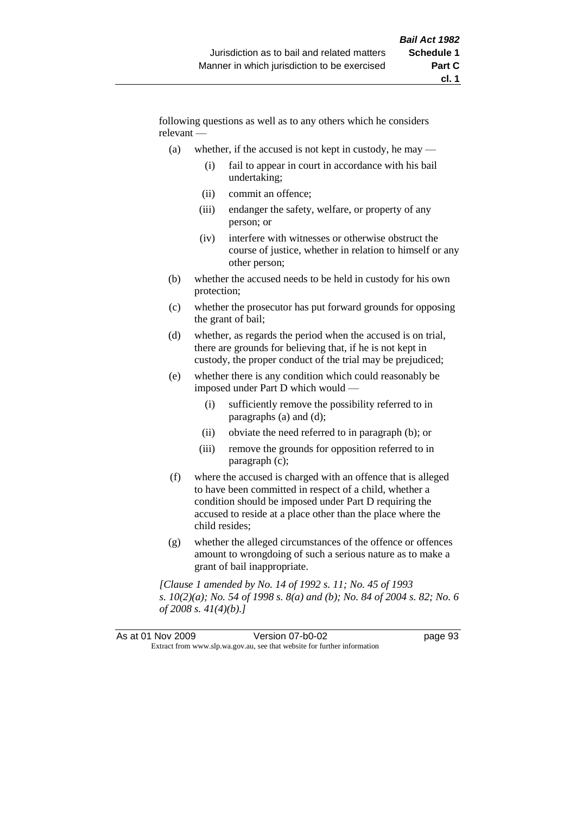following questions as well as to any others which he considers relevant —

- (a) whether, if the accused is not kept in custody, he may  $-$ 
	- (i) fail to appear in court in accordance with his bail undertaking;
	- (ii) commit an offence;
	- (iii) endanger the safety, welfare, or property of any person; or
	- (iv) interfere with witnesses or otherwise obstruct the course of justice, whether in relation to himself or any other person;
- (b) whether the accused needs to be held in custody for his own protection;
- (c) whether the prosecutor has put forward grounds for opposing the grant of bail;
- (d) whether, as regards the period when the accused is on trial, there are grounds for believing that, if he is not kept in custody, the proper conduct of the trial may be prejudiced;
- (e) whether there is any condition which could reasonably be imposed under Part D which would —
	- (i) sufficiently remove the possibility referred to in paragraphs (a) and (d);
	- (ii) obviate the need referred to in paragraph (b); or
	- (iii) remove the grounds for opposition referred to in paragraph (c);
- (f) where the accused is charged with an offence that is alleged to have been committed in respect of a child, whether a condition should be imposed under Part D requiring the accused to reside at a place other than the place where the child resides;
- (g) whether the alleged circumstances of the offence or offences amount to wrongdoing of such a serious nature as to make a grant of bail inappropriate.

*[Clause 1 amended by No. 14 of 1992 s. 11; No. 45 of 1993 s. 10(2)(a); No. 54 of 1998 s. 8(a) and (b); No. 84 of 2004 s. 82; No. 6 of 2008 s. 41(4)(b).]*

|  | As at 01 Nov 2009                                                        | Version 07-b0-02 | page 93 |
|--|--------------------------------------------------------------------------|------------------|---------|
|  | Extract from www.slp.wa.gov.au, see that website for further information |                  |         |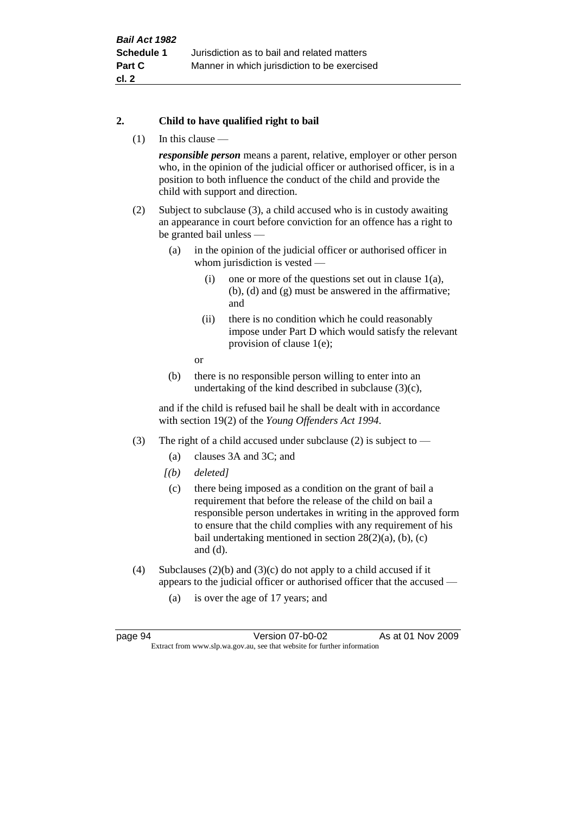#### **2. Child to have qualified right to bail**

(1) In this clause —

*responsible person* means a parent, relative, employer or other person who, in the opinion of the judicial officer or authorised officer, is in a position to both influence the conduct of the child and provide the child with support and direction.

- (2) Subject to subclause (3), a child accused who is in custody awaiting an appearance in court before conviction for an offence has a right to be granted bail unless —
	- (a) in the opinion of the judicial officer or authorised officer in whom jurisdiction is vested —
		- (i) one or more of the questions set out in clause 1(a), (b), (d) and (g) must be answered in the affirmative; and
		- (ii) there is no condition which he could reasonably impose under Part D which would satisfy the relevant provision of clause 1(e);
		- or
	- (b) there is no responsible person willing to enter into an undertaking of the kind described in subclause (3)(c),

and if the child is refused bail he shall be dealt with in accordance with section 19(2) of the *Young Offenders Act 1994*.

- (3) The right of a child accused under subclause (2) is subject to
	- (a) clauses 3A and 3C; and
	- *[(b) deleted]*
	- (c) there being imposed as a condition on the grant of bail a requirement that before the release of the child on bail a responsible person undertakes in writing in the approved form to ensure that the child complies with any requirement of his bail undertaking mentioned in section  $28(2)(a)$ , (b), (c) and (d).
- (4) Subclauses  $(2)(b)$  and  $(3)(c)$  do not apply to a child accused if it appears to the judicial officer or authorised officer that the accused —
	- (a) is over the age of 17 years; and

page 94 Version 07-b0-02 As at 01 Nov 2009 Extract from www.slp.wa.gov.au, see that website for further information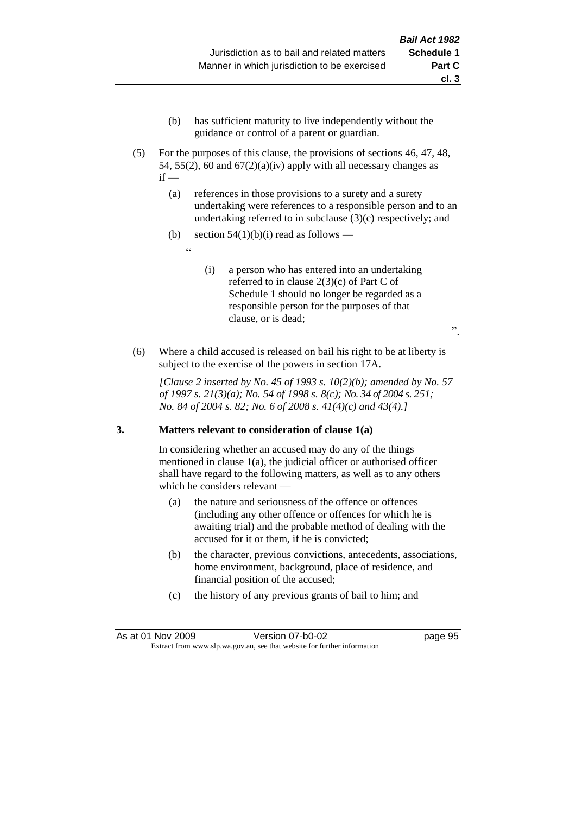- (b) has sufficient maturity to live independently without the guidance or control of a parent or guardian.
- (5) For the purposes of this clause, the provisions of sections 46, 47, 48, 54, 55(2), 60 and  $67(2)(a)(iv)$  apply with all necessary changes as  $if -$ 
	- (a) references in those provisions to a surety and a surety undertaking were references to a responsible person and to an undertaking referred to in subclause (3)(c) respectively; and
	- (b) section  $54(1)(b)(i)$  read as follows
		- <u>، د</u>
- (i) a person who has entered into an undertaking referred to in clause 2(3)(c) of Part C of Schedule 1 should no longer be regarded as a responsible person for the purposes of that clause, or is dead;
- (6) Where a child accused is released on bail his right to be at liberty is subject to the exercise of the powers in section 17A.

*[Clause 2 inserted by No. 45 of 1993 s. 10(2)(b); amended by No. 57 of 1997 s. 21(3)(a); No. 54 of 1998 s. 8(c); No. 34 of 2004 s. 251; No. 84 of 2004 s. 82; No. 6 of 2008 s. 41(4)(c) and 43(4).]*

# **3. Matters relevant to consideration of clause 1(a)**

In considering whether an accused may do any of the things mentioned in clause 1(a), the judicial officer or authorised officer shall have regard to the following matters, as well as to any others which he considers relevant —

- (a) the nature and seriousness of the offence or offences (including any other offence or offences for which he is awaiting trial) and the probable method of dealing with the accused for it or them, if he is convicted;
- (b) the character, previous convictions, antecedents, associations, home environment, background, place of residence, and financial position of the accused;
- (c) the history of any previous grants of bail to him; and

".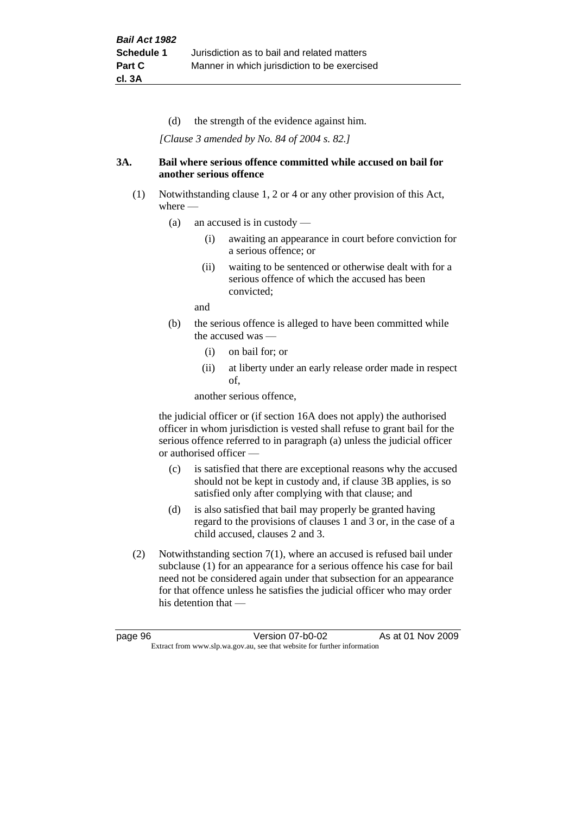(d) the strength of the evidence against him.

*[Clause 3 amended by No. 84 of 2004 s. 82.]*

#### **3A. Bail where serious offence committed while accused on bail for another serious offence**

- (1) Notwithstanding clause 1, 2 or 4 or any other provision of this Act, where —
	- (a) an accused is in custody
		- (i) awaiting an appearance in court before conviction for a serious offence; or
		- (ii) waiting to be sentenced or otherwise dealt with for a serious offence of which the accused has been convicted;

and

- (b) the serious offence is alleged to have been committed while the accused was -
	- (i) on bail for; or
	- (ii) at liberty under an early release order made in respect of,

another serious offence,

the judicial officer or (if section 16A does not apply) the authorised officer in whom jurisdiction is vested shall refuse to grant bail for the serious offence referred to in paragraph (a) unless the judicial officer or authorised officer —

- (c) is satisfied that there are exceptional reasons why the accused should not be kept in custody and, if clause 3B applies, is so satisfied only after complying with that clause; and
- (d) is also satisfied that bail may properly be granted having regard to the provisions of clauses 1 and 3 or, in the case of a child accused, clauses 2 and 3.
- (2) Notwithstanding section 7(1), where an accused is refused bail under subclause (1) for an appearance for a serious offence his case for bail need not be considered again under that subsection for an appearance for that offence unless he satisfies the judicial officer who may order his detention that —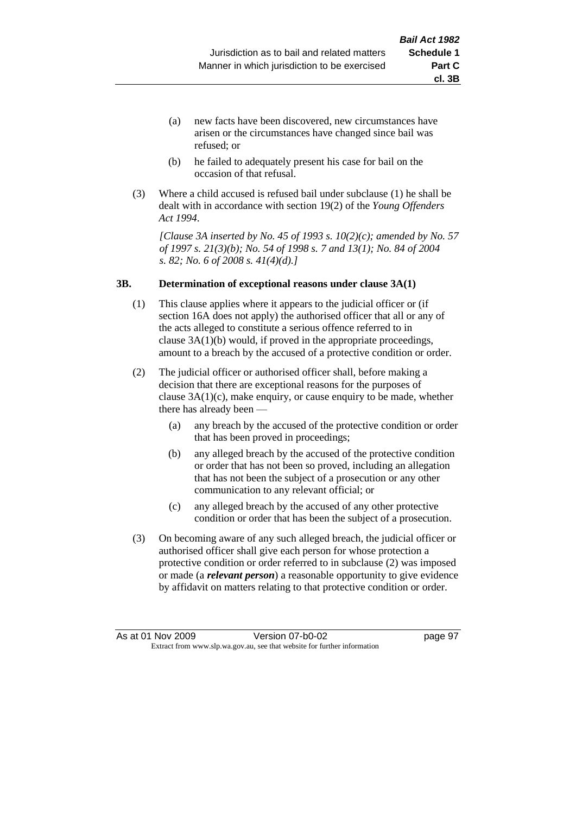- (a) new facts have been discovered, new circumstances have arisen or the circumstances have changed since bail was refused; or
- (b) he failed to adequately present his case for bail on the occasion of that refusal.
- (3) Where a child accused is refused bail under subclause (1) he shall be dealt with in accordance with section 19(2) of the *Young Offenders Act 1994*.

*[Clause 3A inserted by No. 45 of 1993 s. 10(2)(c); amended by No. 57 of 1997 s. 21(3)(b); No. 54 of 1998 s. 7 and 13(1); No. 84 of 2004 s. 82; No. 6 of 2008 s. 41(4)(d).]*

#### **3B. Determination of exceptional reasons under clause 3A(1)**

- (1) This clause applies where it appears to the judicial officer or (if section 16A does not apply) the authorised officer that all or any of the acts alleged to constitute a serious offence referred to in clause 3A(1)(b) would, if proved in the appropriate proceedings, amount to a breach by the accused of a protective condition or order.
- (2) The judicial officer or authorised officer shall, before making a decision that there are exceptional reasons for the purposes of clause  $3A(1)(c)$ , make enquiry, or cause enquiry to be made, whether there has already been —
	- (a) any breach by the accused of the protective condition or order that has been proved in proceedings;
	- (b) any alleged breach by the accused of the protective condition or order that has not been so proved, including an allegation that has not been the subject of a prosecution or any other communication to any relevant official; or
	- (c) any alleged breach by the accused of any other protective condition or order that has been the subject of a prosecution.
- (3) On becoming aware of any such alleged breach, the judicial officer or authorised officer shall give each person for whose protection a protective condition or order referred to in subclause (2) was imposed or made (a *relevant person*) a reasonable opportunity to give evidence by affidavit on matters relating to that protective condition or order.

**cl. 3B**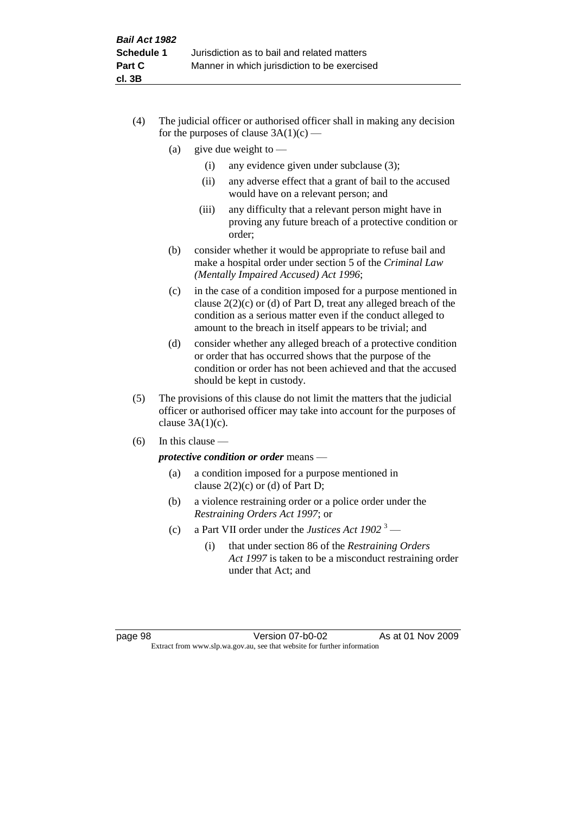- (4) The judicial officer or authorised officer shall in making any decision for the purposes of clause  $3A(1)(c)$  —
	- (a) give due weight to  $-$ 
		- (i) any evidence given under subclause (3);
		- (ii) any adverse effect that a grant of bail to the accused would have on a relevant person; and
		- (iii) any difficulty that a relevant person might have in proving any future breach of a protective condition or order;
	- (b) consider whether it would be appropriate to refuse bail and make a hospital order under section 5 of the *Criminal Law (Mentally Impaired Accused) Act 1996*;
	- (c) in the case of a condition imposed for a purpose mentioned in clause 2(2)(c) or (d) of Part D, treat any alleged breach of the condition as a serious matter even if the conduct alleged to amount to the breach in itself appears to be trivial; and
	- (d) consider whether any alleged breach of a protective condition or order that has occurred shows that the purpose of the condition or order has not been achieved and that the accused should be kept in custody.
- (5) The provisions of this clause do not limit the matters that the judicial officer or authorised officer may take into account for the purposes of clause  $3A(1)(c)$ .
- (6) In this clause —

*protective condition or order* means —

- (a) a condition imposed for a purpose mentioned in clause  $2(2)(c)$  or (d) of Part D;
- (b) a violence restraining order or a police order under the *Restraining Orders Act 1997*; or
- (c) a Part VII order under the *Justices Act 1902* <sup>3</sup>
	- (i) that under section 86 of the *Restraining Orders Act 1997* is taken to be a misconduct restraining order under that Act; and

page 98 Version 07-b0-02 As at 01 Nov 2009 Extract from www.slp.wa.gov.au, see that website for further information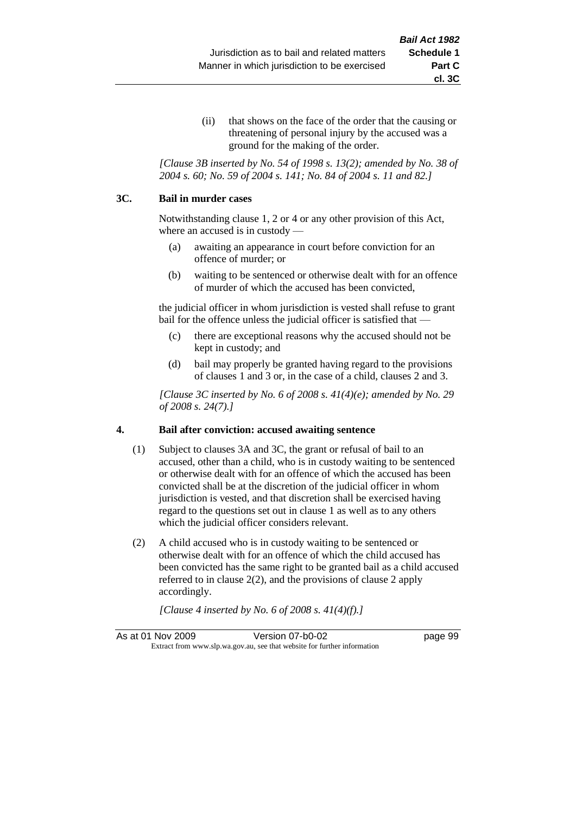(ii) that shows on the face of the order that the causing or threatening of personal injury by the accused was a ground for the making of the order.

*[Clause 3B inserted by No. 54 of 1998 s. 13(2); amended by No. 38 of 2004 s. 60; No. 59 of 2004 s. 141; No. 84 of 2004 s. 11 and 82.]*

#### **3C. Bail in murder cases**

Notwithstanding clause 1, 2 or 4 or any other provision of this Act, where an accused is in custody —

- (a) awaiting an appearance in court before conviction for an offence of murder; or
- (b) waiting to be sentenced or otherwise dealt with for an offence of murder of which the accused has been convicted,

the judicial officer in whom jurisdiction is vested shall refuse to grant bail for the offence unless the judicial officer is satisfied that —

- (c) there are exceptional reasons why the accused should not be kept in custody; and
- (d) bail may properly be granted having regard to the provisions of clauses 1 and 3 or, in the case of a child, clauses 2 and 3.

*[Clause 3C inserted by No. 6 of 2008 s. 41(4)(e); amended by No. 29 of 2008 s. 24(7).]*

#### **4. Bail after conviction: accused awaiting sentence**

- (1) Subject to clauses 3A and 3C, the grant or refusal of bail to an accused, other than a child, who is in custody waiting to be sentenced or otherwise dealt with for an offence of which the accused has been convicted shall be at the discretion of the judicial officer in whom jurisdiction is vested, and that discretion shall be exercised having regard to the questions set out in clause 1 as well as to any others which the judicial officer considers relevant.
- (2) A child accused who is in custody waiting to be sentenced or otherwise dealt with for an offence of which the child accused has been convicted has the same right to be granted bail as a child accused referred to in clause 2(2), and the provisions of clause 2 apply accordingly.

*[Clause 4 inserted by No. 6 of 2008 s. 41(4)(f).]*

As at 01 Nov 2009 Version 07-b0-02 Page 99 Extract from www.slp.wa.gov.au, see that website for further information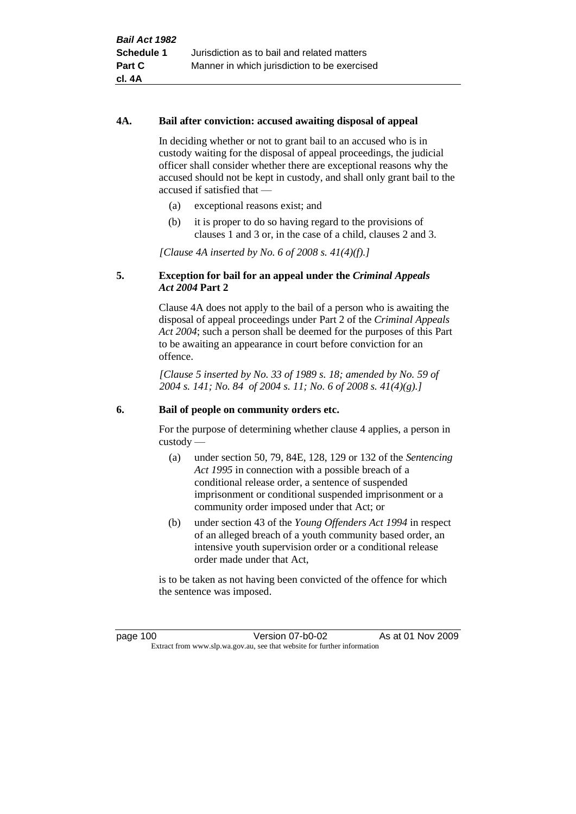#### **4A. Bail after conviction: accused awaiting disposal of appeal**

In deciding whether or not to grant bail to an accused who is in custody waiting for the disposal of appeal proceedings, the judicial officer shall consider whether there are exceptional reasons why the accused should not be kept in custody, and shall only grant bail to the accused if satisfied that —

- (a) exceptional reasons exist; and
- (b) it is proper to do so having regard to the provisions of clauses 1 and 3 or, in the case of a child, clauses 2 and 3.

*[Clause 4A inserted by No. 6 of 2008 s. 41(4)(f).]*

#### **5. Exception for bail for an appeal under the** *Criminal Appeals Act 2004* **Part 2**

Clause 4A does not apply to the bail of a person who is awaiting the disposal of appeal proceedings under Part 2 of the *Criminal Appeals Act 2004*; such a person shall be deemed for the purposes of this Part to be awaiting an appearance in court before conviction for an offence.

*[Clause 5 inserted by No. 33 of 1989 s. 18; amended by No. 59 of 2004 s. 141; No. 84 of 2004 s. 11; No. 6 of 2008 s. 41(4)(g).]*

#### **6. Bail of people on community orders etc.**

For the purpose of determining whether clause 4 applies, a person in custody —

- (a) under section 50, 79, 84E, 128, 129 or 132 of the *Sentencing Act 1995* in connection with a possible breach of a conditional release order, a sentence of suspended imprisonment or conditional suspended imprisonment or a community order imposed under that Act; or
- (b) under section 43 of the *Young Offenders Act 1994* in respect of an alleged breach of a youth community based order, an intensive youth supervision order or a conditional release order made under that Act,

is to be taken as not having been convicted of the offence for which the sentence was imposed.

page 100 Version 07-b0-02 As at 01 Nov 2009 Extract from www.slp.wa.gov.au, see that website for further information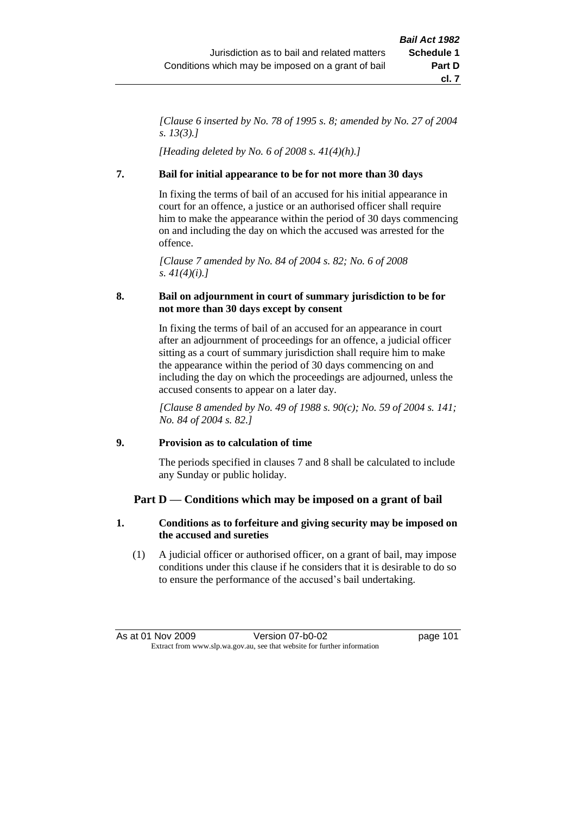*[Clause 6 inserted by No. 78 of 1995 s. 8; amended by No. 27 of 2004 s. 13(3).]*

*[Heading deleted by No. 6 of 2008 s. 41(4)(h).]*

## **7. Bail for initial appearance to be for not more than 30 days**

In fixing the terms of bail of an accused for his initial appearance in court for an offence, a justice or an authorised officer shall require him to make the appearance within the period of 30 days commencing on and including the day on which the accused was arrested for the offence.

*[Clause 7 amended by No. 84 of 2004 s. 82; No. 6 of 2008 s. 41(4)(i).]*

## **8. Bail on adjournment in court of summary jurisdiction to be for not more than 30 days except by consent**

In fixing the terms of bail of an accused for an appearance in court after an adjournment of proceedings for an offence, a judicial officer sitting as a court of summary jurisdiction shall require him to make the appearance within the period of 30 days commencing on and including the day on which the proceedings are adjourned, unless the accused consents to appear on a later day.

*[Clause 8 amended by No. 49 of 1988 s. 90(c); No. 59 of 2004 s. 141; No. 84 of 2004 s. 82.]*

## **9. Provision as to calculation of time**

The periods specified in clauses 7 and 8 shall be calculated to include any Sunday or public holiday.

## **Part D — Conditions which may be imposed on a grant of bail**

## **1. Conditions as to forfeiture and giving security may be imposed on the accused and sureties**

(1) A judicial officer or authorised officer, on a grant of bail, may impose conditions under this clause if he considers that it is desirable to do so to ensure the performance of the accused's bail undertaking.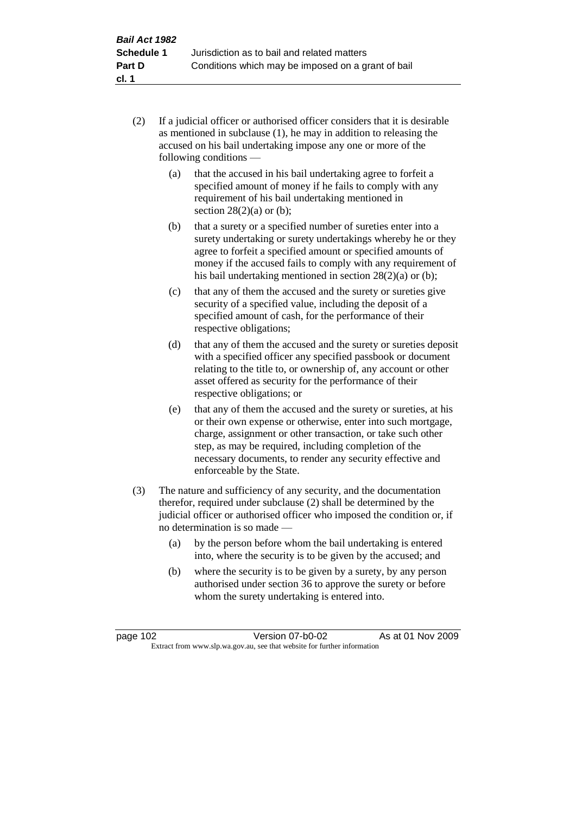- (2) If a judicial officer or authorised officer considers that it is desirable as mentioned in subclause (1), he may in addition to releasing the accused on his bail undertaking impose any one or more of the following conditions —
	- (a) that the accused in his bail undertaking agree to forfeit a specified amount of money if he fails to comply with any requirement of his bail undertaking mentioned in section  $28(2)(a)$  or (b);
	- (b) that a surety or a specified number of sureties enter into a surety undertaking or surety undertakings whereby he or they agree to forfeit a specified amount or specified amounts of money if the accused fails to comply with any requirement of his bail undertaking mentioned in section 28(2)(a) or (b);
	- (c) that any of them the accused and the surety or sureties give security of a specified value, including the deposit of a specified amount of cash, for the performance of their respective obligations;
	- (d) that any of them the accused and the surety or sureties deposit with a specified officer any specified passbook or document relating to the title to, or ownership of, any account or other asset offered as security for the performance of their respective obligations; or
	- (e) that any of them the accused and the surety or sureties, at his or their own expense or otherwise, enter into such mortgage, charge, assignment or other transaction, or take such other step, as may be required, including completion of the necessary documents, to render any security effective and enforceable by the State.
- (3) The nature and sufficiency of any security, and the documentation therefor, required under subclause (2) shall be determined by the judicial officer or authorised officer who imposed the condition or, if no determination is so made —
	- (a) by the person before whom the bail undertaking is entered into, where the security is to be given by the accused; and
	- (b) where the security is to be given by a surety, by any person authorised under section 36 to approve the surety or before whom the surety undertaking is entered into.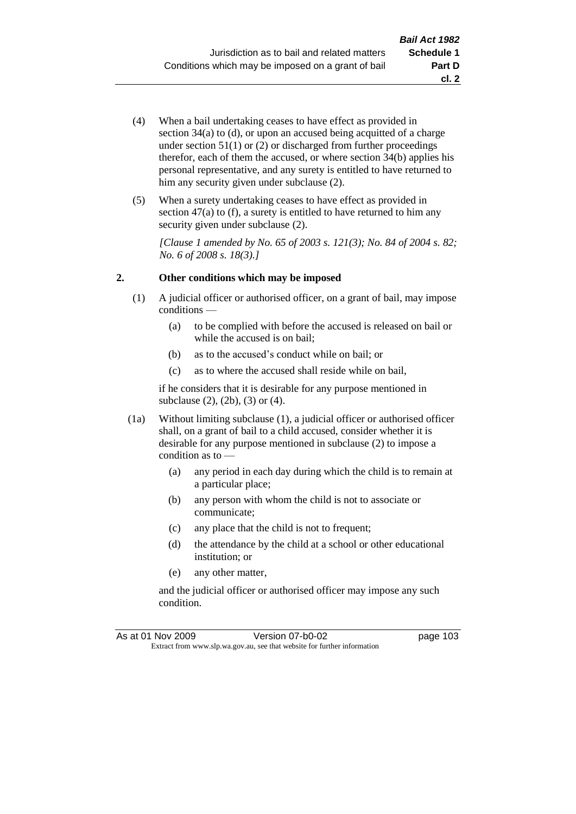- (4) When a bail undertaking ceases to have effect as provided in section 34(a) to (d), or upon an accused being acquitted of a charge under section  $51(1)$  or  $(2)$  or discharged from further proceedings therefor, each of them the accused, or where section  $34(b)$  applies his personal representative, and any surety is entitled to have returned to him any security given under subclause (2).
- (5) When a surety undertaking ceases to have effect as provided in section 47(a) to (f), a surety is entitled to have returned to him any security given under subclause  $(2)$ .

*[Clause 1 amended by No. 65 of 2003 s. 121(3); No. 84 of 2004 s. 82; No. 6 of 2008 s. 18(3).]*

## **2. Other conditions which may be imposed**

- (1) A judicial officer or authorised officer, on a grant of bail, may impose conditions —
	- (a) to be complied with before the accused is released on bail or while the accused is on bail;
	- (b) as to the accused's conduct while on bail; or
	- (c) as to where the accused shall reside while on bail,

if he considers that it is desirable for any purpose mentioned in subclause (2), (2b), (3) or (4).

- (1a) Without limiting subclause (1), a judicial officer or authorised officer shall, on a grant of bail to a child accused, consider whether it is desirable for any purpose mentioned in subclause (2) to impose a condition as to -
	- (a) any period in each day during which the child is to remain at a particular place;
	- (b) any person with whom the child is not to associate or communicate;
	- (c) any place that the child is not to frequent;
	- (d) the attendance by the child at a school or other educational institution; or
	- (e) any other matter,

and the judicial officer or authorised officer may impose any such condition.

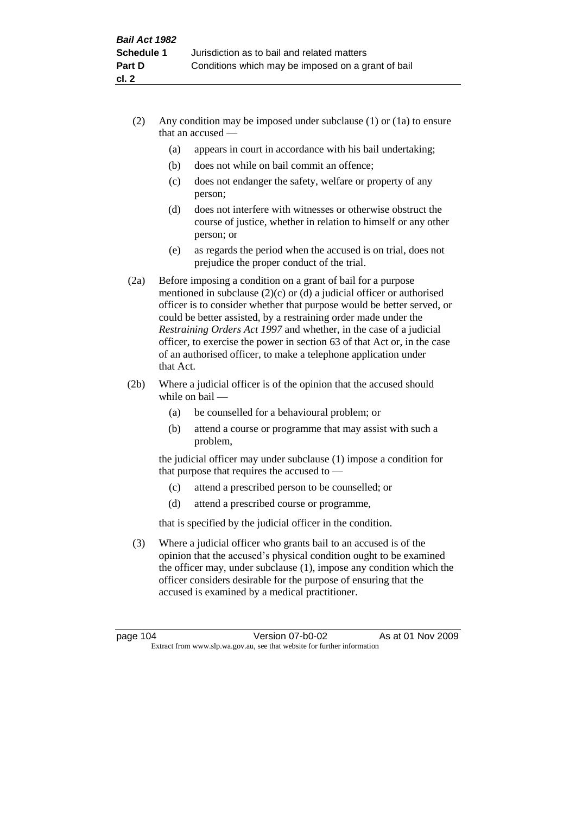- (2) Any condition may be imposed under subclause (1) or (1a) to ensure that an accused —
	- (a) appears in court in accordance with his bail undertaking;
	- (b) does not while on bail commit an offence;
	- (c) does not endanger the safety, welfare or property of any person;
	- (d) does not interfere with witnesses or otherwise obstruct the course of justice, whether in relation to himself or any other person; or
	- (e) as regards the period when the accused is on trial, does not prejudice the proper conduct of the trial.
- (2a) Before imposing a condition on a grant of bail for a purpose mentioned in subclause (2)(c) or (d) a judicial officer or authorised officer is to consider whether that purpose would be better served, or could be better assisted, by a restraining order made under the *Restraining Orders Act 1997* and whether, in the case of a judicial officer, to exercise the power in section 63 of that Act or, in the case of an authorised officer, to make a telephone application under that Act.
- (2b) Where a judicial officer is of the opinion that the accused should while on bail —
	- (a) be counselled for a behavioural problem; or
	- (b) attend a course or programme that may assist with such a problem,

the judicial officer may under subclause (1) impose a condition for that purpose that requires the accused to —

- (c) attend a prescribed person to be counselled; or
- (d) attend a prescribed course or programme,

that is specified by the judicial officer in the condition.

(3) Where a judicial officer who grants bail to an accused is of the opinion that the accused's physical condition ought to be examined the officer may, under subclause (1), impose any condition which the officer considers desirable for the purpose of ensuring that the accused is examined by a medical practitioner.

page 104 Version 07-b0-02 As at 01 Nov 2009 Extract from www.slp.wa.gov.au, see that website for further information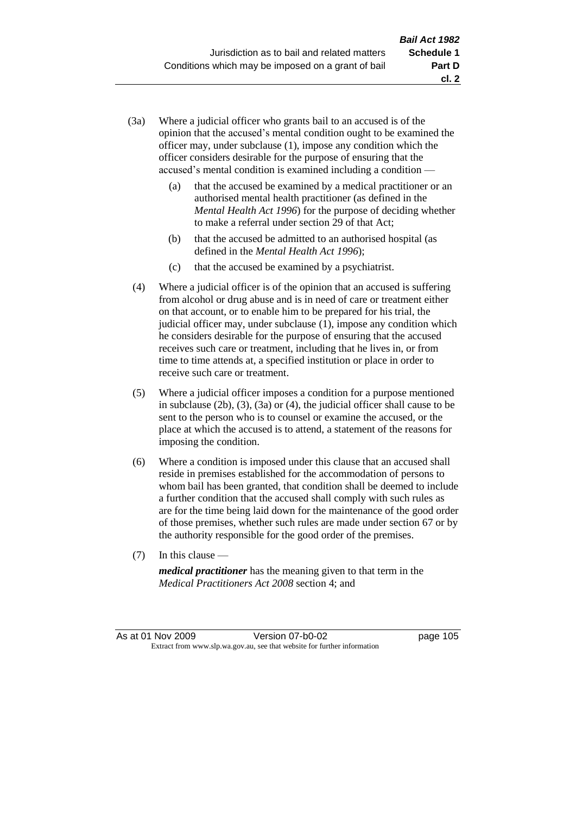- (3a) Where a judicial officer who grants bail to an accused is of the opinion that the accused's mental condition ought to be examined the officer may, under subclause (1), impose any condition which the officer considers desirable for the purpose of ensuring that the accused's mental condition is examined including a condition —
	- (a) that the accused be examined by a medical practitioner or an authorised mental health practitioner (as defined in the *Mental Health Act 1996*) for the purpose of deciding whether to make a referral under section 29 of that Act;
	- (b) that the accused be admitted to an authorised hospital (as defined in the *Mental Health Act 1996*);
	- (c) that the accused be examined by a psychiatrist.
- (4) Where a judicial officer is of the opinion that an accused is suffering from alcohol or drug abuse and is in need of care or treatment either on that account, or to enable him to be prepared for his trial, the judicial officer may, under subclause (1), impose any condition which he considers desirable for the purpose of ensuring that the accused receives such care or treatment, including that he lives in, or from time to time attends at, a specified institution or place in order to receive such care or treatment.
- (5) Where a judicial officer imposes a condition for a purpose mentioned in subclause (2b), (3), (3a) or (4), the judicial officer shall cause to be sent to the person who is to counsel or examine the accused, or the place at which the accused is to attend, a statement of the reasons for imposing the condition.
- (6) Where a condition is imposed under this clause that an accused shall reside in premises established for the accommodation of persons to whom bail has been granted, that condition shall be deemed to include a further condition that the accused shall comply with such rules as are for the time being laid down for the maintenance of the good order of those premises, whether such rules are made under section 67 or by the authority responsible for the good order of the premises.
- (7) In this clause —

*medical practitioner* has the meaning given to that term in the *Medical Practitioners Act 2008* section 4; and

As at 01 Nov 2009 Version 07-b0-02 Page 105 Extract from www.slp.wa.gov.au, see that website for further information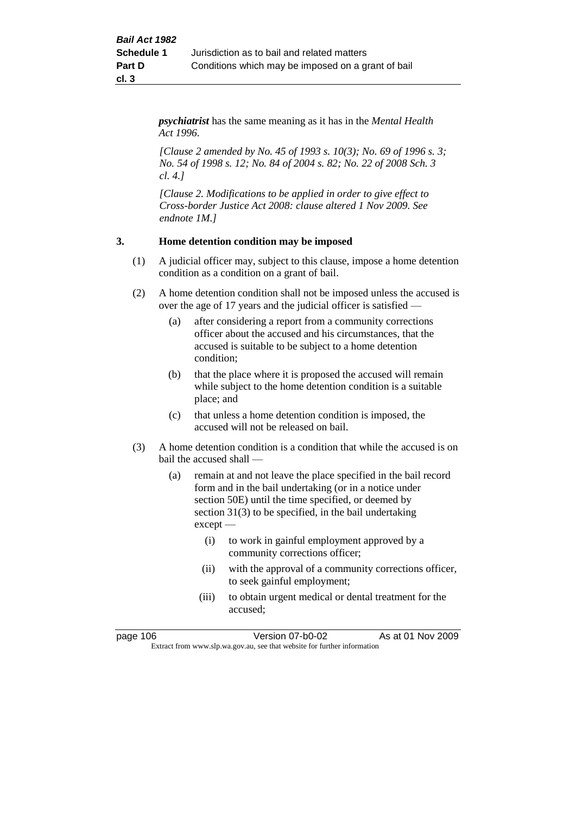*psychiatrist* has the same meaning as it has in the *Mental Health Act 1996*.

*[Clause 2 amended by No. 45 of 1993 s. 10(3); No. 69 of 1996 s. 3; No. 54 of 1998 s. 12; No. 84 of 2004 s. 82; No. 22 of 2008 Sch. 3 cl. 4.]*

*[Clause 2. Modifications to be applied in order to give effect to Cross-border Justice Act 2008: clause altered 1 Nov 2009. See endnote 1M.]*

## **3. Home detention condition may be imposed**

- (1) A judicial officer may, subject to this clause, impose a home detention condition as a condition on a grant of bail.
- (2) A home detention condition shall not be imposed unless the accused is over the age of 17 years and the judicial officer is satisfied —
	- (a) after considering a report from a community corrections officer about the accused and his circumstances, that the accused is suitable to be subject to a home detention condition;
	- (b) that the place where it is proposed the accused will remain while subject to the home detention condition is a suitable place; and
	- (c) that unless a home detention condition is imposed, the accused will not be released on bail.
- (3) A home detention condition is a condition that while the accused is on bail the accused shall —
	- (a) remain at and not leave the place specified in the bail record form and in the bail undertaking (or in a notice under section 50E) until the time specified, or deemed by section 31(3) to be specified, in the bail undertaking except —
		- (i) to work in gainful employment approved by a community corrections officer;
		- (ii) with the approval of a community corrections officer, to seek gainful employment;
		- (iii) to obtain urgent medical or dental treatment for the accused;

page 106 Version 07-b0-02 As at 01 Nov 2009 Extract from www.slp.wa.gov.au, see that website for further information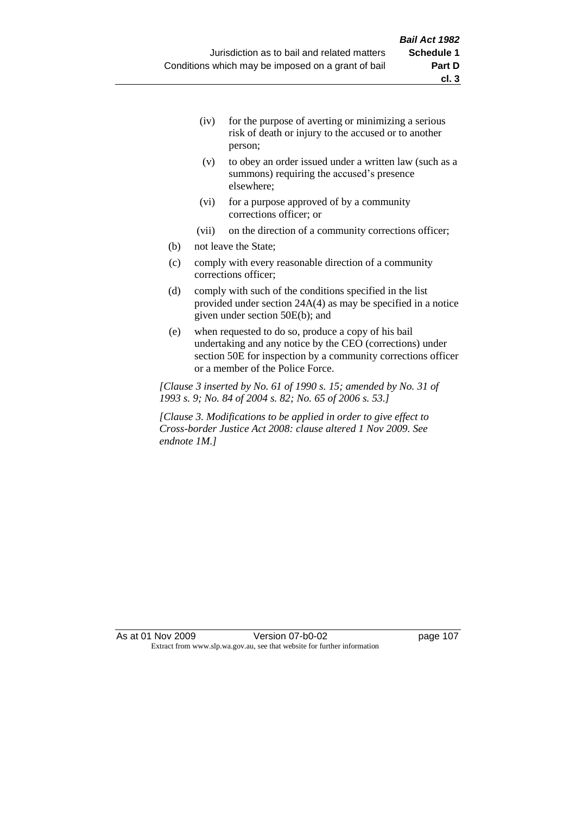- (iv) for the purpose of averting or minimizing a serious risk of death or injury to the accused or to another person;
- (v) to obey an order issued under a written law (such as a summons) requiring the accused's presence elsewhere;
- (vi) for a purpose approved of by a community corrections officer; or
- (vii) on the direction of a community corrections officer;
- (b) not leave the State;
- (c) comply with every reasonable direction of a community corrections officer;
- (d) comply with such of the conditions specified in the list provided under section 24A(4) as may be specified in a notice given under section 50E(b); and
- (e) when requested to do so, produce a copy of his bail undertaking and any notice by the CEO (corrections) under section 50E for inspection by a community corrections officer or a member of the Police Force.

*[Clause 3 inserted by No. 61 of 1990 s. 15; amended by No. 31 of 1993 s. 9; No. 84 of 2004 s. 82; No. 65 of 2006 s. 53.]*

*[Clause 3. Modifications to be applied in order to give effect to Cross-border Justice Act 2008: clause altered 1 Nov 2009. See endnote 1M.]*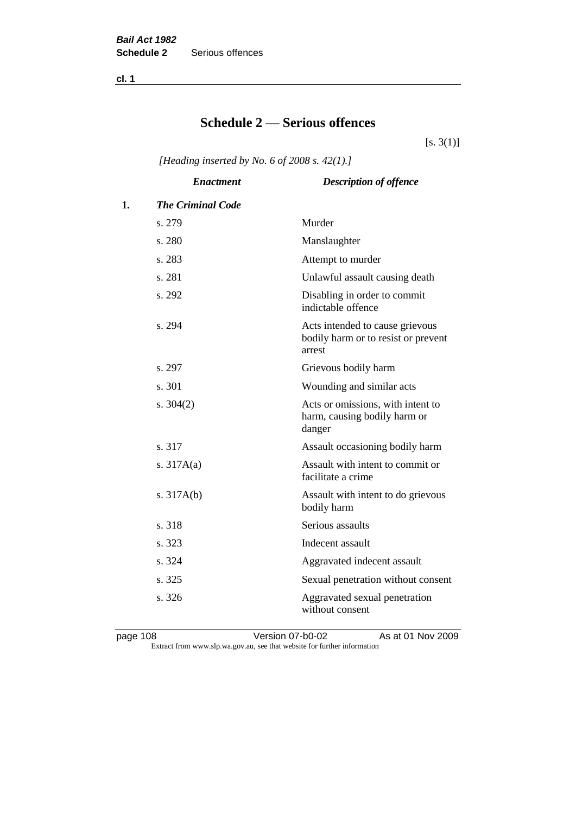**cl. 1**

## **Schedule 2 — Serious offences**

 $[s. 3(1)]$ 

*[Heading inserted by No. 6 of 2008 s. 42(1).]*

|    | <b>Enactment</b>         | <b>Description of offence</b>                                                    |
|----|--------------------------|----------------------------------------------------------------------------------|
| 1. | <b>The Criminal Code</b> |                                                                                  |
|    | s. 279                   | Murder                                                                           |
|    | s. 280                   | Manslaughter                                                                     |
|    | s. 283                   | Attempt to murder                                                                |
|    | s. 281                   | Unlawful assault causing death                                                   |
|    | s. 292                   | Disabling in order to commit<br>indictable offence                               |
|    | s. 294                   | Acts intended to cause grievous<br>bodily harm or to resist or prevent<br>arrest |
|    | s. 297                   | Grievous bodily harm                                                             |
|    | s.301                    | Wounding and similar acts                                                        |
|    | s. $304(2)$              | Acts or omissions, with intent to<br>harm, causing bodily harm or<br>danger      |
|    | s. 317                   | Assault occasioning bodily harm                                                  |
|    | s. $317A(a)$             | Assault with intent to commit or<br>facilitate a crime                           |
|    | s. $317A(b)$             | Assault with intent to do grievous<br>bodily harm                                |
|    | s. 318                   | Serious assaults                                                                 |
|    | s. 323                   | Indecent assault                                                                 |
|    | s. 324                   | Aggravated indecent assault                                                      |
|    | s. 325                   | Sexual penetration without consent                                               |
|    | s. 326                   | Aggravated sexual penetration<br>without consent                                 |

page 108 Version 07-b0-02 As at 01 Nov 2009 Extract from www.slp.wa.gov.au, see that website for further information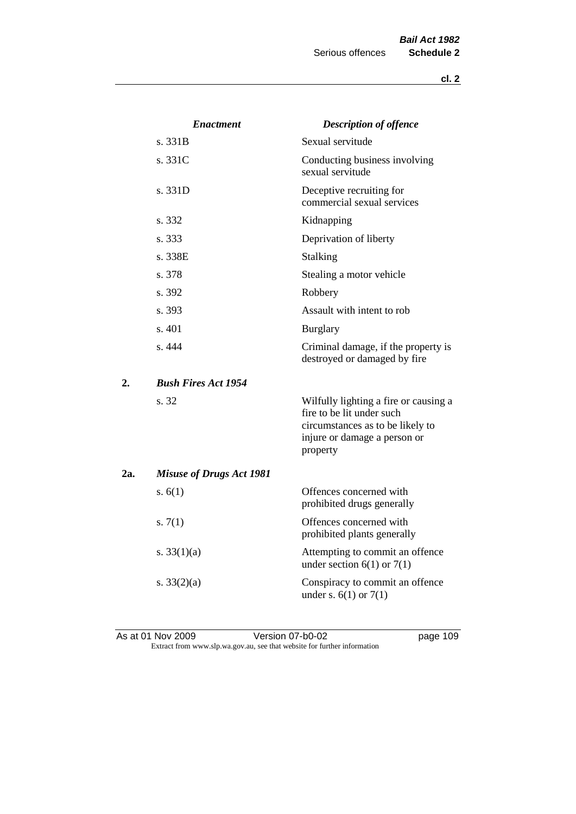|     | <b>Enactment</b>                | <b>Description of offence</b>                                                                                                                      |
|-----|---------------------------------|----------------------------------------------------------------------------------------------------------------------------------------------------|
|     | s. 331B                         | Sexual servitude                                                                                                                                   |
|     | s. 331C                         | Conducting business involving<br>sexual servitude                                                                                                  |
|     | s. 331D                         | Deceptive recruiting for<br>commercial sexual services                                                                                             |
|     | s. 332                          | Kidnapping                                                                                                                                         |
|     | s. 333                          | Deprivation of liberty                                                                                                                             |
|     | s. 338E                         | <b>Stalking</b>                                                                                                                                    |
|     | s. 378                          | Stealing a motor vehicle                                                                                                                           |
|     | s. 392                          | Robbery                                                                                                                                            |
|     | s. 393                          | Assault with intent to rob                                                                                                                         |
|     | s. 401                          | <b>Burglary</b>                                                                                                                                    |
|     | s. 444                          | Criminal damage, if the property is<br>destroyed or damaged by fire                                                                                |
| 2.  | <b>Bush Fires Act 1954</b>      |                                                                                                                                                    |
|     | s. 32                           | Wilfully lighting a fire or causing a<br>fire to be lit under such<br>circumstances as to be likely to<br>injure or damage a person or<br>property |
| 2a. | <b>Misuse of Drugs Act 1981</b> |                                                                                                                                                    |
|     | s. $6(1)$                       | Offences concerned with<br>prohibited drugs generally                                                                                              |
|     | s. $7(1)$                       | Offences concerned with<br>prohibited plants generally                                                                                             |
|     | s. $33(1)(a)$                   | Attempting to commit an offence<br>under section $6(1)$ or $7(1)$                                                                                  |
|     | s. $33(2)(a)$                   | Conspiracy to commit an offence<br>under s. $6(1)$ or $7(1)$                                                                                       |

As at 01 Nov 2009 **Version 07-b0-02 page 109** Extract from www.slp.wa.gov.au, see that website for further information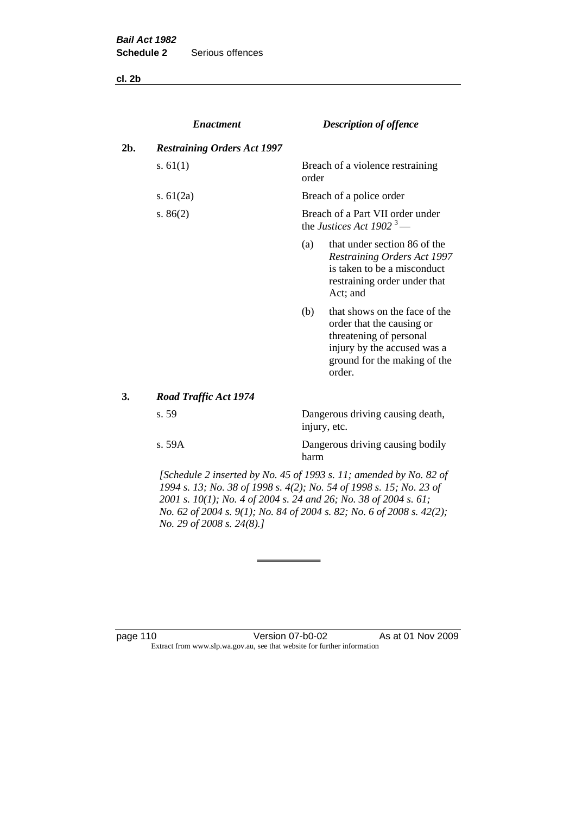**cl. 2b**

|     | <b>Enactment</b>                   |       | <b>Description of offence</b>                                                                                                                                  |
|-----|------------------------------------|-------|----------------------------------------------------------------------------------------------------------------------------------------------------------------|
| 2b. | <b>Restraining Orders Act 1997</b> |       |                                                                                                                                                                |
|     | s. $61(1)$                         | order | Breach of a violence restraining                                                                                                                               |
|     | s. $61(2a)$                        |       | Breach of a police order                                                                                                                                       |
|     | s. $86(2)$                         |       | Breach of a Part VII order under<br>the Justices Act 1902 <sup>3</sup> —                                                                                       |
|     |                                    | (a)   | that under section 86 of the<br>Restraining Orders Act 1997<br>is taken to be a misconduct<br>restraining order under that<br>Act; and                         |
|     |                                    | (b)   | that shows on the face of the<br>order that the causing or<br>threatening of personal<br>injury by the accused was a<br>ground for the making of the<br>order. |
| 3.  | Road Traffic Act 1974              |       |                                                                                                                                                                |
|     | s. 59                              |       | Dangerous driving causing death,<br>injury, etc.                                                                                                               |
|     | s. 59A                             | harm  | Dangerous driving causing bodily                                                                                                                               |

*[Schedule 2 inserted by No. 45 of 1993 s. 11; amended by No. 82 of 1994 s. 13; No. 38 of 1998 s. 4(2); No. 54 of 1998 s. 15; No. 23 of 2001 s. 10(1); No. 4 of 2004 s. 24 and 26; No. 38 of 2004 s. 61; No. 62 of 2004 s. 9(1); No. 84 of 2004 s. 82; No. 6 of 2008 s. 42(2); No. 29 of 2008 s. 24(8).]* 

page 110 Version 07-b0-02 As at 01 Nov 2009 Extract from www.slp.wa.gov.au, see that website for further information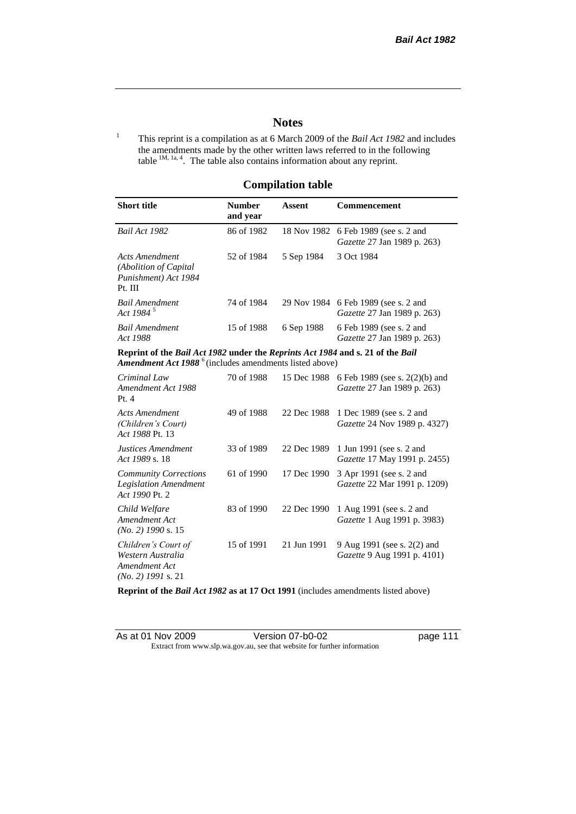## **Notes**

<sup>1</sup> This reprint is a compilation as at 6 March 2009 of the *Bail Act 1982* and includes the amendments made by the other written laws referred to in the following table  $1M$ ,  $1a$ ,  $4$ . The table also contains information about any reprint.

## **Compilation table**

| <b>Short title</b>                                                                                                                                   | <b>Number</b><br>and year              | Assent                                                                       | Commencement                                                                     |
|------------------------------------------------------------------------------------------------------------------------------------------------------|----------------------------------------|------------------------------------------------------------------------------|----------------------------------------------------------------------------------|
| Bail Act 1982                                                                                                                                        | 86 of 1982                             |                                                                              | 18 Nov 1982 6 Feb 1989 (see s. 2 and<br><i>Gazette</i> 27 Jan 1989 p. 263)       |
| Acts Amendment<br>(Abolition of Capital)<br>Punishment) Act 1984<br>Pt. III                                                                          | 52 of 1984<br>3 Oct 1984<br>5 Sep 1984 |                                                                              |                                                                                  |
| <b>Bail Amendment</b><br>Act 1984 <sup>5</sup>                                                                                                       | 74 of 1984                             |                                                                              | 29 Nov 1984 6 Feb 1989 (see s. 2 and<br><i>Gazette</i> 27 Jan 1989 p. 263)       |
| <b>Bail Amendment</b><br>Act 1988                                                                                                                    | 15 of 1988                             | 6 Sep 1988<br>6 Feb 1989 (see s. 2 and<br><i>Gazette</i> 27 Jan 1989 p. 263) |                                                                                  |
| Reprint of the Bail Act 1982 under the Reprints Act 1984 and s. 21 of the Bail<br>Amendment Act 1988 <sup>6</sup> (includes amendments listed above) |                                        |                                                                              |                                                                                  |
| Criminal Law<br>Amendment Act 1988<br>$\mathbf{D} \cdot \mathbf{A}$                                                                                  | 70 of 1988                             |                                                                              | 15 Dec 1988 6 Feb 1989 (see s. 2(2)(b) and<br><i>Gazette</i> 27 Jan 1989 p. 263) |

| Amendment Act 1988<br>Pt.4                                                        |            |             | Gazette 27 Jan 1989 p. 263)                                     |
|-----------------------------------------------------------------------------------|------------|-------------|-----------------------------------------------------------------|
| Acts Amendment<br>(Children's Court)<br>Act 1988 Pt. 13                           | 49 of 1988 | 22 Dec 1988 | 1 Dec 1989 (see s. 2 and<br>Gazette 24 Nov 1989 p. 4327)        |
| Justices Amendment<br>Act 1989 s. 18                                              | 33 of 1989 | 22 Dec 1989 | 1 Jun 1991 (see s. 2 and<br><i>Gazette</i> 17 May 1991 p. 2455) |
| <b>Community Corrections</b><br><b>Legislation Amendment</b><br>Act 1990 Pt. 2    | 61 of 1990 | 17 Dec 1990 | 3 Apr 1991 (see s. 2 and<br><i>Gazette</i> 22 Mar 1991 p. 1209) |
| Child Welfare<br>Amendment Act<br>$(No. 2)$ 1990 s. 15                            | 83 of 1990 | 22 Dec 1990 | 1 Aug 1991 (see s. 2 and<br>Gazette 1 Aug 1991 p. 3983)         |
| Children's Court of<br>Western Australia<br>Amendment Act<br>$(No. 2)$ 1991 s. 21 | 15 of 1991 | 21 Jun 1991 | 9 Aug 1991 (see s. 2(2) and<br>Gazette 9 Aug 1991 p. 4101)      |

**Reprint of the** *Bail Act 1982* **as at 17 Oct 1991** (includes amendments listed above)

| As at 01 Nov 2009 | Version 07-b0-02                                                         |
|-------------------|--------------------------------------------------------------------------|
|                   | Extract from www.slp.wa.gov.au, see that website for further information |

page 111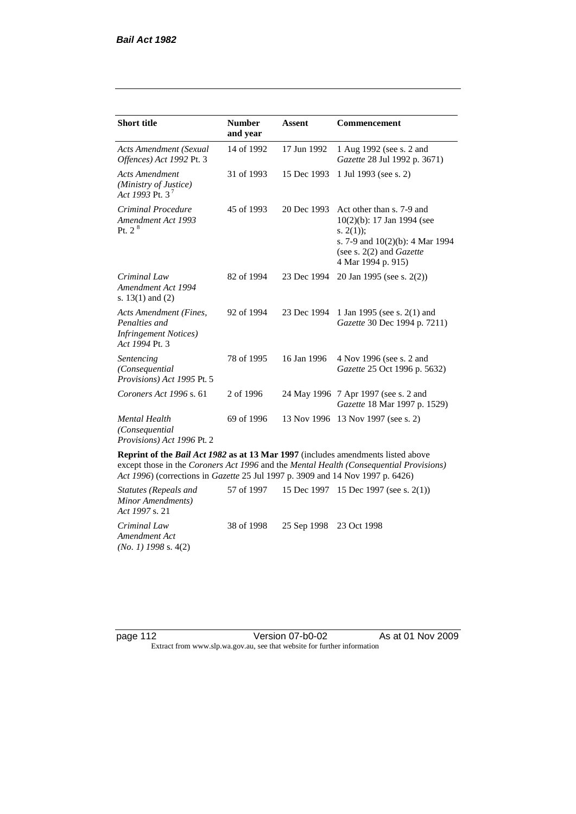| <b>Short title</b>                                                                         | <b>Number</b><br>and year | <b>Assent</b> | <b>Commencement</b>                                                                                                                                                        |
|--------------------------------------------------------------------------------------------|---------------------------|---------------|----------------------------------------------------------------------------------------------------------------------------------------------------------------------------|
| <b>Acts Amendment (Sexual</b><br>Offences) Act 1992 Pt. 3                                  | 14 of 1992                | 17 Jun 1992   | 1 Aug 1992 (see s. 2 and<br>Gazette 28 Jul 1992 p. 3671)                                                                                                                   |
| <b>Acts Amendment</b><br>(Ministry of Justice)<br>Act 1993 Pt. 3 <sup>7</sup>              | 31 of 1993                | 15 Dec 1993   | 1 Jul 1993 (see s. 2)                                                                                                                                                      |
| Criminal Procedure<br>Amendment Act 1993<br>Pt. 2 <sup>8</sup>                             | 45 of 1993                | 20 Dec 1993   | Act other than s. 7-9 and<br>$10(2)(b)$ : 17 Jan 1994 (see<br>s. $2(1)$ ;<br>s. 7-9 and $10(2)(b)$ : 4 Mar 1994<br>(see s. $2(2)$ and <i>Gazette</i><br>4 Mar 1994 p. 915) |
| Criminal Law<br>Amendment Act 1994<br>s. $13(1)$ and $(2)$                                 | 82 of 1994                | 23 Dec 1994   | 20 Jan 1995 (see s. 2(2))                                                                                                                                                  |
| Acts Amendment (Fines,<br>Penalties and<br><b>Infringement Notices</b> )<br>Act 1994 Pt. 3 | 92 of 1994                | 23 Dec 1994   | 1 Jan 1995 (see s. 2(1) and<br>Gazette 30 Dec 1994 p. 7211)                                                                                                                |
| Sentencing<br>(Consequential)<br>Provisions) Act 1995 Pt. 5                                | 78 of 1995                | 16 Jan 1996   | 4 Nov 1996 (see s. 2 and<br>Gazette 25 Oct 1996 p. 5632)                                                                                                                   |
| Coroners Act 1996 s. 61                                                                    | 2 of 1996                 |               | 24 May 1996 7 Apr 1997 (see s. 2 and<br>Gazette 18 Mar 1997 p. 1529)                                                                                                       |
| <b>Mental Health</b><br>(Consequential)<br>Provisions) Act 1996 Pt. 2                      | 69 of 1996                | 13 Nov 1996   | 13 Nov 1997 (see s. 2)                                                                                                                                                     |

**Reprint of the** *Bail Act 1982* **as at 13 Mar 1997** (includes amendments listed above except those in the *Coroners Act 1996* and the *Mental Health (Consequential Provisions) Act 1996*) (corrections in *Gazette* 25 Jul 1997 p. 3909 and 14 Nov 1997 p. 6426)

*Statutes (Repeals and Minor Amendments) Act 1997* s. 21 57 of 1997 15 Dec 1997 15 Dec 1997 (see s. 2(1)) *Criminal Law Amendment Act (No. 1) 1998* s. 4(2) 38 of 1998 25 Sep 1998 23 Oct 1998

page 112 **Version 07-b0-02** As at 01 Nov 2009 Extract from www.slp.wa.gov.au, see that website for further information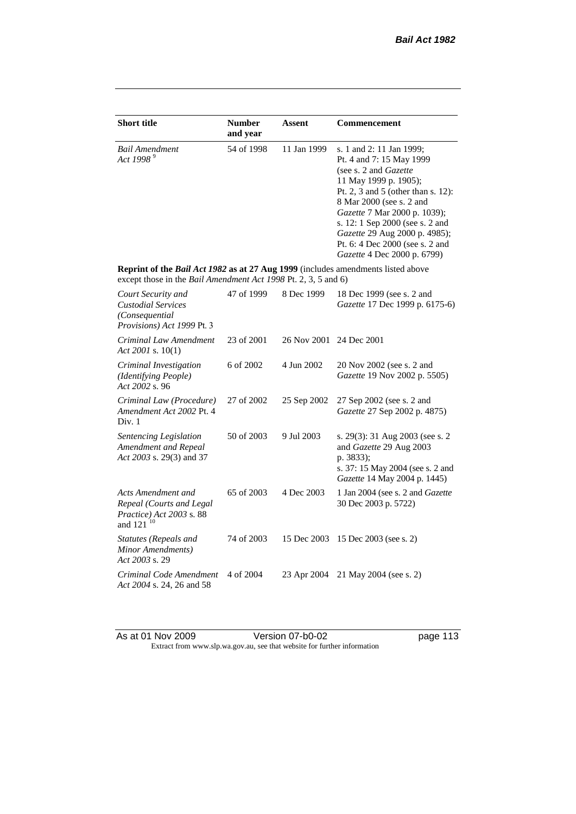| <b>Short title</b>                                                                                                                                        | <b>Number</b><br>and year | <b>Assent</b> | <b>Commencement</b>                                                                                                                                                                                                                                                                                                                                     |
|-----------------------------------------------------------------------------------------------------------------------------------------------------------|---------------------------|---------------|---------------------------------------------------------------------------------------------------------------------------------------------------------------------------------------------------------------------------------------------------------------------------------------------------------------------------------------------------------|
| <b>Bail Amendment</b><br>Act 1998 <sup>9</sup>                                                                                                            | 54 of 1998                | 11 Jan 1999   | s. 1 and 2: 11 Jan 1999;<br>Pt. 4 and 7: 15 May 1999<br>(see s. 2 and <i>Gazette</i> )<br>11 May 1999 p. 1905);<br>Pt. 2, 3 and 5 (other than s. 12):<br>8 Mar 2000 (see s. 2 and<br>Gazette 7 Mar 2000 p. 1039);<br>s. 12: 1 Sep 2000 (see s. 2 and<br>Gazette 29 Aug 2000 p. 4985);<br>Pt. 6: 4 Dec 2000 (see s. 2 and<br>Gazette 4 Dec 2000 p. 6799) |
| Reprint of the Bail Act 1982 as at 27 Aug 1999 (includes amendments listed above<br>except those in the <i>Bail Amendment Act 1998</i> Pt. 2, 3, 5 and 6) |                           |               |                                                                                                                                                                                                                                                                                                                                                         |
| Court Security and<br><b>Custodial Services</b><br>(Consequential<br>Provisions) Act 1999 Pt. 3                                                           | 47 of 1999                | 8 Dec 1999    | 18 Dec 1999 (see s. 2 and<br>Gazette 17 Dec 1999 p. 6175-6)                                                                                                                                                                                                                                                                                             |
| Criminal Law Amendment<br>Act 2001 s. $10(1)$                                                                                                             | 23 of 2001                | 26 Nov 2001   | 24 Dec 2001                                                                                                                                                                                                                                                                                                                                             |
| Criminal Investigation<br>(Identifying People)<br>Act 2002 s. 96                                                                                          | 6 of 2002                 | 4 Jun 2002    | 20 Nov 2002 (see s. 2 and<br>Gazette 19 Nov 2002 p. 5505)                                                                                                                                                                                                                                                                                               |
| Criminal Law (Procedure)<br>Amendment Act 2002 Pt. 4<br>Div. 1                                                                                            | 27 of 2002                | 25 Sep 2002   | 27 Sep 2002 (see s. 2 and<br>Gazette 27 Sep 2002 p. 4875)                                                                                                                                                                                                                                                                                               |
| Sentencing Legislation<br>Amendment and Repeal<br>Act 2003 s. 29(3) and 37                                                                                | 50 of 2003                | 9 Jul 2003    | s. 29(3): 31 Aug 2003 (see s. 2)<br>and Gazette 29 Aug 2003<br>p. 3833);<br>s. 37: 15 May 2004 (see s. 2 and<br>Gazette 14 May 2004 p. 1445)                                                                                                                                                                                                            |
| Acts Amendment and<br>Repeal (Courts and Legal<br>Practice) Act 2003 s. 88<br>and 121 <sup>10</sup>                                                       | 65 of 2003                | 4 Dec 2003    | 1 Jan 2004 (see s. 2 and <i>Gazette</i><br>30 Dec 2003 p. 5722)                                                                                                                                                                                                                                                                                         |
| <b>Statutes</b> (Repeals and<br>Minor Amendments)<br>Act 2003 s. 29                                                                                       | 74 of 2003                | 15 Dec 2003   | 15 Dec 2003 (see s. 2)                                                                                                                                                                                                                                                                                                                                  |
| Criminal Code Amendment<br>Act 2004 s. 24, 26 and 58                                                                                                      | 4 of 2004                 | 23 Apr 2004   | 21 May 2004 (see s. 2)                                                                                                                                                                                                                                                                                                                                  |

As at 01 Nov 2009 **Version 07-b0-02 page 113** Extract from www.slp.wa.gov.au, see that website for further information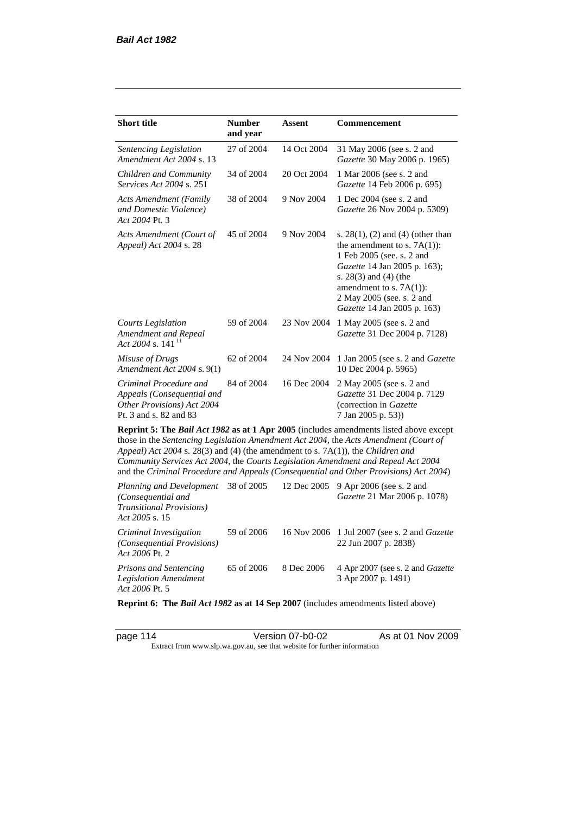| <b>Short title</b>                                                                                                                                                                                                                                                                                                                                                                                                                              | <b>Number</b><br>and year | Assent      | <b>Commencement</b>                                                                                                                                                                                                                                      |  |  |
|-------------------------------------------------------------------------------------------------------------------------------------------------------------------------------------------------------------------------------------------------------------------------------------------------------------------------------------------------------------------------------------------------------------------------------------------------|---------------------------|-------------|----------------------------------------------------------------------------------------------------------------------------------------------------------------------------------------------------------------------------------------------------------|--|--|
| Sentencing Legislation<br>Amendment Act 2004 s. 13                                                                                                                                                                                                                                                                                                                                                                                              | 27 of 2004                | 14 Oct 2004 | 31 May 2006 (see s. 2 and<br>Gazette 30 May 2006 p. 1965)                                                                                                                                                                                                |  |  |
| Children and Community<br><i>Services Act 2004 s. 251</i>                                                                                                                                                                                                                                                                                                                                                                                       | 34 of 2004                | 20 Oct 2004 | 1 Mar 2006 (see s. 2 and<br>Gazette 14 Feb 2006 p. 695)                                                                                                                                                                                                  |  |  |
| <b>Acts Amendment (Family</b><br>and Domestic Violence)<br>Act 2004 Pt. 3                                                                                                                                                                                                                                                                                                                                                                       | 38 of 2004                | 9 Nov 2004  | 1 Dec 2004 (see s. 2 and<br>Gazette 26 Nov 2004 p. 5309)                                                                                                                                                                                                 |  |  |
| Acts Amendment (Court of<br>Appeal) Act 2004 s. 28                                                                                                                                                                                                                                                                                                                                                                                              | 45 of 2004                | 9 Nov 2004  | s. $28(1)$ , (2) and (4) (other than<br>the amendment to s. $7A(1)$ :<br>1 Feb 2005 (see. s. 2 and<br>Gazette 14 Jan 2005 p. 163);<br>s. $28(3)$ and $(4)$ (the<br>amendment to s. $7A(1)$ :<br>2 May 2005 (see. s. 2 and<br>Gazette 14 Jan 2005 p. 163) |  |  |
| <b>Courts Legislation</b><br>Amendment and Repeal<br>Act 2004 s. 141 <sup>11</sup>                                                                                                                                                                                                                                                                                                                                                              | 59 of 2004                | 23 Nov 2004 | 1 May 2005 (see s. 2 and<br>Gazette 31 Dec 2004 p. 7128)                                                                                                                                                                                                 |  |  |
| Misuse of Drugs<br>Amendment Act 2004 s. 9(1)                                                                                                                                                                                                                                                                                                                                                                                                   | 62 of 2004                | 24 Nov 2004 | 1 Jan 2005 (see s. 2 and <i>Gazette</i><br>10 Dec 2004 p. 5965)                                                                                                                                                                                          |  |  |
| Criminal Procedure and<br>Appeals (Consequential and<br>Other Provisions) Act 2004<br>Pt. 3 and s. 82 and 83                                                                                                                                                                                                                                                                                                                                    | 84 of 2004                | 16 Dec 2004 | 2 May 2005 (see s. 2 and<br>Gazette 31 Dec 2004 p. 7129<br>(correction in Gazette<br>7 Jan 2005 p. 53))                                                                                                                                                  |  |  |
| Reprint 5: The Bail Act 1982 as at 1 Apr 2005 (includes amendments listed above except<br>those in the Sentencing Legislation Amendment Act 2004, the Acts Amendment (Court of<br>Appeal) Act 2004 s. 28(3) and (4) (the amendment to s. 7A(1)), the Children and<br>Community Services Act 2004, the Courts Legislation Amendment and Repeal Act 2004<br>and the Criminal Procedure and Appeals (Consequential and Other Provisions) Act 2004) |                           |             |                                                                                                                                                                                                                                                          |  |  |
| Planning and Development<br>(Consequential and<br><b>Transitional Provisions)</b><br>Act 2005 s. 15                                                                                                                                                                                                                                                                                                                                             | 38 of 2005                | 12 Dec 2005 | 9 Apr 2006 (see s. 2 and<br>Gazette 21 Mar 2006 p. 1078)                                                                                                                                                                                                 |  |  |
| Criminal Investigation                                                                                                                                                                                                                                                                                                                                                                                                                          | 59 of 2006                |             | 16 Nov 2006 1 Jul 2007 (see s. 2 and <i>Gazette</i>                                                                                                                                                                                                      |  |  |

*Act 2006* Pt. 2 *Prisons and Sentencing Legislation Amendment Act 2006* Pt. 5 65 of 2006 8 Dec 2006 4 Apr 2007 (see s. 2 and *Gazette* 3 Apr 2007 p. 1491)

22 Jun 2007 p. 2838)

**Reprint 6: The** *Bail Act 1982* **as at 14 Sep 2007** (includes amendments listed above)

*(Consequential Provisions)* 

page 114 Version 07-b0-02 As at 01 Nov 2009 Extract from www.slp.wa.gov.au, see that website for further information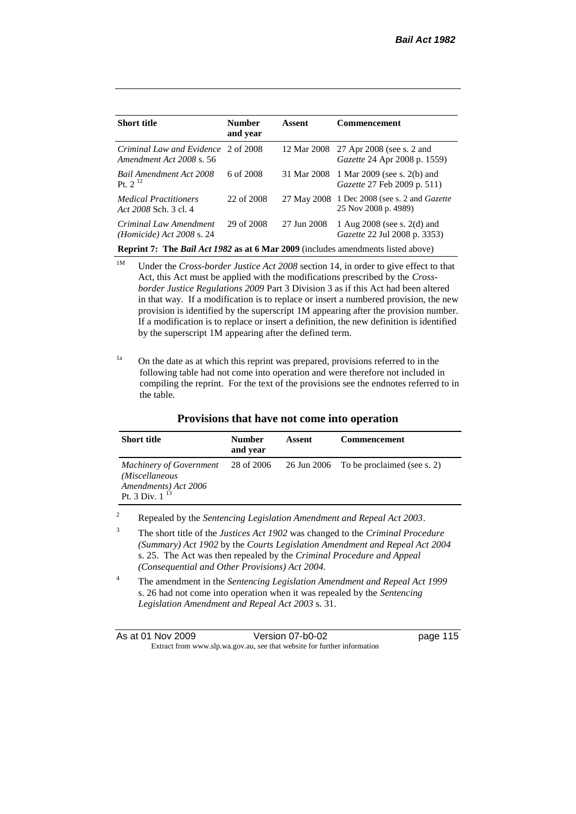| 12 Mar 2008 27 Apr 2008 (see s. 2 and<br>Gazette 24 Apr 2008 p. 1559)                   |
|-----------------------------------------------------------------------------------------|
| 1 Mar 2009 (see s. 2(b) and<br><i>Gazette</i> 27 Feb 2009 p. 511)                       |
| 1 Dec 2008 (see s. 2 and <i>Gazette</i><br>25 Nov 2008 p. 4989)                         |
| 1 Aug $2008$ (see s. $2(d)$ and<br><i>Gazette</i> 22 Jul 2008 p. 3353)                  |
| <b>Reprint 7: The Bail Act 1982 as at 6 Mar 2009</b> (includes amendments listed above) |

<sup>1M</sup> Under the *Cross-border Justice Act 2008* section 14, in order to give effect to that Act, this Act must be applied with the modifications prescribed by the *Crossborder Justice Regulations 2009* Part 3 Division 3 as if this Act had been altered in that way. If a modification is to replace or insert a numbered provision, the new provision is identified by the superscript 1M appearing after the provision number. If a modification is to replace or insert a definition, the new definition is identified by the superscript 1M appearing after the defined term.

<sup>1a</sup> On the date as at which this reprint was prepared, provisions referred to in the following table had not come into operation and were therefore not included in compiling the reprint. For the text of the provisions see the endnotes referred to in the table.

| <b>Short title</b>                                                                              | <b>Number</b><br>and year | Assent | <b>Commencement</b>                     |
|-------------------------------------------------------------------------------------------------|---------------------------|--------|-----------------------------------------|
| <b>Machinery of Government</b><br>(Miscellaneous<br>Amendments) Act 2006<br>Pt. 3 Div. $1^{13}$ | 28 of 2006                |        | 26 Jun 2006 To be proclaimed (see s. 2) |

**Provisions that have not come into operation**

<sup>2</sup> Repealed by the *Sentencing Legislation Amendment and Repeal Act 2003*.

<sup>3</sup> The short title of the *Justices Act 1902* was changed to the *Criminal Procedure (Summary) Act 1902* by the *Courts Legislation Amendment and Repeal Act 2004*  s. 25. The Act was then repealed by the *Criminal Procedure and Appeal (Consequential and Other Provisions) Act 2004.*

<sup>4</sup> The amendment in the *Sentencing Legislation Amendment and Repeal Act 1999* s. 26 had not come into operation when it was repealed by the *Sentencing Legislation Amendment and Repeal Act 2003* s. 31.

| As at 01 Nov 2009 | Version 07-b0-02                                                         | page 115 |
|-------------------|--------------------------------------------------------------------------|----------|
|                   | Extract from www.slp.wa.gov.au, see that website for further information |          |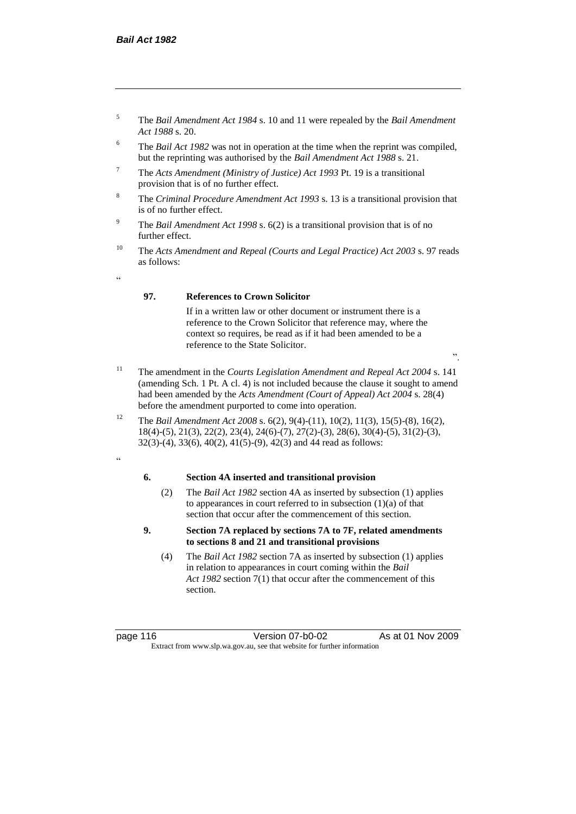- <sup>5</sup> The *Bail Amendment Act 1984* s. 10 and 11 were repealed by the *Bail Amendment Act 1988* s. 20.
- <sup>6</sup> The *Bail Act 1982* was not in operation at the time when the reprint was compiled, but the reprinting was authorised by the *Bail Amendment Act 1988* s. 21.
- <sup>7</sup> The *Acts Amendment (Ministry of Justice) Act 1993* Pt. 19 is a transitional provision that is of no further effect.
- <sup>8</sup> The *Criminal Procedure Amendment Act 1993* s. 13 is a transitional provision that is of no further effect.
- <sup>9</sup> The *Bail Amendment Act 1998* s. 6(2) is a transitional provision that is of no further effect.
- <sup>10</sup> The *Acts Amendment and Repeal (Courts and Legal Practice) Act 2003* s. 97 reads as follows:
- "

#### **97. References to Crown Solicitor**

If in a written law or other document or instrument there is a reference to the Crown Solicitor that reference may, where the context so requires, be read as if it had been amended to be a reference to the State Solicitor.

- ".
- <sup>11</sup> The amendment in the *Courts Legislation Amendment and Repeal Act 2004* s. 141 (amending Sch. 1 Pt. A cl. 4) is not included because the clause it sought to amend had been amended by the *Acts Amendment (Court of Appeal) Act 2004* s. 28(4) before the amendment purported to come into operation.
- <sup>12</sup> The *Bail Amendment Act 2008* s. 6(2), 9(4)-(11), 10(2), 11(3), 15(5)-(8), 16(2), 18(4)-(5), 21(3), 22(2), 23(4), 24(6)-(7), 27(2)-(3), 28(6), 30(4)-(5), 31(2)-(3), 32(3)-(4), 33(6), 40(2), 41(5)-(9), 42(3) and 44 read as follows:
- "

## **6. Section 4A inserted and transitional provision**

- (2) The *Bail Act 1982* section 4A as inserted by subsection (1) applies to appearances in court referred to in subsection (1)(a) of that section that occur after the commencement of this section.
- **9. Section 7A replaced by sections 7A to 7F, related amendments to sections 8 and 21 and transitional provisions**
	- (4) The *Bail Act 1982* section 7A as inserted by subsection (1) applies in relation to appearances in court coming within the *Bail Act 1982* section 7(1) that occur after the commencement of this section.

page 116 Version 07-b0-02 As at 01 Nov 2009 Extract from www.slp.wa.gov.au, see that website for further information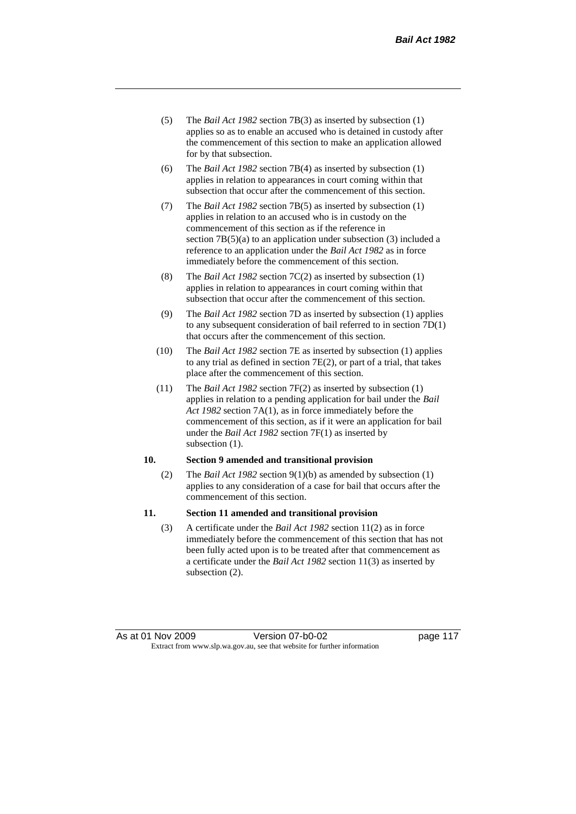- (5) The *Bail Act 1982* section 7B(3) as inserted by subsection (1) applies so as to enable an accused who is detained in custody after the commencement of this section to make an application allowed for by that subsection.
- (6) The *Bail Act 1982* section 7B(4) as inserted by subsection (1) applies in relation to appearances in court coming within that subsection that occur after the commencement of this section.
- (7) The *Bail Act 1982* section 7B(5) as inserted by subsection (1) applies in relation to an accused who is in custody on the commencement of this section as if the reference in section 7B(5)(a) to an application under subsection (3) included a reference to an application under the *Bail Act 1982* as in force immediately before the commencement of this section.
- (8) The *Bail Act 1982* section 7C(2) as inserted by subsection (1) applies in relation to appearances in court coming within that subsection that occur after the commencement of this section.
- (9) The *Bail Act 1982* section 7D as inserted by subsection (1) applies to any subsequent consideration of bail referred to in section 7D(1) that occurs after the commencement of this section.
- (10) The *Bail Act 1982* section 7E as inserted by subsection (1) applies to any trial as defined in section 7E(2), or part of a trial, that takes place after the commencement of this section.
- (11) The *Bail Act 1982* section 7F(2) as inserted by subsection (1) applies in relation to a pending application for bail under the *Bail Act 1982* section 7A(1), as in force immediately before the commencement of this section, as if it were an application for bail under the *Bail Act 1982* section 7F(1) as inserted by subsection (1).

## **10. Section 9 amended and transitional provision**

(2) The *Bail Act 1982* section 9(1)(b) as amended by subsection (1) applies to any consideration of a case for bail that occurs after the commencement of this section.

#### **11. Section 11 amended and transitional provision**

(3) A certificate under the *Bail Act 1982* section 11(2) as in force immediately before the commencement of this section that has not been fully acted upon is to be treated after that commencement as a certificate under the *Bail Act 1982* section 11(3) as inserted by subsection (2).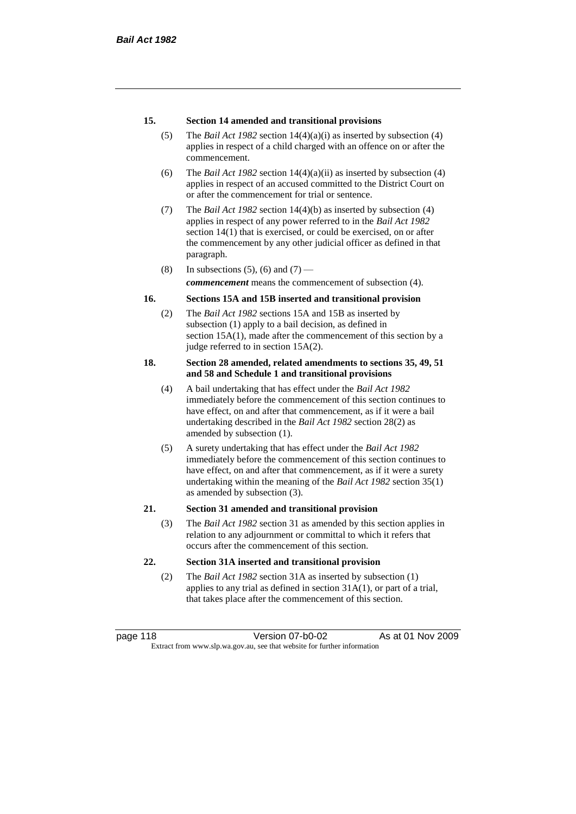#### **15. Section 14 amended and transitional provisions**

- (5) The *Bail Act 1982* section 14(4)(a)(i) as inserted by subsection (4) applies in respect of a child charged with an offence on or after the commencement.
- (6) The *Bail Act 1982* section 14(4)(a)(ii) as inserted by subsection (4) applies in respect of an accused committed to the District Court on or after the commencement for trial or sentence.
- (7) The *Bail Act 1982* section 14(4)(b) as inserted by subsection (4) applies in respect of any power referred to in the *Bail Act 1982* section 14(1) that is exercised, or could be exercised, on or after the commencement by any other judicial officer as defined in that paragraph.
- (8) In subsections (5), (6) and (7) —

*commencement* means the commencement of subsection (4).

#### **16. Sections 15A and 15B inserted and transitional provision**

(2) The *Bail Act 1982* sections 15A and 15B as inserted by subsection (1) apply to a bail decision, as defined in section 15A(1), made after the commencement of this section by a judge referred to in section 15A(2).

#### **18. Section 28 amended, related amendments to sections 35, 49, 51 and 58 and Schedule 1 and transitional provisions**

- (4) A bail undertaking that has effect under the *Bail Act 1982* immediately before the commencement of this section continues to have effect, on and after that commencement, as if it were a bail undertaking described in the *Bail Act 1982* section 28(2) as amended by subsection (1).
- (5) A surety undertaking that has effect under the *Bail Act 1982* immediately before the commencement of this section continues to have effect, on and after that commencement, as if it were a surety undertaking within the meaning of the *Bail Act 1982* section 35(1) as amended by subsection (3).

#### **21. Section 31 amended and transitional provision**

(3) The *Bail Act 1982* section 31 as amended by this section applies in relation to any adjournment or committal to which it refers that occurs after the commencement of this section.

#### **22. Section 31A inserted and transitional provision**

(2) The *Bail Act 1982* section 31A as inserted by subsection (1) applies to any trial as defined in section 31A(1), or part of a trial, that takes place after the commencement of this section.

page 118 Version 07-b0-02 As at 01 Nov 2009 Extract from www.slp.wa.gov.au, see that website for further information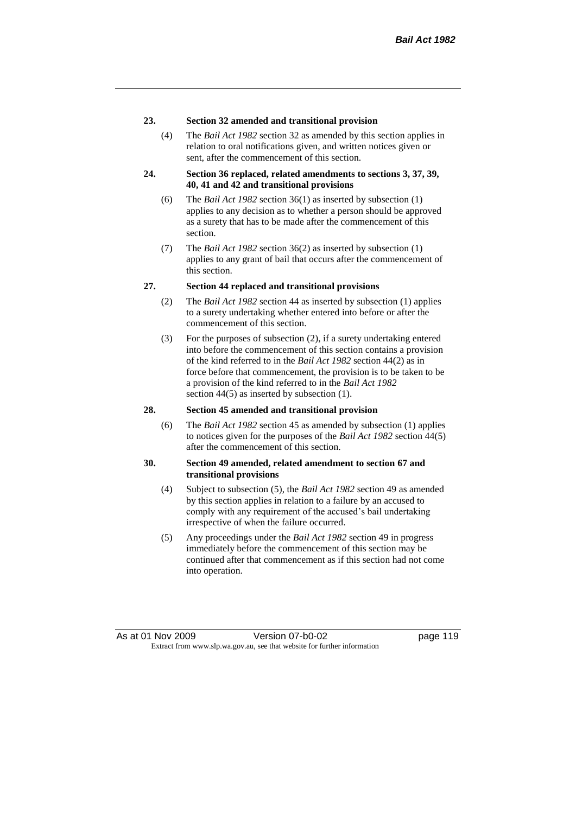#### **23. Section 32 amended and transitional provision**

(4) The *Bail Act 1982* section 32 as amended by this section applies in relation to oral notifications given, and written notices given or sent, after the commencement of this section.

#### **24. Section 36 replaced, related amendments to sections 3, 37, 39, 40, 41 and 42 and transitional provisions**

- (6) The *Bail Act 1982* section 36(1) as inserted by subsection (1) applies to any decision as to whether a person should be approved as a surety that has to be made after the commencement of this section.
- (7) The *Bail Act 1982* section 36(2) as inserted by subsection (1) applies to any grant of bail that occurs after the commencement of this section.

#### **27. Section 44 replaced and transitional provisions**

- (2) The *Bail Act 1982* section 44 as inserted by subsection (1) applies to a surety undertaking whether entered into before or after the commencement of this section.
- (3) For the purposes of subsection (2), if a surety undertaking entered into before the commencement of this section contains a provision of the kind referred to in the *Bail Act 1982* section 44(2) as in force before that commencement, the provision is to be taken to be a provision of the kind referred to in the *Bail Act 1982*  section 44(5) as inserted by subsection (1).

#### **28. Section 45 amended and transitional provision**

(6) The *Bail Act 1982* section 45 as amended by subsection (1) applies to notices given for the purposes of the *Bail Act 1982* section 44(5) after the commencement of this section.

#### **30. Section 49 amended, related amendment to section 67 and transitional provisions**

- (4) Subject to subsection (5), the *Bail Act 1982* section 49 as amended by this section applies in relation to a failure by an accused to comply with any requirement of the accused's bail undertaking irrespective of when the failure occurred.
- (5) Any proceedings under the *Bail Act 1982* section 49 in progress immediately before the commencement of this section may be continued after that commencement as if this section had not come into operation.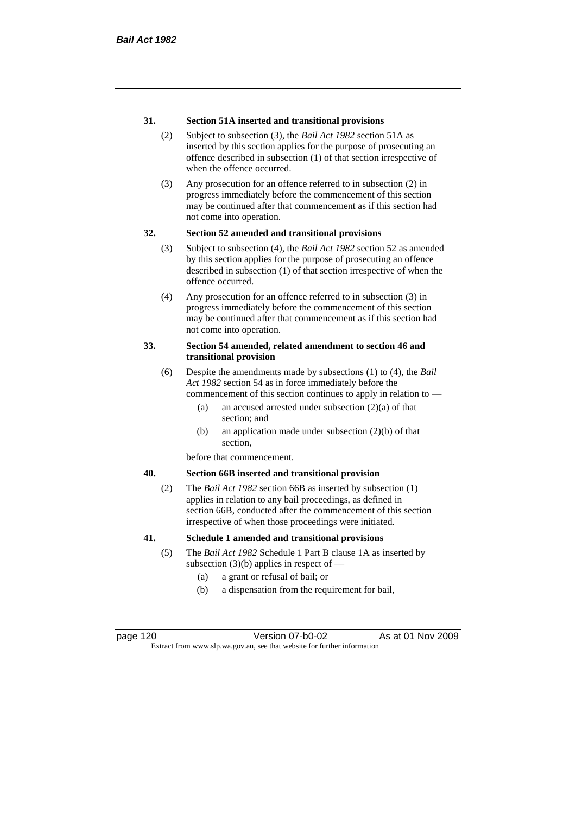#### **31. Section 51A inserted and transitional provisions**

- (2) Subject to subsection (3), the *Bail Act 1982* section 51A as inserted by this section applies for the purpose of prosecuting an offence described in subsection (1) of that section irrespective of when the offence occurred.
- (3) Any prosecution for an offence referred to in subsection (2) in progress immediately before the commencement of this section may be continued after that commencement as if this section had not come into operation.

#### **32. Section 52 amended and transitional provisions**

- (3) Subject to subsection (4), the *Bail Act 1982* section 52 as amended by this section applies for the purpose of prosecuting an offence described in subsection (1) of that section irrespective of when the offence occurred.
- (4) Any prosecution for an offence referred to in subsection (3) in progress immediately before the commencement of this section may be continued after that commencement as if this section had not come into operation.

#### **33. Section 54 amended, related amendment to section 46 and transitional provision**

- (6) Despite the amendments made by subsections (1) to (4), the *Bail Act 1982* section 54 as in force immediately before the commencement of this section continues to apply in relation to —
	- (a) an accused arrested under subsection (2)(a) of that section; and
	- (b) an application made under subsection (2)(b) of that section,

before that commencement.

#### **40. Section 66B inserted and transitional provision**

(2) The *Bail Act 1982* section 66B as inserted by subsection (1) applies in relation to any bail proceedings, as defined in section 66B, conducted after the commencement of this section irrespective of when those proceedings were initiated.

#### **41. Schedule 1 amended and transitional provisions**

- (5) The *Bail Act 1982* Schedule 1 Part B clause 1A as inserted by subsection  $(3)(b)$  applies in respect of  $-$ 
	- (a) a grant or refusal of bail; or
	- (b) a dispensation from the requirement for bail,

page 120 Version 07-b0-02 As at 01 Nov 2009 Extract from www.slp.wa.gov.au, see that website for further information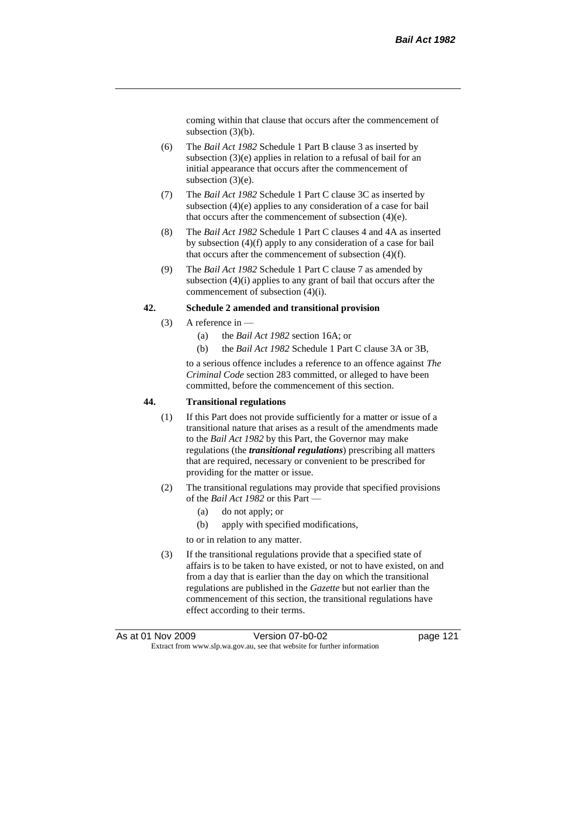coming within that clause that occurs after the commencement of subsection (3)(b).

- (6) The *Bail Act 1982* Schedule 1 Part B clause 3 as inserted by subsection (3)(e) applies in relation to a refusal of bail for an initial appearance that occurs after the commencement of subsection (3)(e).
- (7) The *Bail Act 1982* Schedule 1 Part C clause 3C as inserted by subsection (4)(e) applies to any consideration of a case for bail that occurs after the commencement of subsection (4)(e).
- (8) The *Bail Act 1982* Schedule 1 Part C clauses 4 and 4A as inserted by subsection (4)(f) apply to any consideration of a case for bail that occurs after the commencement of subsection (4)(f).
- (9) The *Bail Act 1982* Schedule 1 Part C clause 7 as amended by subsection (4)(i) applies to any grant of bail that occurs after the commencement of subsection (4)(i).

#### **42. Schedule 2 amended and transitional provision**

- (3) A reference in
	- (a) the *Bail Act 1982* section 16A; or
	- (b) the *Bail Act 1982* Schedule 1 Part C clause 3A or 3B,

to a serious offence includes a reference to an offence against *The Criminal Code* section 283 committed, or alleged to have been committed, before the commencement of this section.

#### **44. Transitional regulations**

- (1) If this Part does not provide sufficiently for a matter or issue of a transitional nature that arises as a result of the amendments made to the *Bail Act 1982* by this Part, the Governor may make regulations (the *transitional regulations*) prescribing all matters that are required, necessary or convenient to be prescribed for providing for the matter or issue.
- (2) The transitional regulations may provide that specified provisions of the *Bail Act 1982* or this Part —
	- (a) do not apply; or
	- (b) apply with specified modifications,
	- to or in relation to any matter.
- (3) If the transitional regulations provide that a specified state of affairs is to be taken to have existed, or not to have existed, on and from a day that is earlier than the day on which the transitional regulations are published in the *Gazette* but not earlier than the commencement of this section, the transitional regulations have effect according to their terms.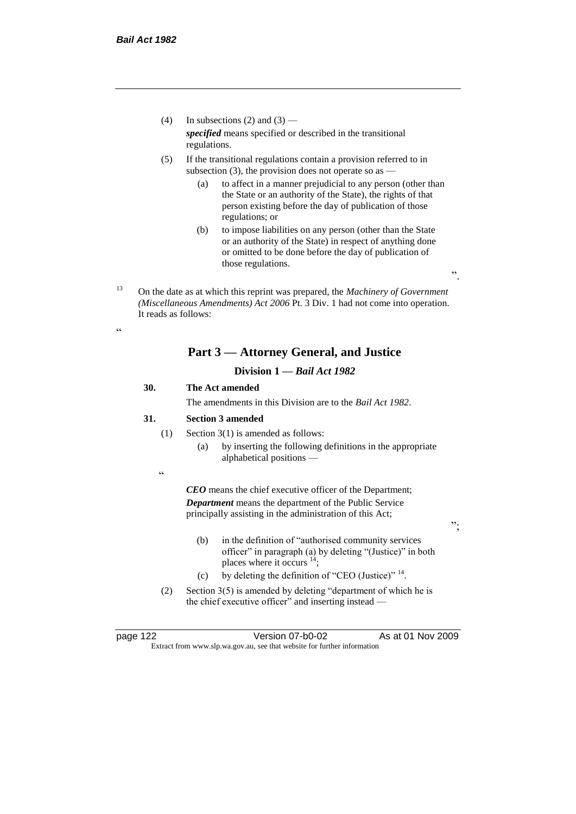- (4) In subsections (2) and (3) *specified* means specified or described in the transitional regulations.
- (5) If the transitional regulations contain a provision referred to in subsection  $(3)$ , the provision does not operate so as  $-$ 
	- (a) to affect in a manner prejudicial to any person (other than the State or an authority of the State), the rights of that person existing before the day of publication of those regulations; or
	- (b) to impose liabilities on any person (other than the State or an authority of the State) in respect of anything done or omitted to be done before the day of publication of those regulations.

".

";

<sup>13</sup> On the date as at which this reprint was prepared, the *Machinery of Government (Miscellaneous Amendments) Act 2006* Pt. 3 Div. 1 had not come into operation. It reads as follows:

## **Part 3 — Attorney General, and Justice**

## **Division 1 —** *Bail Act 1982*

## **30. The Act amended**

The amendments in this Division are to the *Bail Act 1982*.

#### **31. Section 3 amended**

- (1) Section 3(1) is amended as follows:
	- (a) by inserting the following definitions in the appropriate alphabetical positions —

.<br>.

.<br>44

*CEO* means the chief executive officer of the Department; *Department* means the department of the Public Service principally assisting in the administration of this Act;

- (b) in the definition of "authorised community services officer" in paragraph (a) by deleting "(Justice)" in both places where it occurs  $14$ ;
- (c) by deleting the definition of "CEO (Justice)"  $14$ .
- (2) Section 3(5) is amended by deleting "department of which he is the chief executive officer" and inserting instead —

page 122 Version 07-b0-02 As at 01 Nov 2009 Extract from www.slp.wa.gov.au, see that website for further information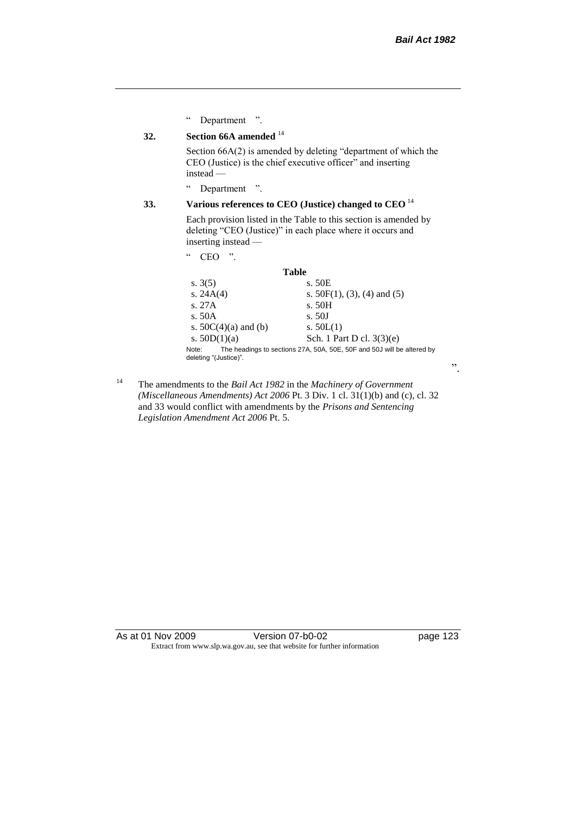".

" Department ".

## **32. Section 66A amended** <sup>14</sup>

Section 66A(2) is amended by deleting "department of which the CEO (Justice) is the chief executive officer" and inserting instead —

" Department ".

## **33. Various references to CEO (Justice) changed to CEO** <sup>14</sup>

Each provision listed in the Table to this section is amended by deleting "CEO (Justice)" in each place where it occurs and inserting instead —

" CEO ".

#### **Table**

| s. $3(5)$                                                                                                | s. 50E                         |
|----------------------------------------------------------------------------------------------------------|--------------------------------|
| s. $24A(4)$                                                                                              | s. $50F(1)$ , (3), (4) and (5) |
| S.27A                                                                                                    | s. 50H                         |
| s. $50A$                                                                                                 | s. 50J                         |
| s. $50C(4)(a)$ and (b)                                                                                   | s. $50L(1)$                    |
| s. $50D(1)(a)$                                                                                           | Sch. 1 Part D cl. $3(3)(e)$    |
| The headings to sections 27A, 50A, 50E, 50F and 50J will be altered by<br>Note:<br>deleting "(Justice)". |                                |

<sup>14</sup> The amendments to the *Bail Act 1982* in the *Machinery of Government (Miscellaneous Amendments) Act 2006* Pt. 3 Div. 1 cl. 31(1)(b) and (c), cl. 32 and 33 would conflict with amendments by the *Prisons and Sentencing Legislation Amendment Act 2006* Pt. 5.

As at 01 Nov 2009 Version 07-b0-02 Page 123 Extract from www.slp.wa.gov.au, see that website for further information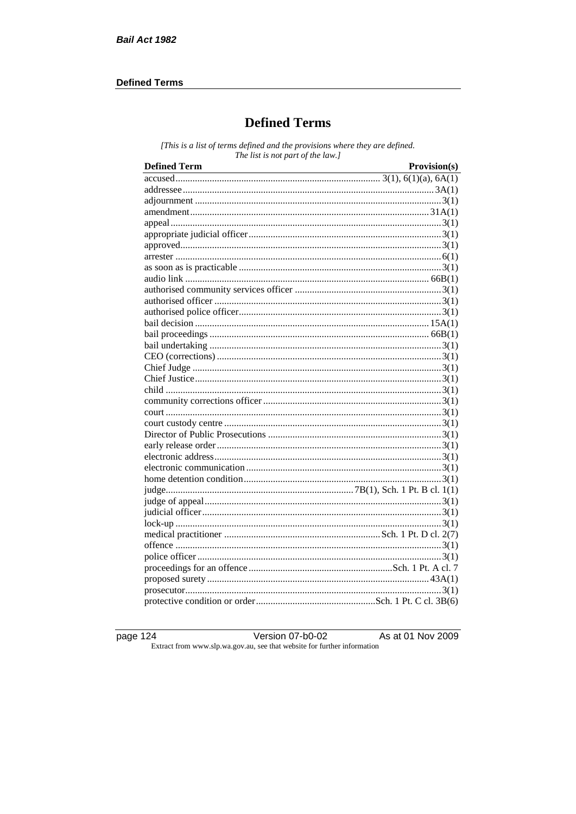## **Defined Terms**

# **Defined Terms**

[This is a list of terms defined and the provisions where they are defined. The list is not part of the law.]

| <b>Defined Term</b><br><u> 1989 - Johann Barn, mars eta bat erroman erroman erroman erroman erroman erroman erroman erroman erroman err</u> | Provision(s) |
|---------------------------------------------------------------------------------------------------------------------------------------------|--------------|
|                                                                                                                                             |              |
|                                                                                                                                             |              |
|                                                                                                                                             |              |
|                                                                                                                                             |              |
|                                                                                                                                             |              |
|                                                                                                                                             |              |
|                                                                                                                                             |              |
|                                                                                                                                             |              |
|                                                                                                                                             |              |
|                                                                                                                                             |              |
|                                                                                                                                             |              |
|                                                                                                                                             |              |
|                                                                                                                                             |              |
|                                                                                                                                             |              |
|                                                                                                                                             |              |
|                                                                                                                                             |              |
|                                                                                                                                             |              |
|                                                                                                                                             |              |
|                                                                                                                                             |              |
|                                                                                                                                             |              |
|                                                                                                                                             |              |
|                                                                                                                                             |              |
|                                                                                                                                             |              |
|                                                                                                                                             |              |
|                                                                                                                                             |              |
|                                                                                                                                             |              |
|                                                                                                                                             |              |
|                                                                                                                                             |              |
|                                                                                                                                             |              |
|                                                                                                                                             |              |
|                                                                                                                                             |              |
|                                                                                                                                             |              |
|                                                                                                                                             |              |
|                                                                                                                                             |              |
|                                                                                                                                             |              |
|                                                                                                                                             |              |
|                                                                                                                                             |              |
|                                                                                                                                             |              |
|                                                                                                                                             |              |

page  $124$ 

Version  $07-b0-02$ 

As at 01 Nov 2009

Extract from www.slp.wa.gov.au, see that website for further information